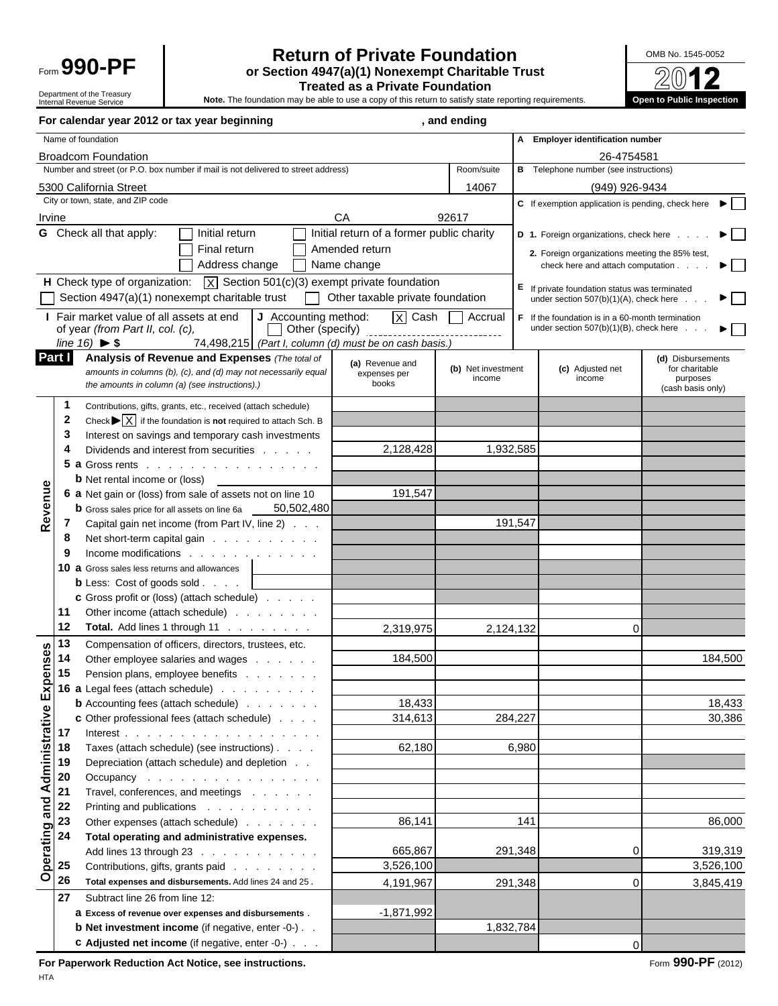

#### Form **990-PF Return of Private Foundation**<br>
or Section 4947(a)(1) Nonexempt Charitable Trust<br>
Trasted as a Private Foundation **or Section 4947(a)(1) Nonexempt Charitable Trust Treated as a Private Foundation**

Department of the Treasury Internal Revenue Service

**Note.** The foundation may be able to use a copy of this return to satisfy state reporting requirements. **Open to Public Inspection**

|           |                                                       | For calendar year 2012 or tax year beginning                                                                       |                                           | , and ending                 |       |                                                   |                              |
|-----------|-------------------------------------------------------|--------------------------------------------------------------------------------------------------------------------|-------------------------------------------|------------------------------|-------|---------------------------------------------------|------------------------------|
|           |                                                       | Name of foundation                                                                                                 |                                           |                              |       | A Employer identification number                  |                              |
|           |                                                       | <b>Broadcom Foundation</b>                                                                                         |                                           |                              |       | 26-4754581                                        |                              |
|           |                                                       | Number and street (or P.O. box number if mail is not delivered to street address)                                  |                                           | Room/suite                   |       | <b>B</b> Telephone number (see instructions)      |                              |
|           |                                                       | 5300 California Street                                                                                             |                                           | 14067                        |       | (949) 926-9434                                    |                              |
|           |                                                       | City or town, state, and ZIP code                                                                                  |                                           |                              |       | C If exemption application is pending, check here |                              |
| Irvine    |                                                       |                                                                                                                    | СA                                        | 92617                        |       |                                                   |                              |
|           |                                                       | <b>G</b> Check all that apply:<br>Initial return                                                                   | Initial return of a former public charity |                              |       | D 1. Foreign organizations, check here            | ▶│                           |
|           |                                                       | Final return                                                                                                       | $\Box$ Amended return                     |                              |       |                                                   |                              |
|           |                                                       | Address change                                                                                                     | $\Box$ Name change                        |                              |       | 2. Foreign organizations meeting the 85% test,    |                              |
|           |                                                       |                                                                                                                    |                                           |                              |       | check here and attach computation                 | $\blacktriangleright$ $\Box$ |
|           |                                                       | <b>H</b> Check type of organization: $\overline{X}$ Section 501(c)(3) exempt private foundation                    |                                           |                              |       | E If private foundation status was terminated     |                              |
|           |                                                       | Section $4947(a)(1)$ nonexempt charitable trust<br>$\Box$                                                          | Other taxable private foundation          |                              |       | under section $507(b)(1)(A)$ , check here         | $\blacktriangleright \Box$   |
|           |                                                       | Fair market value of all assets at end<br>J Accounting method:                                                     | $X$ Cash                                  | <b>Accrual</b>               |       | F If the foundation is in a 60-month termination  |                              |
|           |                                                       | of year (from Part II, col. (c),                                                                                   |                                           |                              |       | under section $507(b)(1)(B)$ , check here         | $\blacktriangleright$ $\Box$ |
|           |                                                       | line $16$ ) $\blacktriangleright$ \$<br>74,498,215 (Part I, column (d) must be on cash basis.)                     |                                           |                              |       |                                                   |                              |
|           | Part I                                                | Analysis of Revenue and Expenses (The total of                                                                     | (a) Revenue and                           |                              |       |                                                   | (d) Disbursements            |
|           |                                                       | amounts in columns (b), (c), and (d) may not necessarily equal                                                     | expenses per<br>books                     | (b) Net investment<br>income |       | (c) Adjusted net<br>income                        | for charitable<br>purposes   |
|           |                                                       | the amounts in column (a) (see instructions).)                                                                     |                                           |                              |       |                                                   | (cash basis only)            |
|           |                                                       | Contributions, gifts, grants, etc., received (attach schedule)                                                     |                                           |                              |       |                                                   |                              |
|           | $\mathbf{2}$                                          | Check $\blacktriangleright$ $\lvert \overline{X} \rvert$ if the foundation is <b>not</b> required to attach Sch. B |                                           |                              |       |                                                   |                              |
|           | 3                                                     | Interest on savings and temporary cash investments                                                                 |                                           |                              |       |                                                   |                              |
|           | 4                                                     | Dividends and interest from securities                                                                             | 2,128,428                                 | 1,932,585                    |       |                                                   |                              |
|           |                                                       | 5 a Gross rents                                                                                                    |                                           |                              |       |                                                   |                              |
|           |                                                       | <b>b</b> Net rental income or (loss)                                                                               |                                           |                              |       |                                                   |                              |
| Revenue   |                                                       | 6 a Net gain or (loss) from sale of assets not on line 10                                                          | 191,547                                   |                              |       |                                                   |                              |
|           |                                                       | 50,502,480<br><b>b</b> Gross sales price for all assets on line 6a                                                 |                                           |                              |       |                                                   |                              |
|           |                                                       | Capital gain net income (from Part IV, line 2)                                                                     |                                           | 191,547                      |       |                                                   |                              |
|           | 8                                                     | Net short-term capital gain                                                                                        |                                           |                              |       |                                                   |                              |
|           | 9                                                     | Income modifications                                                                                               |                                           |                              |       |                                                   |                              |
|           |                                                       | 10 a Gross sales less returns and allowances                                                                       |                                           |                              |       |                                                   |                              |
|           |                                                       | <b>b</b> Less: Cost of goods sold $\ldots$                                                                         |                                           |                              |       |                                                   |                              |
|           |                                                       | <b>c</b> Gross profit or (loss) (attach schedule)                                                                  |                                           |                              |       |                                                   |                              |
|           | 11                                                    | Other income (attach schedule)                                                                                     |                                           |                              |       |                                                   |                              |
|           | 12                                                    | Total. Add lines 1 through 11                                                                                      | 2,319,975                                 | 2,124,132                    |       | ∩                                                 |                              |
|           | 13                                                    | Compensation of officers, directors, trustees, etc.                                                                |                                           |                              |       |                                                   |                              |
| penses    | 14                                                    | Other employee salaries and wages                                                                                  | 184,500                                   |                              |       |                                                   | 184,500                      |
|           | 15                                                    | Pension plans, employee benefits                                                                                   |                                           |                              |       |                                                   |                              |
|           |                                                       | 16 a Legal fees (attach schedule) $\ldots$                                                                         |                                           |                              |       |                                                   |                              |
|           | and Administrative Ex<br>and Administrative<br>3<br>3 | <b>b</b> Accounting fees (attach schedule)                                                                         | 18,433                                    |                              |       |                                                   | 18,433                       |
|           |                                                       | <b>c</b> Other professional fees (attach schedule)                                                                 | 314,613                                   | 284,227                      |       |                                                   | 30,386                       |
|           |                                                       |                                                                                                                    |                                           |                              |       |                                                   |                              |
|           | 18                                                    | Taxes (attach schedule) (see instructions)                                                                         | 62,180                                    |                              | 6,980 |                                                   |                              |
|           | 19                                                    | Depreciation (attach schedule) and depletion                                                                       |                                           |                              |       |                                                   |                              |
|           | 20                                                    | Occupancy                                                                                                          |                                           |                              |       |                                                   |                              |
|           |                                                       | Travel, conferences, and meetings                                                                                  |                                           |                              |       |                                                   |                              |
|           | 22                                                    | Printing and publications                                                                                          |                                           |                              |       |                                                   |                              |
|           | 23                                                    | Other expenses (attach schedule)                                                                                   | 86,141                                    |                              | 141   |                                                   | 86,000                       |
|           | 24                                                    | Total operating and administrative expenses.                                                                       |                                           |                              |       |                                                   |                              |
|           |                                                       | Add lines 13 through 23                                                                                            | 665,867                                   | 291,348                      |       |                                                   | 319,319                      |
| Operating | 25                                                    | Contributions, gifts, grants paid                                                                                  | 3,526,100                                 |                              |       |                                                   | 3,526,100                    |
|           | 26                                                    | Total expenses and disbursements. Add lines 24 and 25.                                                             | 4,191,967                                 | 291,348                      |       | O                                                 | 3,845,419                    |
|           | 27                                                    | Subtract line 26 from line 12:                                                                                     |                                           |                              |       |                                                   |                              |
|           |                                                       | a Excess of revenue over expenses and disbursements.                                                               | $-1,871,992$                              |                              |       |                                                   |                              |
|           |                                                       | <b>b</b> Net investment income (if negative, enter -0-)                                                            |                                           | 1,832,784                    |       |                                                   |                              |
|           |                                                       | <b>c</b> Adjusted net income (if negative, enter -0-)                                                              |                                           |                              |       | $\Omega$                                          |                              |
|           |                                                       |                                                                                                                    |                                           |                              |       |                                                   |                              |

For Paperwork Reduction Act Notice, see instructions. **For Act Act Act 2012** Form 990-PF (2012)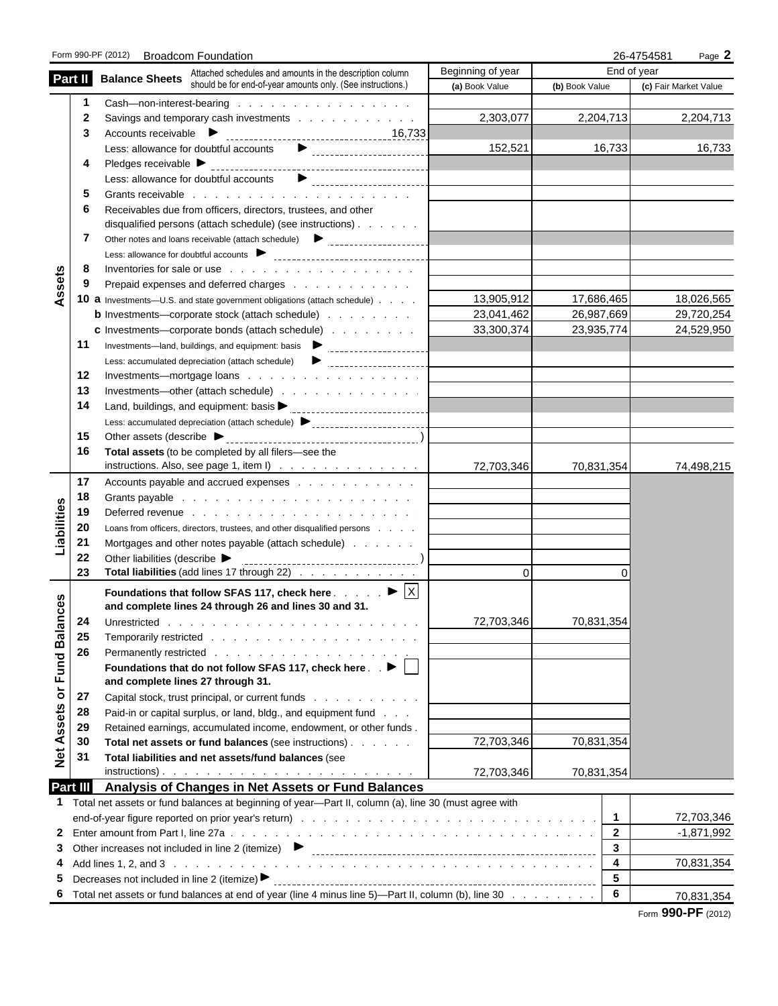|               |          | Form 990-PF (2012) Broadcom Foundation                                                                                  |                   |                         | 26-4754581<br>Page 2  |
|---------------|----------|-------------------------------------------------------------------------------------------------------------------------|-------------------|-------------------------|-----------------------|
|               |          | <b>Balance Sheets</b> Attached schedules and amounts in the description column                                          | Beginning of year |                         | End of year           |
|               | Part II  | should be for end-of-year amounts only. (See instructions.)                                                             | (a) Book Value    | (b) Book Value          | (c) Fair Market Value |
|               |          | Cash-non-interest-bearing                                                                                               |                   |                         |                       |
|               | 2        | Savings and temporary cash investments                                                                                  | 2,303,077         | 2,204,713               | 2,204,713             |
|               | 3        |                                                                                                                         |                   |                         |                       |
|               |          |                                                                                                                         | 152,521           | 16,733                  | 16,733                |
|               | 4        |                                                                                                                         |                   |                         |                       |
|               |          | $\blacktriangleright$<br>Less: allowance for doubtful accounts                                                          |                   |                         |                       |
|               | 5        |                                                                                                                         |                   |                         |                       |
|               | 6        | Receivables due from officers, directors, trustees, and other                                                           |                   |                         |                       |
|               |          | disqualified persons (attach schedule) (see instructions)                                                               |                   |                         |                       |
|               | 7        |                                                                                                                         |                   |                         |                       |
|               |          |                                                                                                                         |                   |                         |                       |
| Assets        | 8        |                                                                                                                         |                   |                         |                       |
|               | 9        | Prepaid expenses and deferred charges                                                                                   |                   |                         |                       |
|               |          | 10 a Investments-U.S. and state government obligations (attach schedule)                                                | 13,905,912        | 17,686,465              | 18,026,565            |
|               |          | <b>b</b> Investments—corporate stock (attach schedule)                                                                  | 23,041,462        | 26,987,669              | 29,720,254            |
|               |          | <b>c</b> Investments—corporate bonds (attach schedule)                                                                  | 33,300,374        | 23,935,774              | 24,529,950            |
|               | 11       |                                                                                                                         |                   |                         |                       |
|               |          |                                                                                                                         |                   |                         |                       |
|               | 12<br>13 |                                                                                                                         |                   |                         |                       |
|               | 14       | Investments—other (attach schedule)                                                                                     |                   |                         |                       |
|               |          |                                                                                                                         |                   |                         |                       |
|               | 15       | Less: accumulated depreciation (attach schedule) > contract contract contract of                                        |                   |                         |                       |
|               | 16       | Total assets (to be completed by all filers-see the                                                                     |                   |                         |                       |
|               |          | instructions. Also, see page 1, item $I$ ) $\ldots$ $\ldots$ $\ldots$ $\ldots$ $\ldots$                                 | 72,703,346        | 70,831,354              | 74,498,215            |
|               | 17       | Accounts payable and accrued expenses                                                                                   |                   |                         |                       |
|               | 18       |                                                                                                                         |                   |                         |                       |
|               | 19       |                                                                                                                         |                   |                         |                       |
| Liabilities   | 20       | Loans from officers, directors, trustees, and other disqualified persons                                                |                   |                         |                       |
|               | 21       | Mortgages and other notes payable (attach schedule)                                                                     |                   |                         |                       |
|               | 22       | Other liabilities (describe $\blacktriangleright$                                                                       |                   |                         |                       |
|               | 23       | Total liabilities (add lines 17 through 22)                                                                             | $\Omega$          |                         |                       |
|               |          | Foundations that follow SFAS 117, check here $\ldots$ $\blacktriangleright$ $\blacktriangleright$ $\blacktriangleright$ |                   |                         |                       |
| ces           |          | and complete lines 24 through 26 and lines 30 and 31.                                                                   |                   |                         |                       |
|               | 24       |                                                                                                                         | 72,703,346        | 70,831,354              |                       |
|               | 25       |                                                                                                                         |                   |                         |                       |
|               | 26       |                                                                                                                         |                   |                         |                       |
| or Fund Balar |          | Foundations that do not follow SFAS 117, check here $\therefore \blacktriangleright \Box$                               |                   |                         |                       |
|               |          | and complete lines 27 through 31.                                                                                       |                   |                         |                       |
|               | 27       | Capital stock, trust principal, or current funds                                                                        |                   |                         |                       |
|               | 28       | Paid-in or capital surplus, or land, bldg., and equipment fund                                                          |                   |                         |                       |
| Assets        | 29       | Retained earnings, accumulated income, endowment, or other funds.                                                       |                   |                         |                       |
|               | 30       | Total net assets or fund balances (see instructions)                                                                    | 72,703,346        | 70,831,354              |                       |
| Net           | 31       | Total liabilities and net assets/fund balances (see                                                                     |                   |                         |                       |
|               |          |                                                                                                                         | 72,703,346        | 70,831,354              |                       |
|               | Part III | Analysis of Changes in Net Assets or Fund Balances                                                                      |                   |                         |                       |
| 1             |          | Total net assets or fund balances at beginning of year-Part II, column (a), line 30 (must agree with                    |                   |                         |                       |
|               |          |                                                                                                                         |                   | $\overline{1}$          | 72,703,346            |
|               |          |                                                                                                                         |                   | $\mathbf{2}$            | $-1,871,992$          |
| 3             |          |                                                                                                                         |                   | 3                       |                       |
| 4             |          |                                                                                                                         |                   | $\overline{\mathbf{4}}$ | 70,831,354            |
| 5             |          | Decreases not included in line 2 (itemize) ▶                                                                            |                   | 5                       |                       |
| 6             |          | Total net assets or fund balances at end of year (line 4 minus line 5)—Part II, column (b), line 30                     |                   | 6                       | 70,831,354            |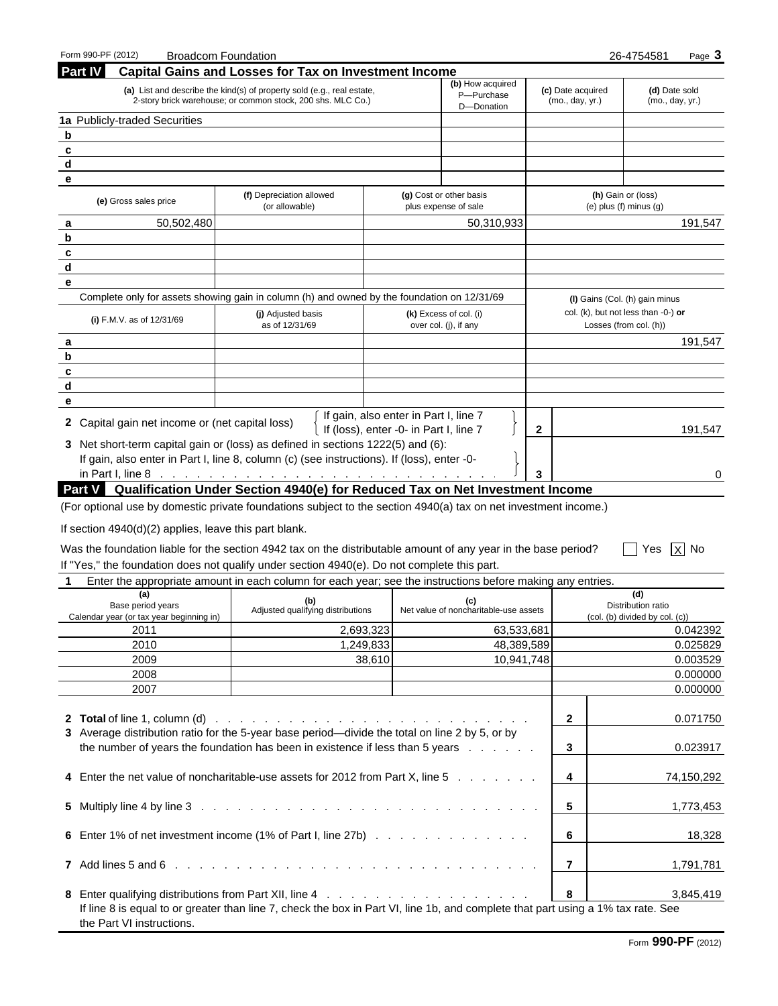| Form 990-PF (2012)                                      | <b>Broadcom Foundation</b>                                                                                                            |                                                 |                |                                      | 26-4754581<br>Page 3                                          |
|---------------------------------------------------------|---------------------------------------------------------------------------------------------------------------------------------------|-------------------------------------------------|----------------|--------------------------------------|---------------------------------------------------------------|
| <b>Part IV</b>                                          | <b>Capital Gains and Losses for Tax on Investment Income</b>                                                                          |                                                 |                |                                      |                                                               |
|                                                         | (a) List and describe the kind(s) of property sold (e.g., real estate,<br>2-story brick warehouse; or common stock, 200 shs. MLC Co.) | (b) How acquired<br>P-Purchase                  |                | (c) Date acquired<br>(mo., day, yr.) | (d) Date sold<br>(mo., day, yr.)                              |
| 1a Publicly-traded Securities                           |                                                                                                                                       | D-Donation                                      |                |                                      |                                                               |
| b                                                       |                                                                                                                                       |                                                 |                |                                      |                                                               |
| c                                                       |                                                                                                                                       |                                                 |                |                                      |                                                               |
| d                                                       |                                                                                                                                       |                                                 |                |                                      |                                                               |
| е                                                       |                                                                                                                                       |                                                 |                |                                      |                                                               |
|                                                         | (f) Depreciation allowed                                                                                                              | (g) Cost or other basis                         |                |                                      | (h) Gain or (loss)                                            |
| (e) Gross sales price                                   | (or allowable)                                                                                                                        | plus expense of sale                            |                |                                      | $(e)$ plus $(f)$ minus $(g)$                                  |
| 50,502,480<br>а                                         |                                                                                                                                       | 50,310,933                                      |                |                                      | 191,547                                                       |
| b                                                       |                                                                                                                                       |                                                 |                |                                      |                                                               |
| c                                                       |                                                                                                                                       |                                                 |                |                                      |                                                               |
| d                                                       |                                                                                                                                       |                                                 |                |                                      |                                                               |
|                                                         |                                                                                                                                       |                                                 |                |                                      |                                                               |
| е                                                       |                                                                                                                                       |                                                 |                |                                      |                                                               |
|                                                         | Complete only for assets showing gain in column (h) and owned by the foundation on 12/31/69                                           |                                                 |                |                                      | (I) Gains (Col. (h) gain minus                                |
| (i) F.M.V. as of $12/31/69$                             | (j) Adjusted basis<br>as of 12/31/69                                                                                                  | (k) Excess of col. (i)<br>over col. (j), if any |                |                                      | col. (k), but not less than -0-) or<br>Losses (from col. (h)) |
| a                                                       |                                                                                                                                       |                                                 |                |                                      | 191,547                                                       |
| b                                                       |                                                                                                                                       |                                                 |                |                                      |                                                               |
| c                                                       |                                                                                                                                       |                                                 |                |                                      |                                                               |
| d                                                       |                                                                                                                                       |                                                 |                |                                      |                                                               |
| е                                                       |                                                                                                                                       |                                                 |                |                                      |                                                               |
| 2 Capital gain net income or (net capital loss)         | If gain, also enter in Part I, line 7<br>If (loss), enter -0- in Part I, line 7                                                       |                                                 | $\mathbf{2}$   |                                      | 191,547                                                       |
|                                                         | 3 Net short-term capital gain or (loss) as defined in sections 1222(5) and (6):                                                       |                                                 |                |                                      |                                                               |
|                                                         | If gain, also enter in Part I, line 8, column (c) (see instructions). If (loss), enter -0-                                            |                                                 |                |                                      |                                                               |
|                                                         | in Part I, line 8 <u>.</u>                                                                                                            |                                                 |                |                                      | 0                                                             |
|                                                         | Part V Qualification Under Section 4940(e) for Reduced Tax on Net Investment Income                                                   |                                                 |                |                                      |                                                               |
|                                                         | (For optional use by domestic private foundations subject to the section 4940(a) tax on net investment income.)                       |                                                 |                |                                      |                                                               |
|                                                         |                                                                                                                                       |                                                 |                |                                      |                                                               |
| If section $4940(d)(2)$ applies, leave this part blank. |                                                                                                                                       |                                                 |                |                                      |                                                               |
|                                                         | Was the foundation liable for the section 4942 tax on the distributable amount of any year in the base period?                        |                                                 |                |                                      | $X$ No<br>Yes                                                 |
|                                                         | If "Yes," the foundation does not qualify under section 4940(e). Do not complete this part.                                           |                                                 |                |                                      |                                                               |
|                                                         |                                                                                                                                       |                                                 |                |                                      |                                                               |
|                                                         | Enter the appropriate amount in each column for each year; see the instructions before making any entries.                            |                                                 |                |                                      |                                                               |
| (a)<br>Base period years                                | (b)                                                                                                                                   | (c)                                             |                |                                      | (d)<br>Distribution ratio                                     |
| Calendar vear (or tax vear beginning in)                | Adjusted qualifying distributions                                                                                                     | Net value of noncharitable-use assets           |                |                                      | (col. (b) divided by col. (c))                                |
| 2011                                                    | 2,693,323                                                                                                                             | 63,533,681                                      |                |                                      | 0.042392                                                      |
| 2010                                                    | 1,249,833                                                                                                                             | 48,389,589                                      |                |                                      | 0.025829                                                      |
| 2009                                                    | 38,610                                                                                                                                | 10,941,748                                      |                |                                      | 0.003529                                                      |
| 2008                                                    |                                                                                                                                       |                                                 |                |                                      | 0.000000                                                      |
| 2007                                                    |                                                                                                                                       |                                                 |                |                                      | 0.000000                                                      |
|                                                         |                                                                                                                                       |                                                 |                |                                      |                                                               |
|                                                         |                                                                                                                                       |                                                 |                |                                      |                                                               |
|                                                         |                                                                                                                                       |                                                 | $\mathbf{2}$   |                                      | 0.071750                                                      |
|                                                         | 3 Average distribution ratio for the 5-year base period—divide the total on line 2 by 5, or by                                        |                                                 |                |                                      |                                                               |
|                                                         | the number of years the foundation has been in existence if less than 5 years                                                         |                                                 | 3              |                                      | 0.023917                                                      |
|                                                         |                                                                                                                                       |                                                 |                |                                      |                                                               |
|                                                         | 4 Enter the net value of noncharitable-use assets for 2012 from Part X, line 5                                                        |                                                 | 4              |                                      | 74,150,292                                                    |
|                                                         |                                                                                                                                       |                                                 |                |                                      |                                                               |
|                                                         |                                                                                                                                       |                                                 | 5              |                                      | 1,773,453                                                     |
|                                                         |                                                                                                                                       |                                                 |                |                                      |                                                               |
|                                                         | 6 Enter 1% of net investment income (1% of Part I, line 27b)                                                                          |                                                 | 6              |                                      | 18,328                                                        |
|                                                         |                                                                                                                                       |                                                 |                |                                      |                                                               |
|                                                         |                                                                                                                                       |                                                 | $\overline{7}$ |                                      | 1,791,781                                                     |
|                                                         |                                                                                                                                       |                                                 |                |                                      |                                                               |
|                                                         |                                                                                                                                       |                                                 | 8              |                                      | 3,845,419                                                     |
|                                                         | If line 8 is equal to or greater than line 7, check the box in Part VI, line 1b, and complete that part using a 1% tax rate. See      |                                                 |                |                                      |                                                               |
| the Part VI instructions.                               |                                                                                                                                       |                                                 |                |                                      |                                                               |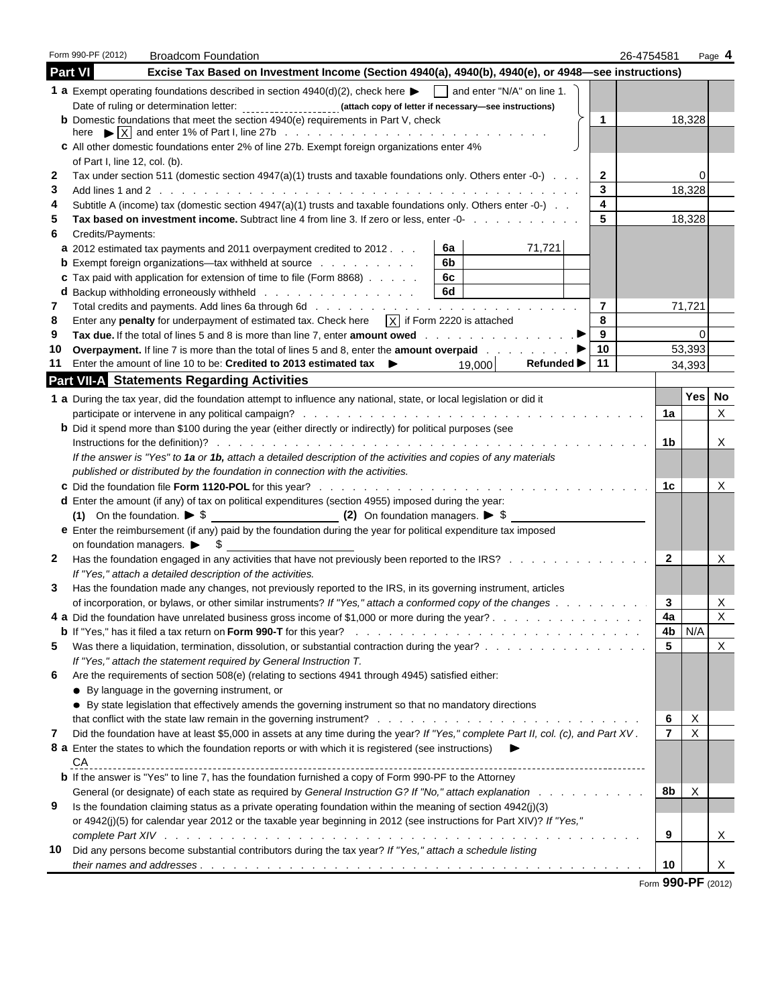|                                                                                                                                                                                                                                                                                                                                                                                                                                                                                                                                                                                                                                                                                                                                                                                                                                                                                                                                                                                                                                                                                                                                                                                                                                                                                                                                                                                                                                                                                                                                                                                                                                                                                                                                                                                                                                                                                                                                                                                                                                                                                                                                                                                                                                                                                                                                                                                                                                                                                                                                                                                                                                                                                                                                                                                                                                                                                                                                                                                                                                                                                                                                                                                                                                                                                                                                                                                                                                                                                                                                                                                                                                                                                                                                                                                                                                                                                                                                                                                                                                                                                                                                                                                                                                                                                                                                                                                                                                                                                                                                                           | Form 990-PF (2012) | <b>Broadcom Foundation</b>                                                                                                 |  |  |     |  |                 | 26-4754581 |  | Page 4                    |  |
|-----------------------------------------------------------------------------------------------------------------------------------------------------------------------------------------------------------------------------------------------------------------------------------------------------------------------------------------------------------------------------------------------------------------------------------------------------------------------------------------------------------------------------------------------------------------------------------------------------------------------------------------------------------------------------------------------------------------------------------------------------------------------------------------------------------------------------------------------------------------------------------------------------------------------------------------------------------------------------------------------------------------------------------------------------------------------------------------------------------------------------------------------------------------------------------------------------------------------------------------------------------------------------------------------------------------------------------------------------------------------------------------------------------------------------------------------------------------------------------------------------------------------------------------------------------------------------------------------------------------------------------------------------------------------------------------------------------------------------------------------------------------------------------------------------------------------------------------------------------------------------------------------------------------------------------------------------------------------------------------------------------------------------------------------------------------------------------------------------------------------------------------------------------------------------------------------------------------------------------------------------------------------------------------------------------------------------------------------------------------------------------------------------------------------------------------------------------------------------------------------------------------------------------------------------------------------------------------------------------------------------------------------------------------------------------------------------------------------------------------------------------------------------------------------------------------------------------------------------------------------------------------------------------------------------------------------------------------------------------------------------------------------------------------------------------------------------------------------------------------------------------------------------------------------------------------------------------------------------------------------------------------------------------------------------------------------------------------------------------------------------------------------------------------------------------------------------------------------------------------------------------------------------------------------------------------------------------------------------------------------------------------------------------------------------------------------------------------------------------------------------------------------------------------------------------------------------------------------------------------------------------------------------------------------------------------------------------------------------------------------------------------------------------------------------------------------------------------------------------------------------------------------------------------------------------------------------------------------------------------------------------------------------------------------------------------------------------------------------------------------------------------------------------------------------------------------------------------------------------------------------------------------------------------------------------|--------------------|----------------------------------------------------------------------------------------------------------------------------|--|--|-----|--|-----------------|------------|--|---------------------------|--|
|                                                                                                                                                                                                                                                                                                                                                                                                                                                                                                                                                                                                                                                                                                                                                                                                                                                                                                                                                                                                                                                                                                                                                                                                                                                                                                                                                                                                                                                                                                                                                                                                                                                                                                                                                                                                                                                                                                                                                                                                                                                                                                                                                                                                                                                                                                                                                                                                                                                                                                                                                                                                                                                                                                                                                                                                                                                                                                                                                                                                                                                                                                                                                                                                                                                                                                                                                                                                                                                                                                                                                                                                                                                                                                                                                                                                                                                                                                                                                                                                                                                                                                                                                                                                                                                                                                                                                                                                                                                                                                                                                           | <b>Part VI</b>     | Excise Tax Based on Investment Income (Section 4940(a), 4940(b), 4940(e), or 4948-see instructions)                        |  |  |     |  |                 |            |  |                           |  |
|                                                                                                                                                                                                                                                                                                                                                                                                                                                                                                                                                                                                                                                                                                                                                                                                                                                                                                                                                                                                                                                                                                                                                                                                                                                                                                                                                                                                                                                                                                                                                                                                                                                                                                                                                                                                                                                                                                                                                                                                                                                                                                                                                                                                                                                                                                                                                                                                                                                                                                                                                                                                                                                                                                                                                                                                                                                                                                                                                                                                                                                                                                                                                                                                                                                                                                                                                                                                                                                                                                                                                                                                                                                                                                                                                                                                                                                                                                                                                                                                                                                                                                                                                                                                                                                                                                                                                                                                                                                                                                                                                           |                    | <b>1 a</b> Exempt operating foundations described in section $4940(d)(2)$ , check here <b>F</b> and enter "N/A" on line 1. |  |  |     |  |                 |            |  |                           |  |
|                                                                                                                                                                                                                                                                                                                                                                                                                                                                                                                                                                                                                                                                                                                                                                                                                                                                                                                                                                                                                                                                                                                                                                                                                                                                                                                                                                                                                                                                                                                                                                                                                                                                                                                                                                                                                                                                                                                                                                                                                                                                                                                                                                                                                                                                                                                                                                                                                                                                                                                                                                                                                                                                                                                                                                                                                                                                                                                                                                                                                                                                                                                                                                                                                                                                                                                                                                                                                                                                                                                                                                                                                                                                                                                                                                                                                                                                                                                                                                                                                                                                                                                                                                                                                                                                                                                                                                                                                                                                                                                                                           |                    | Date of ruling or determination letter: _______________________ (attach copy of letter if necessary-see instructions)      |  |  |     |  |                 |            |  |                           |  |
|                                                                                                                                                                                                                                                                                                                                                                                                                                                                                                                                                                                                                                                                                                                                                                                                                                                                                                                                                                                                                                                                                                                                                                                                                                                                                                                                                                                                                                                                                                                                                                                                                                                                                                                                                                                                                                                                                                                                                                                                                                                                                                                                                                                                                                                                                                                                                                                                                                                                                                                                                                                                                                                                                                                                                                                                                                                                                                                                                                                                                                                                                                                                                                                                                                                                                                                                                                                                                                                                                                                                                                                                                                                                                                                                                                                                                                                                                                                                                                                                                                                                                                                                                                                                                                                                                                                                                                                                                                                                                                                                                           |                    |                                                                                                                            |  |  |     |  | $\mathbf{1}$    |            |  |                           |  |
|                                                                                                                                                                                                                                                                                                                                                                                                                                                                                                                                                                                                                                                                                                                                                                                                                                                                                                                                                                                                                                                                                                                                                                                                                                                                                                                                                                                                                                                                                                                                                                                                                                                                                                                                                                                                                                                                                                                                                                                                                                                                                                                                                                                                                                                                                                                                                                                                                                                                                                                                                                                                                                                                                                                                                                                                                                                                                                                                                                                                                                                                                                                                                                                                                                                                                                                                                                                                                                                                                                                                                                                                                                                                                                                                                                                                                                                                                                                                                                                                                                                                                                                                                                                                                                                                                                                                                                                                                                                                                                                                                           |                    |                                                                                                                            |  |  |     |  |                 |            |  |                           |  |
|                                                                                                                                                                                                                                                                                                                                                                                                                                                                                                                                                                                                                                                                                                                                                                                                                                                                                                                                                                                                                                                                                                                                                                                                                                                                                                                                                                                                                                                                                                                                                                                                                                                                                                                                                                                                                                                                                                                                                                                                                                                                                                                                                                                                                                                                                                                                                                                                                                                                                                                                                                                                                                                                                                                                                                                                                                                                                                                                                                                                                                                                                                                                                                                                                                                                                                                                                                                                                                                                                                                                                                                                                                                                                                                                                                                                                                                                                                                                                                                                                                                                                                                                                                                                                                                                                                                                                                                                                                                                                                                                                           |                    |                                                                                                                            |  |  |     |  |                 |            |  |                           |  |
|                                                                                                                                                                                                                                                                                                                                                                                                                                                                                                                                                                                                                                                                                                                                                                                                                                                                                                                                                                                                                                                                                                                                                                                                                                                                                                                                                                                                                                                                                                                                                                                                                                                                                                                                                                                                                                                                                                                                                                                                                                                                                                                                                                                                                                                                                                                                                                                                                                                                                                                                                                                                                                                                                                                                                                                                                                                                                                                                                                                                                                                                                                                                                                                                                                                                                                                                                                                                                                                                                                                                                                                                                                                                                                                                                                                                                                                                                                                                                                                                                                                                                                                                                                                                                                                                                                                                                                                                                                                                                                                                                           |                    |                                                                                                                            |  |  |     |  |                 |            |  |                           |  |
|                                                                                                                                                                                                                                                                                                                                                                                                                                                                                                                                                                                                                                                                                                                                                                                                                                                                                                                                                                                                                                                                                                                                                                                                                                                                                                                                                                                                                                                                                                                                                                                                                                                                                                                                                                                                                                                                                                                                                                                                                                                                                                                                                                                                                                                                                                                                                                                                                                                                                                                                                                                                                                                                                                                                                                                                                                                                                                                                                                                                                                                                                                                                                                                                                                                                                                                                                                                                                                                                                                                                                                                                                                                                                                                                                                                                                                                                                                                                                                                                                                                                                                                                                                                                                                                                                                                                                                                                                                                                                                                                                           |                    |                                                                                                                            |  |  |     |  |                 |            |  |                           |  |
|                                                                                                                                                                                                                                                                                                                                                                                                                                                                                                                                                                                                                                                                                                                                                                                                                                                                                                                                                                                                                                                                                                                                                                                                                                                                                                                                                                                                                                                                                                                                                                                                                                                                                                                                                                                                                                                                                                                                                                                                                                                                                                                                                                                                                                                                                                                                                                                                                                                                                                                                                                                                                                                                                                                                                                                                                                                                                                                                                                                                                                                                                                                                                                                                                                                                                                                                                                                                                                                                                                                                                                                                                                                                                                                                                                                                                                                                                                                                                                                                                                                                                                                                                                                                                                                                                                                                                                                                                                                                                                                                                           |                    |                                                                                                                            |  |  |     |  |                 |            |  |                           |  |
| 5                                                                                                                                                                                                                                                                                                                                                                                                                                                                                                                                                                                                                                                                                                                                                                                                                                                                                                                                                                                                                                                                                                                                                                                                                                                                                                                                                                                                                                                                                                                                                                                                                                                                                                                                                                                                                                                                                                                                                                                                                                                                                                                                                                                                                                                                                                                                                                                                                                                                                                                                                                                                                                                                                                                                                                                                                                                                                                                                                                                                                                                                                                                                                                                                                                                                                                                                                                                                                                                                                                                                                                                                                                                                                                                                                                                                                                                                                                                                                                                                                                                                                                                                                                                                                                                                                                                                                                                                                                                                                                                                                         |                    |                                                                                                                            |  |  |     |  | $5\overline{5}$ |            |  |                           |  |
| 6                                                                                                                                                                                                                                                                                                                                                                                                                                                                                                                                                                                                                                                                                                                                                                                                                                                                                                                                                                                                                                                                                                                                                                                                                                                                                                                                                                                                                                                                                                                                                                                                                                                                                                                                                                                                                                                                                                                                                                                                                                                                                                                                                                                                                                                                                                                                                                                                                                                                                                                                                                                                                                                                                                                                                                                                                                                                                                                                                                                                                                                                                                                                                                                                                                                                                                                                                                                                                                                                                                                                                                                                                                                                                                                                                                                                                                                                                                                                                                                                                                                                                                                                                                                                                                                                                                                                                                                                                                                                                                                                                         |                    |                                                                                                                            |  |  |     |  |                 |            |  |                           |  |
|                                                                                                                                                                                                                                                                                                                                                                                                                                                                                                                                                                                                                                                                                                                                                                                                                                                                                                                                                                                                                                                                                                                                                                                                                                                                                                                                                                                                                                                                                                                                                                                                                                                                                                                                                                                                                                                                                                                                                                                                                                                                                                                                                                                                                                                                                                                                                                                                                                                                                                                                                                                                                                                                                                                                                                                                                                                                                                                                                                                                                                                                                                                                                                                                                                                                                                                                                                                                                                                                                                                                                                                                                                                                                                                                                                                                                                                                                                                                                                                                                                                                                                                                                                                                                                                                                                                                                                                                                                                                                                                                                           |                    |                                                                                                                            |  |  | 6a  |  |                 |            |  |                           |  |
|                                                                                                                                                                                                                                                                                                                                                                                                                                                                                                                                                                                                                                                                                                                                                                                                                                                                                                                                                                                                                                                                                                                                                                                                                                                                                                                                                                                                                                                                                                                                                                                                                                                                                                                                                                                                                                                                                                                                                                                                                                                                                                                                                                                                                                                                                                                                                                                                                                                                                                                                                                                                                                                                                                                                                                                                                                                                                                                                                                                                                                                                                                                                                                                                                                                                                                                                                                                                                                                                                                                                                                                                                                                                                                                                                                                                                                                                                                                                                                                                                                                                                                                                                                                                                                                                                                                                                                                                                                                                                                                                                           |                    |                                                                                                                            |  |  | 6b. |  |                 |            |  |                           |  |
|                                                                                                                                                                                                                                                                                                                                                                                                                                                                                                                                                                                                                                                                                                                                                                                                                                                                                                                                                                                                                                                                                                                                                                                                                                                                                                                                                                                                                                                                                                                                                                                                                                                                                                                                                                                                                                                                                                                                                                                                                                                                                                                                                                                                                                                                                                                                                                                                                                                                                                                                                                                                                                                                                                                                                                                                                                                                                                                                                                                                                                                                                                                                                                                                                                                                                                                                                                                                                                                                                                                                                                                                                                                                                                                                                                                                                                                                                                                                                                                                                                                                                                                                                                                                                                                                                                                                                                                                                                                                                                                                                           |                    |                                                                                                                            |  |  | 6c  |  |                 |            |  |                           |  |
|                                                                                                                                                                                                                                                                                                                                                                                                                                                                                                                                                                                                                                                                                                                                                                                                                                                                                                                                                                                                                                                                                                                                                                                                                                                                                                                                                                                                                                                                                                                                                                                                                                                                                                                                                                                                                                                                                                                                                                                                                                                                                                                                                                                                                                                                                                                                                                                                                                                                                                                                                                                                                                                                                                                                                                                                                                                                                                                                                                                                                                                                                                                                                                                                                                                                                                                                                                                                                                                                                                                                                                                                                                                                                                                                                                                                                                                                                                                                                                                                                                                                                                                                                                                                                                                                                                                                                                                                                                                                                                                                                           |                    |                                                                                                                            |  |  | 6d  |  |                 |            |  |                           |  |
| 7                                                                                                                                                                                                                                                                                                                                                                                                                                                                                                                                                                                                                                                                                                                                                                                                                                                                                                                                                                                                                                                                                                                                                                                                                                                                                                                                                                                                                                                                                                                                                                                                                                                                                                                                                                                                                                                                                                                                                                                                                                                                                                                                                                                                                                                                                                                                                                                                                                                                                                                                                                                                                                                                                                                                                                                                                                                                                                                                                                                                                                                                                                                                                                                                                                                                                                                                                                                                                                                                                                                                                                                                                                                                                                                                                                                                                                                                                                                                                                                                                                                                                                                                                                                                                                                                                                                                                                                                                                                                                                                                                         |                    |                                                                                                                            |  |  |     |  | $\overline{7}$  |            |  |                           |  |
| 8                                                                                                                                                                                                                                                                                                                                                                                                                                                                                                                                                                                                                                                                                                                                                                                                                                                                                                                                                                                                                                                                                                                                                                                                                                                                                                                                                                                                                                                                                                                                                                                                                                                                                                                                                                                                                                                                                                                                                                                                                                                                                                                                                                                                                                                                                                                                                                                                                                                                                                                                                                                                                                                                                                                                                                                                                                                                                                                                                                                                                                                                                                                                                                                                                                                                                                                                                                                                                                                                                                                                                                                                                                                                                                                                                                                                                                                                                                                                                                                                                                                                                                                                                                                                                                                                                                                                                                                                                                                                                                                                                         |                    |                                                                                                                            |  |  |     |  | 8               |            |  |                           |  |
| 9                                                                                                                                                                                                                                                                                                                                                                                                                                                                                                                                                                                                                                                                                                                                                                                                                                                                                                                                                                                                                                                                                                                                                                                                                                                                                                                                                                                                                                                                                                                                                                                                                                                                                                                                                                                                                                                                                                                                                                                                                                                                                                                                                                                                                                                                                                                                                                                                                                                                                                                                                                                                                                                                                                                                                                                                                                                                                                                                                                                                                                                                                                                                                                                                                                                                                                                                                                                                                                                                                                                                                                                                                                                                                                                                                                                                                                                                                                                                                                                                                                                                                                                                                                                                                                                                                                                                                                                                                                                                                                                                                         |                    |                                                                                                                            |  |  |     |  |                 |            |  |                           |  |
|                                                                                                                                                                                                                                                                                                                                                                                                                                                                                                                                                                                                                                                                                                                                                                                                                                                                                                                                                                                                                                                                                                                                                                                                                                                                                                                                                                                                                                                                                                                                                                                                                                                                                                                                                                                                                                                                                                                                                                                                                                                                                                                                                                                                                                                                                                                                                                                                                                                                                                                                                                                                                                                                                                                                                                                                                                                                                                                                                                                                                                                                                                                                                                                                                                                                                                                                                                                                                                                                                                                                                                                                                                                                                                                                                                                                                                                                                                                                                                                                                                                                                                                                                                                                                                                                                                                                                                                                                                                                                                                                                           |                    |                                                                                                                            |  |  |     |  |                 |            |  |                           |  |
|                                                                                                                                                                                                                                                                                                                                                                                                                                                                                                                                                                                                                                                                                                                                                                                                                                                                                                                                                                                                                                                                                                                                                                                                                                                                                                                                                                                                                                                                                                                                                                                                                                                                                                                                                                                                                                                                                                                                                                                                                                                                                                                                                                                                                                                                                                                                                                                                                                                                                                                                                                                                                                                                                                                                                                                                                                                                                                                                                                                                                                                                                                                                                                                                                                                                                                                                                                                                                                                                                                                                                                                                                                                                                                                                                                                                                                                                                                                                                                                                                                                                                                                                                                                                                                                                                                                                                                                                                                                                                                                                                           |                    |                                                                                                                            |  |  |     |  |                 |            |  |                           |  |
|                                                                                                                                                                                                                                                                                                                                                                                                                                                                                                                                                                                                                                                                                                                                                                                                                                                                                                                                                                                                                                                                                                                                                                                                                                                                                                                                                                                                                                                                                                                                                                                                                                                                                                                                                                                                                                                                                                                                                                                                                                                                                                                                                                                                                                                                                                                                                                                                                                                                                                                                                                                                                                                                                                                                                                                                                                                                                                                                                                                                                                                                                                                                                                                                                                                                                                                                                                                                                                                                                                                                                                                                                                                                                                                                                                                                                                                                                                                                                                                                                                                                                                                                                                                                                                                                                                                                                                                                                                                                                                                                                           |                    |                                                                                                                            |  |  |     |  |                 |            |  |                           |  |
|                                                                                                                                                                                                                                                                                                                                                                                                                                                                                                                                                                                                                                                                                                                                                                                                                                                                                                                                                                                                                                                                                                                                                                                                                                                                                                                                                                                                                                                                                                                                                                                                                                                                                                                                                                                                                                                                                                                                                                                                                                                                                                                                                                                                                                                                                                                                                                                                                                                                                                                                                                                                                                                                                                                                                                                                                                                                                                                                                                                                                                                                                                                                                                                                                                                                                                                                                                                                                                                                                                                                                                                                                                                                                                                                                                                                                                                                                                                                                                                                                                                                                                                                                                                                                                                                                                                                                                                                                                                                                                                                                           |                    |                                                                                                                            |  |  |     |  |                 |            |  |                           |  |
|                                                                                                                                                                                                                                                                                                                                                                                                                                                                                                                                                                                                                                                                                                                                                                                                                                                                                                                                                                                                                                                                                                                                                                                                                                                                                                                                                                                                                                                                                                                                                                                                                                                                                                                                                                                                                                                                                                                                                                                                                                                                                                                                                                                                                                                                                                                                                                                                                                                                                                                                                                                                                                                                                                                                                                                                                                                                                                                                                                                                                                                                                                                                                                                                                                                                                                                                                                                                                                                                                                                                                                                                                                                                                                                                                                                                                                                                                                                                                                                                                                                                                                                                                                                                                                                                                                                                                                                                                                                                                                                                                           |                    |                                                                                                                            |  |  |     |  |                 |            |  |                           |  |
|                                                                                                                                                                                                                                                                                                                                                                                                                                                                                                                                                                                                                                                                                                                                                                                                                                                                                                                                                                                                                                                                                                                                                                                                                                                                                                                                                                                                                                                                                                                                                                                                                                                                                                                                                                                                                                                                                                                                                                                                                                                                                                                                                                                                                                                                                                                                                                                                                                                                                                                                                                                                                                                                                                                                                                                                                                                                                                                                                                                                                                                                                                                                                                                                                                                                                                                                                                                                                                                                                                                                                                                                                                                                                                                                                                                                                                                                                                                                                                                                                                                                                                                                                                                                                                                                                                                                                                                                                                                                                                                                                           |                    |                                                                                                                            |  |  |     |  |                 |            |  |                           |  |
|                                                                                                                                                                                                                                                                                                                                                                                                                                                                                                                                                                                                                                                                                                                                                                                                                                                                                                                                                                                                                                                                                                                                                                                                                                                                                                                                                                                                                                                                                                                                                                                                                                                                                                                                                                                                                                                                                                                                                                                                                                                                                                                                                                                                                                                                                                                                                                                                                                                                                                                                                                                                                                                                                                                                                                                                                                                                                                                                                                                                                                                                                                                                                                                                                                                                                                                                                                                                                                                                                                                                                                                                                                                                                                                                                                                                                                                                                                                                                                                                                                                                                                                                                                                                                                                                                                                                                                                                                                                                                                                                                           |                    |                                                                                                                            |  |  |     |  |                 |            |  |                           |  |
|                                                                                                                                                                                                                                                                                                                                                                                                                                                                                                                                                                                                                                                                                                                                                                                                                                                                                                                                                                                                                                                                                                                                                                                                                                                                                                                                                                                                                                                                                                                                                                                                                                                                                                                                                                                                                                                                                                                                                                                                                                                                                                                                                                                                                                                                                                                                                                                                                                                                                                                                                                                                                                                                                                                                                                                                                                                                                                                                                                                                                                                                                                                                                                                                                                                                                                                                                                                                                                                                                                                                                                                                                                                                                                                                                                                                                                                                                                                                                                                                                                                                                                                                                                                                                                                                                                                                                                                                                                                                                                                                                           |                    |                                                                                                                            |  |  |     |  |                 |            |  |                           |  |
|                                                                                                                                                                                                                                                                                                                                                                                                                                                                                                                                                                                                                                                                                                                                                                                                                                                                                                                                                                                                                                                                                                                                                                                                                                                                                                                                                                                                                                                                                                                                                                                                                                                                                                                                                                                                                                                                                                                                                                                                                                                                                                                                                                                                                                                                                                                                                                                                                                                                                                                                                                                                                                                                                                                                                                                                                                                                                                                                                                                                                                                                                                                                                                                                                                                                                                                                                                                                                                                                                                                                                                                                                                                                                                                                                                                                                                                                                                                                                                                                                                                                                                                                                                                                                                                                                                                                                                                                                                                                                                                                                           |                    |                                                                                                                            |  |  |     |  |                 |            |  |                           |  |
|                                                                                                                                                                                                                                                                                                                                                                                                                                                                                                                                                                                                                                                                                                                                                                                                                                                                                                                                                                                                                                                                                                                                                                                                                                                                                                                                                                                                                                                                                                                                                                                                                                                                                                                                                                                                                                                                                                                                                                                                                                                                                                                                                                                                                                                                                                                                                                                                                                                                                                                                                                                                                                                                                                                                                                                                                                                                                                                                                                                                                                                                                                                                                                                                                                                                                                                                                                                                                                                                                                                                                                                                                                                                                                                                                                                                                                                                                                                                                                                                                                                                                                                                                                                                                                                                                                                                                                                                                                                                                                                                                           |                    |                                                                                                                            |  |  |     |  |                 |            |  |                           |  |
|                                                                                                                                                                                                                                                                                                                                                                                                                                                                                                                                                                                                                                                                                                                                                                                                                                                                                                                                                                                                                                                                                                                                                                                                                                                                                                                                                                                                                                                                                                                                                                                                                                                                                                                                                                                                                                                                                                                                                                                                                                                                                                                                                                                                                                                                                                                                                                                                                                                                                                                                                                                                                                                                                                                                                                                                                                                                                                                                                                                                                                                                                                                                                                                                                                                                                                                                                                                                                                                                                                                                                                                                                                                                                                                                                                                                                                                                                                                                                                                                                                                                                                                                                                                                                                                                                                                                                                                                                                                                                                                                                           |                    |                                                                                                                            |  |  |     |  |                 |            |  |                           |  |
|                                                                                                                                                                                                                                                                                                                                                                                                                                                                                                                                                                                                                                                                                                                                                                                                                                                                                                                                                                                                                                                                                                                                                                                                                                                                                                                                                                                                                                                                                                                                                                                                                                                                                                                                                                                                                                                                                                                                                                                                                                                                                                                                                                                                                                                                                                                                                                                                                                                                                                                                                                                                                                                                                                                                                                                                                                                                                                                                                                                                                                                                                                                                                                                                                                                                                                                                                                                                                                                                                                                                                                                                                                                                                                                                                                                                                                                                                                                                                                                                                                                                                                                                                                                                                                                                                                                                                                                                                                                                                                                                                           |                    |                                                                                                                            |  |  |     |  |                 |            |  |                           |  |
|                                                                                                                                                                                                                                                                                                                                                                                                                                                                                                                                                                                                                                                                                                                                                                                                                                                                                                                                                                                                                                                                                                                                                                                                                                                                                                                                                                                                                                                                                                                                                                                                                                                                                                                                                                                                                                                                                                                                                                                                                                                                                                                                                                                                                                                                                                                                                                                                                                                                                                                                                                                                                                                                                                                                                                                                                                                                                                                                                                                                                                                                                                                                                                                                                                                                                                                                                                                                                                                                                                                                                                                                                                                                                                                                                                                                                                                                                                                                                                                                                                                                                                                                                                                                                                                                                                                                                                                                                                                                                                                                                           |                    |                                                                                                                            |  |  |     |  |                 |            |  |                           |  |
| $\mathbf{2}$                                                                                                                                                                                                                                                                                                                                                                                                                                                                                                                                                                                                                                                                                                                                                                                                                                                                                                                                                                                                                                                                                                                                                                                                                                                                                                                                                                                                                                                                                                                                                                                                                                                                                                                                                                                                                                                                                                                                                                                                                                                                                                                                                                                                                                                                                                                                                                                                                                                                                                                                                                                                                                                                                                                                                                                                                                                                                                                                                                                                                                                                                                                                                                                                                                                                                                                                                                                                                                                                                                                                                                                                                                                                                                                                                                                                                                                                                                                                                                                                                                                                                                                                                                                                                                                                                                                                                                                                                                                                                                                                              |                    |                                                                                                                            |  |  |     |  |                 |            |  | X                         |  |
|                                                                                                                                                                                                                                                                                                                                                                                                                                                                                                                                                                                                                                                                                                                                                                                                                                                                                                                                                                                                                                                                                                                                                                                                                                                                                                                                                                                                                                                                                                                                                                                                                                                                                                                                                                                                                                                                                                                                                                                                                                                                                                                                                                                                                                                                                                                                                                                                                                                                                                                                                                                                                                                                                                                                                                                                                                                                                                                                                                                                                                                                                                                                                                                                                                                                                                                                                                                                                                                                                                                                                                                                                                                                                                                                                                                                                                                                                                                                                                                                                                                                                                                                                                                                                                                                                                                                                                                                                                                                                                                                                           |                    |                                                                                                                            |  |  |     |  |                 |            |  |                           |  |
| 3                                                                                                                                                                                                                                                                                                                                                                                                                                                                                                                                                                                                                                                                                                                                                                                                                                                                                                                                                                                                                                                                                                                                                                                                                                                                                                                                                                                                                                                                                                                                                                                                                                                                                                                                                                                                                                                                                                                                                                                                                                                                                                                                                                                                                                                                                                                                                                                                                                                                                                                                                                                                                                                                                                                                                                                                                                                                                                                                                                                                                                                                                                                                                                                                                                                                                                                                                                                                                                                                                                                                                                                                                                                                                                                                                                                                                                                                                                                                                                                                                                                                                                                                                                                                                                                                                                                                                                                                                                                                                                                                                         |                    |                                                                                                                            |  |  |     |  |                 |            |  |                           |  |
|                                                                                                                                                                                                                                                                                                                                                                                                                                                                                                                                                                                                                                                                                                                                                                                                                                                                                                                                                                                                                                                                                                                                                                                                                                                                                                                                                                                                                                                                                                                                                                                                                                                                                                                                                                                                                                                                                                                                                                                                                                                                                                                                                                                                                                                                                                                                                                                                                                                                                                                                                                                                                                                                                                                                                                                                                                                                                                                                                                                                                                                                                                                                                                                                                                                                                                                                                                                                                                                                                                                                                                                                                                                                                                                                                                                                                                                                                                                                                                                                                                                                                                                                                                                                                                                                                                                                                                                                                                                                                                                                                           |                    |                                                                                                                            |  |  |     |  |                 |            |  | X                         |  |
|                                                                                                                                                                                                                                                                                                                                                                                                                                                                                                                                                                                                                                                                                                                                                                                                                                                                                                                                                                                                                                                                                                                                                                                                                                                                                                                                                                                                                                                                                                                                                                                                                                                                                                                                                                                                                                                                                                                                                                                                                                                                                                                                                                                                                                                                                                                                                                                                                                                                                                                                                                                                                                                                                                                                                                                                                                                                                                                                                                                                                                                                                                                                                                                                                                                                                                                                                                                                                                                                                                                                                                                                                                                                                                                                                                                                                                                                                                                                                                                                                                                                                                                                                                                                                                                                                                                                                                                                                                                                                                                                                           |                    |                                                                                                                            |  |  |     |  |                 |            |  | $\mathbf{v}$<br>$\lambda$ |  |
|                                                                                                                                                                                                                                                                                                                                                                                                                                                                                                                                                                                                                                                                                                                                                                                                                                                                                                                                                                                                                                                                                                                                                                                                                                                                                                                                                                                                                                                                                                                                                                                                                                                                                                                                                                                                                                                                                                                                                                                                                                                                                                                                                                                                                                                                                                                                                                                                                                                                                                                                                                                                                                                                                                                                                                                                                                                                                                                                                                                                                                                                                                                                                                                                                                                                                                                                                                                                                                                                                                                                                                                                                                                                                                                                                                                                                                                                                                                                                                                                                                                                                                                                                                                                                                                                                                                                                                                                                                                                                                                                                           |                    |                                                                                                                            |  |  |     |  |                 |            |  |                           |  |
|                                                                                                                                                                                                                                                                                                                                                                                                                                                                                                                                                                                                                                                                                                                                                                                                                                                                                                                                                                                                                                                                                                                                                                                                                                                                                                                                                                                                                                                                                                                                                                                                                                                                                                                                                                                                                                                                                                                                                                                                                                                                                                                                                                                                                                                                                                                                                                                                                                                                                                                                                                                                                                                                                                                                                                                                                                                                                                                                                                                                                                                                                                                                                                                                                                                                                                                                                                                                                                                                                                                                                                                                                                                                                                                                                                                                                                                                                                                                                                                                                                                                                                                                                                                                                                                                                                                                                                                                                                                                                                                                                           |                    |                                                                                                                            |  |  |     |  |                 |            |  |                           |  |
|                                                                                                                                                                                                                                                                                                                                                                                                                                                                                                                                                                                                                                                                                                                                                                                                                                                                                                                                                                                                                                                                                                                                                                                                                                                                                                                                                                                                                                                                                                                                                                                                                                                                                                                                                                                                                                                                                                                                                                                                                                                                                                                                                                                                                                                                                                                                                                                                                                                                                                                                                                                                                                                                                                                                                                                                                                                                                                                                                                                                                                                                                                                                                                                                                                                                                                                                                                                                                                                                                                                                                                                                                                                                                                                                                                                                                                                                                                                                                                                                                                                                                                                                                                                                                                                                                                                                                                                                                                                                                                                                                           |                    |                                                                                                                            |  |  |     |  |                 |            |  |                           |  |
|                                                                                                                                                                                                                                                                                                                                                                                                                                                                                                                                                                                                                                                                                                                                                                                                                                                                                                                                                                                                                                                                                                                                                                                                                                                                                                                                                                                                                                                                                                                                                                                                                                                                                                                                                                                                                                                                                                                                                                                                                                                                                                                                                                                                                                                                                                                                                                                                                                                                                                                                                                                                                                                                                                                                                                                                                                                                                                                                                                                                                                                                                                                                                                                                                                                                                                                                                                                                                                                                                                                                                                                                                                                                                                                                                                                                                                                                                                                                                                                                                                                                                                                                                                                                                                                                                                                                                                                                                                                                                                                                                           |                    |                                                                                                                            |  |  |     |  |                 |            |  |                           |  |
|                                                                                                                                                                                                                                                                                                                                                                                                                                                                                                                                                                                                                                                                                                                                                                                                                                                                                                                                                                                                                                                                                                                                                                                                                                                                                                                                                                                                                                                                                                                                                                                                                                                                                                                                                                                                                                                                                                                                                                                                                                                                                                                                                                                                                                                                                                                                                                                                                                                                                                                                                                                                                                                                                                                                                                                                                                                                                                                                                                                                                                                                                                                                                                                                                                                                                                                                                                                                                                                                                                                                                                                                                                                                                                                                                                                                                                                                                                                                                                                                                                                                                                                                                                                                                                                                                                                                                                                                                                                                                                                                                           |                    |                                                                                                                            |  |  |     |  |                 |            |  |                           |  |
|                                                                                                                                                                                                                                                                                                                                                                                                                                                                                                                                                                                                                                                                                                                                                                                                                                                                                                                                                                                                                                                                                                                                                                                                                                                                                                                                                                                                                                                                                                                                                                                                                                                                                                                                                                                                                                                                                                                                                                                                                                                                                                                                                                                                                                                                                                                                                                                                                                                                                                                                                                                                                                                                                                                                                                                                                                                                                                                                                                                                                                                                                                                                                                                                                                                                                                                                                                                                                                                                                                                                                                                                                                                                                                                                                                                                                                                                                                                                                                                                                                                                                                                                                                                                                                                                                                                                                                                                                                                                                                                                                           |                    |                                                                                                                            |  |  |     |  |                 |            |  |                           |  |
|                                                                                                                                                                                                                                                                                                                                                                                                                                                                                                                                                                                                                                                                                                                                                                                                                                                                                                                                                                                                                                                                                                                                                                                                                                                                                                                                                                                                                                                                                                                                                                                                                                                                                                                                                                                                                                                                                                                                                                                                                                                                                                                                                                                                                                                                                                                                                                                                                                                                                                                                                                                                                                                                                                                                                                                                                                                                                                                                                                                                                                                                                                                                                                                                                                                                                                                                                                                                                                                                                                                                                                                                                                                                                                                                                                                                                                                                                                                                                                                                                                                                                                                                                                                                                                                                                                                                                                                                                                                                                                                                                           |                    |                                                                                                                            |  |  |     |  |                 |            |  |                           |  |
|                                                                                                                                                                                                                                                                                                                                                                                                                                                                                                                                                                                                                                                                                                                                                                                                                                                                                                                                                                                                                                                                                                                                                                                                                                                                                                                                                                                                                                                                                                                                                                                                                                                                                                                                                                                                                                                                                                                                                                                                                                                                                                                                                                                                                                                                                                                                                                                                                                                                                                                                                                                                                                                                                                                                                                                                                                                                                                                                                                                                                                                                                                                                                                                                                                                                                                                                                                                                                                                                                                                                                                                                                                                                                                                                                                                                                                                                                                                                                                                                                                                                                                                                                                                                                                                                                                                                                                                                                                                                                                                                                           |                    |                                                                                                                            |  |  |     |  |                 |            |  |                           |  |
|                                                                                                                                                                                                                                                                                                                                                                                                                                                                                                                                                                                                                                                                                                                                                                                                                                                                                                                                                                                                                                                                                                                                                                                                                                                                                                                                                                                                                                                                                                                                                                                                                                                                                                                                                                                                                                                                                                                                                                                                                                                                                                                                                                                                                                                                                                                                                                                                                                                                                                                                                                                                                                                                                                                                                                                                                                                                                                                                                                                                                                                                                                                                                                                                                                                                                                                                                                                                                                                                                                                                                                                                                                                                                                                                                                                                                                                                                                                                                                                                                                                                                                                                                                                                                                                                                                                                                                                                                                                                                                                                                           |                    |                                                                                                                            |  |  |     |  |                 |            |  |                           |  |
|                                                                                                                                                                                                                                                                                                                                                                                                                                                                                                                                                                                                                                                                                                                                                                                                                                                                                                                                                                                                                                                                                                                                                                                                                                                                                                                                                                                                                                                                                                                                                                                                                                                                                                                                                                                                                                                                                                                                                                                                                                                                                                                                                                                                                                                                                                                                                                                                                                                                                                                                                                                                                                                                                                                                                                                                                                                                                                                                                                                                                                                                                                                                                                                                                                                                                                                                                                                                                                                                                                                                                                                                                                                                                                                                                                                                                                                                                                                                                                                                                                                                                                                                                                                                                                                                                                                                                                                                                                                                                                                                                           |                    |                                                                                                                            |  |  |     |  |                 |            |  |                           |  |
|                                                                                                                                                                                                                                                                                                                                                                                                                                                                                                                                                                                                                                                                                                                                                                                                                                                                                                                                                                                                                                                                                                                                                                                                                                                                                                                                                                                                                                                                                                                                                                                                                                                                                                                                                                                                                                                                                                                                                                                                                                                                                                                                                                                                                                                                                                                                                                                                                                                                                                                                                                                                                                                                                                                                                                                                                                                                                                                                                                                                                                                                                                                                                                                                                                                                                                                                                                                                                                                                                                                                                                                                                                                                                                                                                                                                                                                                                                                                                                                                                                                                                                                                                                                                                                                                                                                                                                                                                                                                                                                                                           |                    |                                                                                                                            |  |  |     |  |                 |            |  |                           |  |
| 9                                                                                                                                                                                                                                                                                                                                                                                                                                                                                                                                                                                                                                                                                                                                                                                                                                                                                                                                                                                                                                                                                                                                                                                                                                                                                                                                                                                                                                                                                                                                                                                                                                                                                                                                                                                                                                                                                                                                                                                                                                                                                                                                                                                                                                                                                                                                                                                                                                                                                                                                                                                                                                                                                                                                                                                                                                                                                                                                                                                                                                                                                                                                                                                                                                                                                                                                                                                                                                                                                                                                                                                                                                                                                                                                                                                                                                                                                                                                                                                                                                                                                                                                                                                                                                                                                                                                                                                                                                                                                                                                                         |                    |                                                                                                                            |  |  |     |  |                 |            |  |                           |  |
|                                                                                                                                                                                                                                                                                                                                                                                                                                                                                                                                                                                                                                                                                                                                                                                                                                                                                                                                                                                                                                                                                                                                                                                                                                                                                                                                                                                                                                                                                                                                                                                                                                                                                                                                                                                                                                                                                                                                                                                                                                                                                                                                                                                                                                                                                                                                                                                                                                                                                                                                                                                                                                                                                                                                                                                                                                                                                                                                                                                                                                                                                                                                                                                                                                                                                                                                                                                                                                                                                                                                                                                                                                                                                                                                                                                                                                                                                                                                                                                                                                                                                                                                                                                                                                                                                                                                                                                                                                                                                                                                                           |                    |                                                                                                                            |  |  |     |  |                 |            |  |                           |  |
|                                                                                                                                                                                                                                                                                                                                                                                                                                                                                                                                                                                                                                                                                                                                                                                                                                                                                                                                                                                                                                                                                                                                                                                                                                                                                                                                                                                                                                                                                                                                                                                                                                                                                                                                                                                                                                                                                                                                                                                                                                                                                                                                                                                                                                                                                                                                                                                                                                                                                                                                                                                                                                                                                                                                                                                                                                                                                                                                                                                                                                                                                                                                                                                                                                                                                                                                                                                                                                                                                                                                                                                                                                                                                                                                                                                                                                                                                                                                                                                                                                                                                                                                                                                                                                                                                                                                                                                                                                                                                                                                                           |                    |                                                                                                                            |  |  |     |  |                 |            |  | X                         |  |
| 10                                                                                                                                                                                                                                                                                                                                                                                                                                                                                                                                                                                                                                                                                                                                                                                                                                                                                                                                                                                                                                                                                                                                                                                                                                                                                                                                                                                                                                                                                                                                                                                                                                                                                                                                                                                                                                                                                                                                                                                                                                                                                                                                                                                                                                                                                                                                                                                                                                                                                                                                                                                                                                                                                                                                                                                                                                                                                                                                                                                                                                                                                                                                                                                                                                                                                                                                                                                                                                                                                                                                                                                                                                                                                                                                                                                                                                                                                                                                                                                                                                                                                                                                                                                                                                                                                                                                                                                                                                                                                                                                                        |                    |                                                                                                                            |  |  |     |  |                 |            |  |                           |  |
|                                                                                                                                                                                                                                                                                                                                                                                                                                                                                                                                                                                                                                                                                                                                                                                                                                                                                                                                                                                                                                                                                                                                                                                                                                                                                                                                                                                                                                                                                                                                                                                                                                                                                                                                                                                                                                                                                                                                                                                                                                                                                                                                                                                                                                                                                                                                                                                                                                                                                                                                                                                                                                                                                                                                                                                                                                                                                                                                                                                                                                                                                                                                                                                                                                                                                                                                                                                                                                                                                                                                                                                                                                                                                                                                                                                                                                                                                                                                                                                                                                                                                                                                                                                                                                                                                                                                                                                                                                                                                                                                                           |                    |                                                                                                                            |  |  |     |  |                 |            |  | $\mathsf{X}$              |  |
| <b>b</b> Domestic foundations that meet the section 4940(e) requirements in Part V, check<br>18,328<br>here $\triangleright$ $ X $ and enter 1% of Part I, line 27b $\ldots$ $\ldots$ $\ldots$ $\ldots$ $\ldots$ $\ldots$ $\ldots$ $\ldots$ $\ldots$<br>c All other domestic foundations enter 2% of line 27b. Exempt foreign organizations enter 4%<br>of Part I, line 12, col. (b).<br>$\Omega$<br>2<br>Tax under section 511 (domestic section $4947(a)(1)$ trusts and taxable foundations only. Others enter -0-).<br>$\mathbf{2}$<br>3<br>18,328<br>З<br>$\overline{4}$<br>Subtitle A (income) tax (domestic section 4947(a)(1) trusts and taxable foundations only. Others enter -0-)<br>4<br>18,328<br>Tax based on investment income. Subtract line 4 from line 3. If zero or less, enter -0-<br><br>Credits/Payments:<br>71,721<br>a 2012 estimated tax payments and 2011 overpayment credited to 2012.<br><b>b</b> Exempt foreign organizations—tax withheld at source $\ldots$<br><b>c</b> Tax paid with application for extension of time to file (Form 8868)<br>d Backup withholding erroneously withheld<br>71,721<br>Enter any <b>penalty</b> for underpayment of estimated tax. Check here $\overline{X}$ if Form 2220 is attached<br>9<br>$\Omega$<br>Tax due. If the total of lines 5 and 8 is more than line 7, enter amount owed $\ldots$<br>53,393<br>10<br><b>Overpayment.</b> If line 7 is more than the total of lines 5 and 8, enter the <b>amount overpaid</b><br>10<br>- 11<br>11<br>Enter the amount of line 10 to be: Credited to 2013 estimated tax $\blacktriangleright$<br>$Refuned \triangleright$<br>19.000<br>34,393<br><b>Part VII-A</b> Statements Regarding Activities<br>Yes No<br>1 a During the tax year, did the foundation attempt to influence any national, state, or local legislation or did it<br>$\mathsf{X}$<br>1a<br><b>b</b> Did it spend more than \$100 during the year (either directly or indirectly) for political purposes (see<br>X<br>1b<br>If the answer is "Yes" to 1a or 1b, attach a detailed description of the activities and copies of any materials<br>published or distributed by the foundation in connection with the activities.<br>X<br>d Enter the amount (if any) of tax on political expenditures (section 4955) imposed during the year:<br>(1) On the foundation. $\triangleright$ \$ (2) On foundation managers. $\triangleright$ \$<br>e Enter the reimbursement (if any) paid by the foundation during the year for political expenditure tax imposed<br>on foundation managers. $\triangleright$ \$<br>Has the foundation engaged in any activities that have not previously been reported to the IRS?<br>$\mathbf{2}$<br>If "Yes," attach a detailed description of the activities.<br>Has the foundation made any changes, not previously reported to the IRS, in its governing instrument, articles<br>of incorporation, or bylaws, or other similar instruments? If "Yes," attach a conformed copy of the changes<br>3<br>$\mathbf{A}$<br>4 a Did the foundation have unrelated business gross income of \$1,000 or more during the year?<br>N/A<br>4b<br>$5\overline{5}$<br>Was there a liquidation, termination, dissolution, or substantial contraction during the year?<br>X<br>5<br>If "Yes," attach the statement required by General Instruction T.<br>6<br>Are the requirements of section 508(e) (relating to sections 4941 through 4945) satisfied either:<br>• By language in the governing instrument, or<br>• By state legislation that effectively amends the governing instrument so that no mandatory directions<br>Χ<br>6<br>$\mathsf{X}$<br>$\overline{7}$<br>Did the foundation have at least \$5,000 in assets at any time during the year? If "Yes," complete Part II, col. (c), and Part XV.<br>7<br>8 a Enter the states to which the foundation reports or with which it is registered (see instructions) $\blacktriangleright$<br>CA<br><b>b</b> If the answer is "Yes" to line 7, has the foundation furnished a copy of Form 990-PF to the Attorney<br>8b<br>X<br>General (or designate) of each state as required by General Instruction G? If "No," attach explanation<br>Is the foundation claiming status as a private operating foundation within the meaning of section 4942(j)(3)<br>or 4942(j)(5) for calendar year 2012 or the taxable year beginning in 2012 (see instructions for Part XIV)? If "Yes,"<br>9<br>Did any persons become substantial contributors during the tax year? If "Yes," attach a schedule listing<br>10 |                    |                                                                                                                            |  |  |     |  |                 |            |  |                           |  |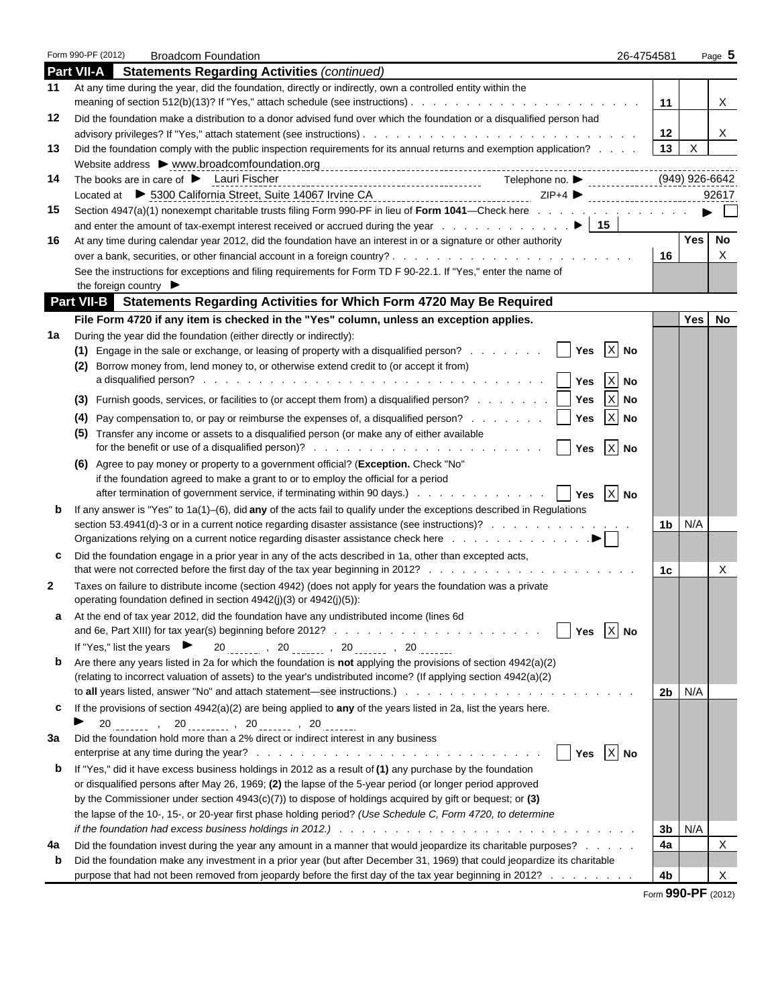|              | Form 990-PF (2012) |                                                                                                                                                                                                                                            | <b>Broadcom Foundation</b> |                                         |  |  |                  |                           | 26-4754581 |                          | Page 5 |  |
|--------------|--------------------|--------------------------------------------------------------------------------------------------------------------------------------------------------------------------------------------------------------------------------------------|----------------------------|-----------------------------------------|--|--|------------------|---------------------------|------------|--------------------------|--------|--|
|              |                    | <b>Part VII-A</b> Statements Regarding Activities (continued)                                                                                                                                                                              |                            |                                         |  |  |                  |                           |            |                          |        |  |
| 11           |                    | At any time during the year, did the foundation, directly or indirectly, own a controlled entity within the                                                                                                                                |                            |                                         |  |  |                  |                           |            | 11                       | X.     |  |
| 12           |                    | Did the foundation make a distribution to a donor advised fund over which the foundation or a disqualified person had                                                                                                                      |                            |                                         |  |  |                  |                           |            |                          |        |  |
|              |                    |                                                                                                                                                                                                                                            |                            |                                         |  |  |                  |                           |            | 12<br>$\mathsf{X}$<br>13 | X.     |  |
| 13           |                    | Did the foundation comply with the public inspection requirements for its annual returns and exemption application?                                                                                                                        |                            |                                         |  |  |                  |                           |            |                          |        |  |
| 14           |                    | Website address > www.broadcomfoundation.org<br>The books are in care of $\blacktriangleright$ Lauri Fischer                                                                                                                               |                            |                                         |  |  |                  |                           |            | (949) 926-6642           |        |  |
|              |                    | Located at ▶ 5300 California Street, Suite 14067 Irvine CA<br>Located at ▶ 5300 California Street, Suite 14067 Irvine CA<br>Located Direct Direct Direct Direct Direct Direct Direct Direct Direct Direct Direct Direct Direct Di          |                            |                                         |  |  |                  |                           |            |                          | 92617  |  |
| 15           |                    | Section 4947(a)(1) nonexempt charitable trusts filing Form 990-PF in lieu of Form 1041—Check here                                                                                                                                          |                            |                                         |  |  |                  |                           |            |                          |        |  |
|              |                    |                                                                                                                                                                                                                                            |                            |                                         |  |  |                  |                           |            |                          |        |  |
| 16           |                    | At any time during calendar year 2012, did the foundation have an interest in or a signature or other authority                                                                                                                            |                            |                                         |  |  |                  |                           |            | <b>Yes</b>               | No     |  |
|              |                    |                                                                                                                                                                                                                                            |                            |                                         |  |  |                  |                           |            | 16                       | X      |  |
|              |                    | See the instructions for exceptions and filing requirements for Form TD F 90-22.1. If "Yes," enter the name of<br>the foreign country $\blacktriangleright$                                                                                |                            |                                         |  |  |                  |                           |            |                          |        |  |
|              |                    | Part VII-B Statements Regarding Activities for Which Form 4720 May Be Required                                                                                                                                                             |                            |                                         |  |  |                  |                           |            |                          |        |  |
|              |                    | File Form 4720 if any item is checked in the "Yes" column, unless an exception applies.                                                                                                                                                    |                            |                                         |  |  |                  |                           |            | Yes                      | No     |  |
| 1a           |                    | During the year did the foundation (either directly or indirectly):                                                                                                                                                                        |                            |                                         |  |  |                  |                           |            |                          |        |  |
|              |                    | (1) Engage in the sale or exchange, or leasing of property with a disqualified person?     Yes                                                                                                                                             |                            |                                         |  |  |                  | $X$ No                    |            |                          |        |  |
|              | (2)                | Borrow money from, lend money to, or otherwise extend credit to (or accept it from)                                                                                                                                                        |                            |                                         |  |  |                  |                           |            |                          |        |  |
|              |                    |                                                                                                                                                                                                                                            |                            |                                         |  |  |                  | $\mathsf{X}$              | <b>No</b>  |                          |        |  |
|              |                    | (3) Furnish goods, services, or facilities to (or accept them from) a disqualified person?     Yes                                                                                                                                         |                            |                                         |  |  |                  | $\boldsymbol{\mathsf{X}}$ | <b>No</b>  |                          |        |  |
|              |                    | (4) Pay compensation to, or pay or reimburse the expenses of, a disqualified person?     Yes                                                                                                                                               |                            |                                         |  |  |                  | $X$ No                    |            |                          |        |  |
|              |                    | (5) Transfer any income or assets to a disqualified person (or make any of either available                                                                                                                                                |                            |                                         |  |  |                  |                           |            |                          |        |  |
|              |                    |                                                                                                                                                                                                                                            |                            |                                         |  |  | <b>Nes</b>       | $X$ No                    |            |                          |        |  |
|              |                    | (6) Agree to pay money or property to a government official? (Exception. Check "No"                                                                                                                                                        |                            |                                         |  |  |                  |                           |            |                          |        |  |
|              |                    | if the foundation agreed to make a grant to or to employ the official for a period                                                                                                                                                         |                            |                                         |  |  |                  |                           |            |                          |        |  |
|              |                    |                                                                                                                                                                                                                                            |                            |                                         |  |  |                  |                           |            |                          |        |  |
| b            |                    | If any answer is "Yes" to 1a(1)-(6), did any of the acts fail to qualify under the exceptions described in Regulations                                                                                                                     |                            |                                         |  |  |                  |                           |            |                          |        |  |
|              |                    | section 53.4941(d)-3 or in a current notice regarding disaster assistance (see instructions)?<br>Organizations relying on a current notice regarding disaster assistance check here with a content of the content of $\blacktriangleright$ |                            |                                         |  |  |                  |                           |            | N/A<br>1b l              |        |  |
| c            |                    | Did the foundation engage in a prior year in any of the acts described in 1a, other than excepted acts,                                                                                                                                    |                            |                                         |  |  |                  |                           |            |                          |        |  |
|              |                    |                                                                                                                                                                                                                                            |                            |                                         |  |  |                  |                           |            | 1c                       | X      |  |
| $\mathbf{2}$ |                    | Taxes on failure to distribute income (section 4942) (does not apply for years the foundation was a private<br>operating foundation defined in section 4942(j)(3) or 4942(j)(5)):                                                          |                            |                                         |  |  |                  |                           |            |                          |        |  |
|              |                    | At the end of tax year 2012, did the foundation have any undistributed income (lines 6d)                                                                                                                                                   |                            |                                         |  |  |                  |                           |            |                          |        |  |
|              |                    |                                                                                                                                                                                                                                            |                            |                                         |  |  | Yes              | $X$ No                    |            |                          |        |  |
|              |                    | If "Yes," list the years $\blacktriangleright$                                                                                                                                                                                             |                            | $20$ , $20$ , $20$ , $20$ , $20$ , $20$ |  |  |                  |                           |            |                          |        |  |
| b            |                    | Are there any years listed in 2a for which the foundation is <b>not</b> applying the provisions of section $4942(a)(2)$                                                                                                                    |                            |                                         |  |  |                  |                           |            |                          |        |  |
|              |                    | (relating to incorrect valuation of assets) to the year's undistributed income? (If applying section 4942(a)(2)                                                                                                                            |                            |                                         |  |  |                  |                           |            |                          |        |  |
|              |                    |                                                                                                                                                                                                                                            |                            |                                         |  |  |                  |                           |            | N/A<br>2b l              |        |  |
| C            | ▶                  | If the provisions of section 4942(a)(2) are being applied to any of the years listed in 2a, list the years here.<br>$20$ , $20$ , $20$ , $20$ , $20$ , $20$ , $20$                                                                         |                            |                                         |  |  |                  |                           |            |                          |        |  |
| За           |                    | Did the foundation hold more than a 2% direct or indirect interest in any business                                                                                                                                                         |                            |                                         |  |  |                  |                           |            |                          |        |  |
|              |                    |                                                                                                                                                                                                                                            |                            |                                         |  |  | $ $ Yes $ X $ No |                           |            |                          |        |  |
| b            |                    | If "Yes," did it have excess business holdings in 2012 as a result of (1) any purchase by the foundation                                                                                                                                   |                            |                                         |  |  |                  |                           |            |                          |        |  |
|              |                    | or disqualified persons after May 26, 1969; (2) the lapse of the 5-year period (or longer period approved                                                                                                                                  |                            |                                         |  |  |                  |                           |            |                          |        |  |
|              |                    | by the Commissioner under section $4943(c)(7)$ to dispose of holdings acquired by gift or bequest; or (3)                                                                                                                                  |                            |                                         |  |  |                  |                           |            |                          |        |  |
|              |                    | the lapse of the 10-, 15-, or 20-year first phase holding period? (Use Schedule C, Form 4720, to determine                                                                                                                                 |                            |                                         |  |  |                  |                           |            | N/A<br>3b                |        |  |
| 4a           |                    | Did the foundation invest during the year any amount in a manner that would jeopardize its charitable purposes?                                                                                                                            |                            |                                         |  |  |                  |                           |            | 4a                       | Χ      |  |
| b            |                    | Did the foundation make any investment in a prior year (but after December 31, 1969) that could jeopardize its charitable                                                                                                                  |                            |                                         |  |  |                  |                           |            |                          |        |  |
|              |                    | purpose that had not been removed from jeopardy before the first day of the tax year beginning in 2012?                                                                                                                                    |                            |                                         |  |  |                  |                           |            | 4b                       | х      |  |
|              |                    |                                                                                                                                                                                                                                            |                            |                                         |  |  |                  |                           |            |                          |        |  |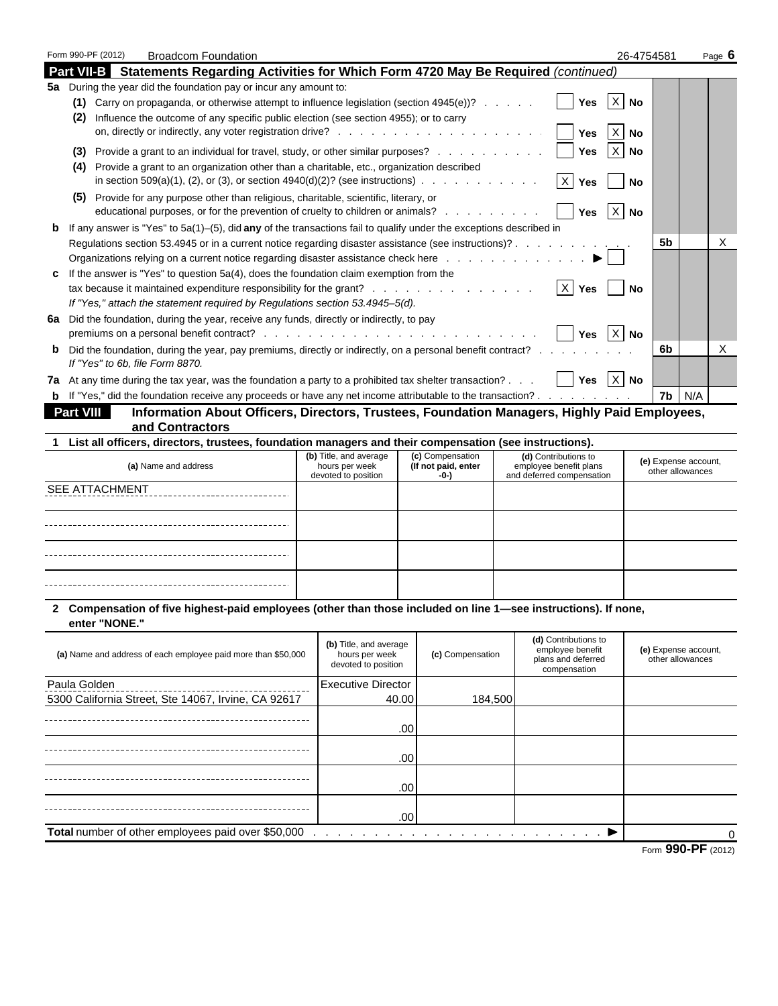|              |                |                                                                                                                                                                          |                                       |                             |                                                     | 26-4754581           | Page <b>6</b> |
|--------------|----------------|--------------------------------------------------------------------------------------------------------------------------------------------------------------------------|---------------------------------------|-----------------------------|-----------------------------------------------------|----------------------|---------------|
|              |                | <b>Part VII-B</b> Statements Regarding Activities for Which Form 4720 May Be Required (continued)                                                                        |                                       |                             |                                                     |                      |               |
|              |                | 5a During the year did the foundation pay or incur any amount to:                                                                                                        |                                       |                             |                                                     |                      |               |
|              |                | (1) Carry on propaganda, or otherwise attempt to influence legislation (section $4945(e)$ )?                                                                             |                                       |                             | Yes                                                 | $X$ No               |               |
|              | (2)            | Influence the outcome of any specific public election (see section 4955); or to carry                                                                                    |                                       |                             |                                                     |                      |               |
|              |                |                                                                                                                                                                          |                                       |                             | $\vert x \vert$<br>Yes                              | No                   |               |
|              |                | (3) Provide a grant to an individual for travel, study, or other similar purposes?                                                                                       |                                       |                             | Yes                                                 | $X$ No               |               |
|              |                | (4) Provide a grant to an organization other than a charitable, etc., organization described                                                                             |                                       |                             |                                                     |                      |               |
|              |                | in section 509(a)(1), (2), or (3), or section 4940(d)(2)? (see instructions) $\ldots$ , , ,                                                                              |                                       |                             | Yes                                                 | No                   |               |
|              |                | (5) Provide for any purpose other than religious, charitable, scientific, literary, or<br>educational purposes, or for the prevention of cruelty to children or animals? |                                       |                             | Yes $ X $ No                                        |                      |               |
|              |                | <b>b</b> If any answer is "Yes" to $5a(1)$ –(5), did any of the transactions fail to qualify under the exceptions described in                                           |                                       |                             |                                                     |                      |               |
|              |                | Regulations section 53.4945 or in a current notice regarding disaster assistance (see instructions)?                                                                     |                                       |                             |                                                     | 5b                   | X             |
|              |                | Organizations relying on a current notice regarding disaster assistance check here $\ldots$ , $\ldots$ , $\ldots$ , $\blacktriangleright$                                |                                       |                             |                                                     |                      |               |
| c.           |                | If the answer is "Yes" to question 5a(4), does the foundation claim exemption from the                                                                                   |                                       |                             |                                                     |                      |               |
|              |                | tax because it maintained expenditure responsibility for the grant?   X   Yes                                                                                            |                                       |                             |                                                     | No                   |               |
|              |                | If "Yes," attach the statement required by Regulations section 53.4945-5(d).                                                                                             |                                       |                             |                                                     |                      |               |
|              |                | 6a Did the foundation, during the year, receive any funds, directly or indirectly, to pay                                                                                |                                       |                             | Yes $X$ No                                          |                      |               |
| $\mathbf{p}$ |                | Did the foundation, during the year, pay premiums, directly or indirectly, on a personal benefit contract?                                                               |                                       |                             |                                                     | 6b                   | X             |
|              |                | If "Yes" to 6b, file Form 8870.                                                                                                                                          |                                       |                             |                                                     |                      |               |
|              |                | 7a At any time during the tax year, was the foundation a party to a prohibited tax shelter transaction? $\Box$ Yes $\Box$ No                                             |                                       |                             |                                                     |                      |               |
|              |                | <b>b</b> If "Yes," did the foundation receive any proceeds or have any net income attributable to the transaction?                                                       |                                       |                             |                                                     | $7b$ $N/A$           |               |
|              | Part VIII      | Information About Officers, Directors, Trustees, Foundation Managers, Highly Paid Employees,                                                                             |                                       |                             |                                                     |                      |               |
|              |                | and Contractors                                                                                                                                                          |                                       |                             |                                                     |                      |               |
|              |                | 1 List all officers, directors, trustees, foundation managers and their compensation (see instructions).                                                                 |                                       |                             |                                                     |                      |               |
|              |                |                                                                                                                                                                          | (b) Title, and average                | (c) Compensation            | (d) Contributions to                                | (e) Expense account, |               |
|              |                | (a) Name and address                                                                                                                                                     | hours per week<br>devoted to position | (If not paid, enter<br>-0-) | employee benefit plans<br>and deferred compensation | other allowances     |               |
|              | SEE ATTACHMENT |                                                                                                                                                                          |                                       |                             |                                                     |                      |               |
|              |                |                                                                                                                                                                          |                                       |                             |                                                     |                      |               |
|              |                |                                                                                                                                                                          |                                       |                             |                                                     |                      |               |
|              |                |                                                                                                                                                                          |                                       |                             |                                                     |                      |               |
|              |                |                                                                                                                                                                          |                                       |                             |                                                     |                      |               |
|              |                |                                                                                                                                                                          |                                       |                             |                                                     |                      |               |
|              |                |                                                                                                                                                                          |                                       |                             |                                                     |                      |               |
|              |                |                                                                                                                                                                          |                                       |                             |                                                     |                      |               |
|              | enter "NONE."  | 2 Compensation of five highest-paid employees (other than those included on line 1-see instructions). If none,                                                           |                                       |                             |                                                     |                      |               |
|              |                |                                                                                                                                                                          | (b) Title, and average                |                             | (d) Contributions to<br>employee benefit            | (e) Expense account, |               |
|              |                | (a) Name and address of each employee paid more than \$50,000                                                                                                            | hours per week<br>devoted to position | (c) Compensation            | plans and deferred                                  | other allowances     |               |
|              |                |                                                                                                                                                                          |                                       |                             | compensation                                        |                      |               |
|              | Paula Golden   |                                                                                                                                                                          | <b>Executive Director</b>             |                             |                                                     |                      |               |
|              |                | 5300 California Street, Ste 14067, Irvine, CA 92617                                                                                                                      |                                       | 40.00                       | 184,500                                             |                      |               |
|              |                |                                                                                                                                                                          |                                       | .00                         |                                                     |                      |               |
|              |                |                                                                                                                                                                          |                                       |                             |                                                     |                      |               |
|              |                |                                                                                                                                                                          |                                       | .00                         |                                                     |                      |               |
|              |                |                                                                                                                                                                          |                                       |                             |                                                     |                      |               |
|              |                |                                                                                                                                                                          |                                       | .00                         |                                                     |                      |               |
|              |                |                                                                                                                                                                          |                                       |                             |                                                     |                      |               |
|              |                |                                                                                                                                                                          |                                       |                             |                                                     |                      |               |
|              |                |                                                                                                                                                                          |                                       | .00                         |                                                     |                      |               |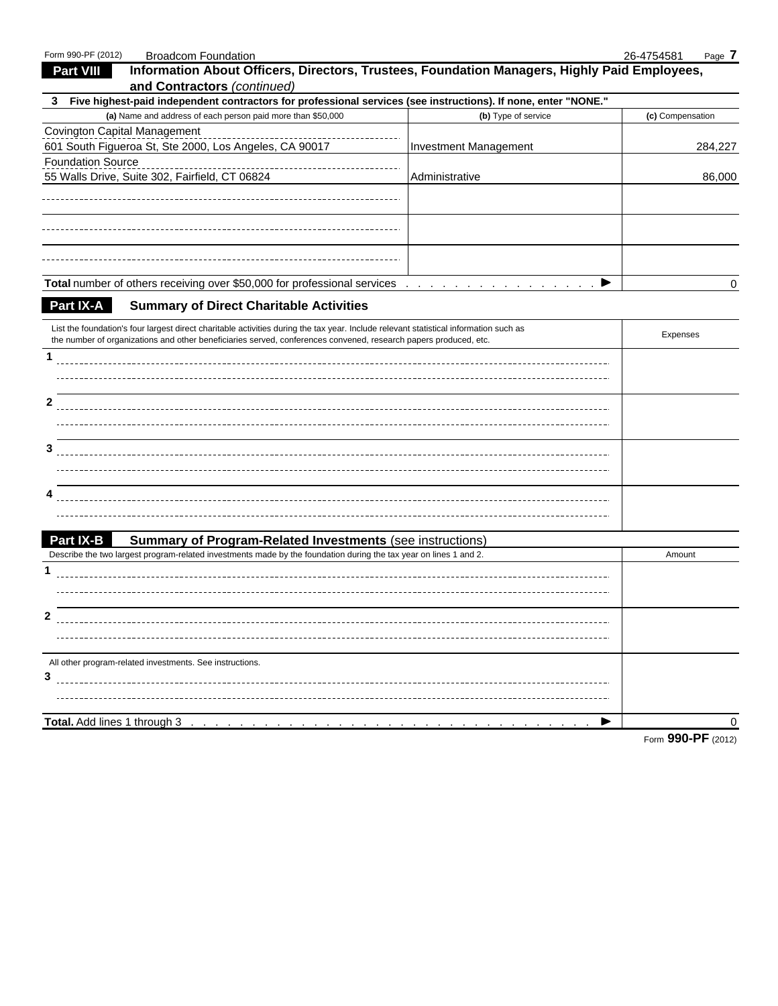| Information About Officers, Directors, Trustees, Foundation Managers, Highly Paid Employees,<br><b>Part VIII</b><br>and Contractors (continued)<br>3 Five highest-paid independent contractors for professional services (see instructions). If none, enter "NONE." |                                         |
|---------------------------------------------------------------------------------------------------------------------------------------------------------------------------------------------------------------------------------------------------------------------|-----------------------------------------|
|                                                                                                                                                                                                                                                                     |                                         |
|                                                                                                                                                                                                                                                                     |                                         |
|                                                                                                                                                                                                                                                                     |                                         |
| (a) Name and address of each person paid more than \$50,000                                                                                                                                                                                                         | (b) Type of service<br>(c) Compensation |
| Covington Capital Management                                                                                                                                                                                                                                        |                                         |
| 601 South Figueroa St, Ste 2000, Los Angeles, CA 90017<br><b>Investment Management</b>                                                                                                                                                                              | 284,227                                 |
| <b>Foundation Source</b>                                                                                                                                                                                                                                            |                                         |
| 55 Walls Drive, Suite 302, Fairfield, CT 06824<br>Administrative                                                                                                                                                                                                    | 86,000                                  |
|                                                                                                                                                                                                                                                                     |                                         |
|                                                                                                                                                                                                                                                                     |                                         |
|                                                                                                                                                                                                                                                                     |                                         |
|                                                                                                                                                                                                                                                                     |                                         |
|                                                                                                                                                                                                                                                                     |                                         |
|                                                                                                                                                                                                                                                                     | ▶<br>0                                  |
| Total number of others receiving over \$50,000 for professional services                                                                                                                                                                                            |                                         |
| <b>Part IX-A</b><br><b>Summary of Direct Charitable Activities</b>                                                                                                                                                                                                  |                                         |
| List the foundation's four largest direct charitable activities during the tax year. Include relevant statistical information such as                                                                                                                               |                                         |
| the number of organizations and other beneficiaries served, conferences convened, research papers produced, etc.                                                                                                                                                    | Expenses                                |
| $\mathbf{1}$                                                                                                                                                                                                                                                        |                                         |
|                                                                                                                                                                                                                                                                     |                                         |
|                                                                                                                                                                                                                                                                     |                                         |
| $\mathbf{2}$                                                                                                                                                                                                                                                        |                                         |
|                                                                                                                                                                                                                                                                     |                                         |
|                                                                                                                                                                                                                                                                     |                                         |
| 3                                                                                                                                                                                                                                                                   |                                         |
|                                                                                                                                                                                                                                                                     |                                         |
|                                                                                                                                                                                                                                                                     |                                         |
| 4                                                                                                                                                                                                                                                                   |                                         |
|                                                                                                                                                                                                                                                                     |                                         |
| <b>Part IX-B</b><br><b>Summary of Program-Related Investments (see instructions)</b>                                                                                                                                                                                |                                         |
| Describe the two largest program-related investments made by the foundation during the tax year on lines 1 and 2.                                                                                                                                                   | Amount                                  |
| 1                                                                                                                                                                                                                                                                   |                                         |
|                                                                                                                                                                                                                                                                     |                                         |
|                                                                                                                                                                                                                                                                     |                                         |
| $\mathbf{2}$                                                                                                                                                                                                                                                        |                                         |
|                                                                                                                                                                                                                                                                     |                                         |
|                                                                                                                                                                                                                                                                     |                                         |
| All other program-related investments. See instructions.                                                                                                                                                                                                            |                                         |
| 3                                                                                                                                                                                                                                                                   |                                         |
|                                                                                                                                                                                                                                                                     |                                         |
|                                                                                                                                                                                                                                                                     |                                         |
| Total. Add lines 1 through 3                                                                                                                                                                                                                                        | 0                                       |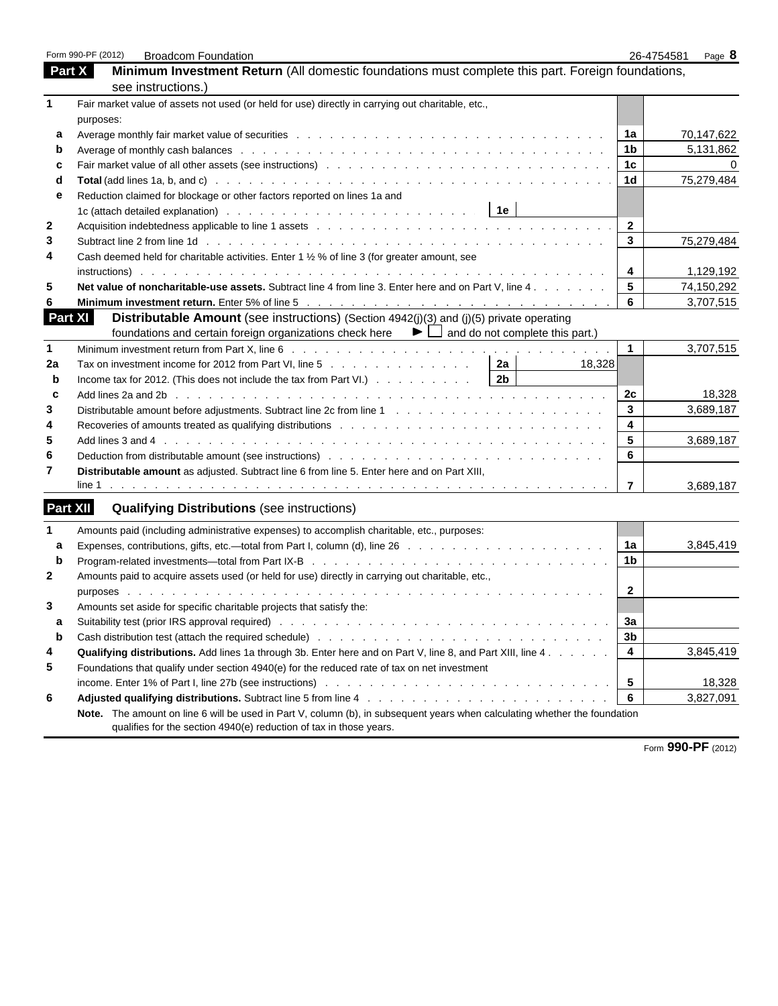|              | Form 990-PF (2012)<br><b>Broadcom Foundation</b>                                                                           | 26-4754581     | Page 8     |
|--------------|----------------------------------------------------------------------------------------------------------------------------|----------------|------------|
|              | Minimum Investment Return (All domestic foundations must complete this part. Foreign foundations,<br>Part X                |                |            |
|              | see instructions.)                                                                                                         |                |            |
|              | Fair market value of assets not used (or held for use) directly in carrying out charitable, etc.,                          |                |            |
|              | purposes:                                                                                                                  |                |            |
| a            |                                                                                                                            | 1a             | 70,147,622 |
| b            |                                                                                                                            | 1b             | 5,131,862  |
| c            |                                                                                                                            | 1 <sub>c</sub> |            |
| d            |                                                                                                                            | 1 <sub>d</sub> | 75,279,484 |
| е            | Reduction claimed for blockage or other factors reported on lines 1a and                                                   |                |            |
|              |                                                                                                                            |                |            |
| $\mathbf{2}$ |                                                                                                                            | $\mathbf{2}$   |            |
| 3            |                                                                                                                            | $\mathbf{3}$   | 75,279,484 |
| 4            | Cash deemed held for charitable activities. Enter 1 1/2 % of line 3 (for greater amount, see                               |                |            |
|              |                                                                                                                            | 4              | 1,129,192  |
| 5            | Net value of noncharitable-use assets. Subtract line 4 from line 3. Enter here and on Part V. line 4.                      | 5              | 74,150,292 |
|              |                                                                                                                            | 6              | 3,707,515  |
|              | <b>Part XI</b><br>Distributable Amount (see instructions) (Section 4942(j)(3) and (j)(5) private operating                 |                |            |
|              | foundations and certain foreign organizations check here $\blacktriangleright \Box$ and do not complete this part.)        |                |            |
| $\mathbf{1}$ |                                                                                                                            | $\mathbf{1}$   | 3,707,515  |
| 2a           | Tax on investment income for 2012 from Part VI, line 5 $\ldots$ 2 2a<br>18,328                                             |                |            |
| b            | 2b $\overline{ }$<br>Income tax for 2012. (This does not include the tax from Part VI.)                                    |                |            |
| c            |                                                                                                                            | 2c             | 18,328     |
| 3            |                                                                                                                            | 3              | 3,689,187  |
| 4            | Recoveries of amounts treated as qualifying distributions recoversal and contact and contact and an analyze of             | 4              |            |
| 5            |                                                                                                                            | 5              | 3,689,187  |
| 6            |                                                                                                                            | 6              |            |
| 7            | Distributable amount as adjusted. Subtract line 6 from line 5. Enter here and on Part XIII,                                |                |            |
|              |                                                                                                                            | $\overline{7}$ | 3,689,187  |
|              | Part XII<br><b>Qualifying Distributions (see instructions)</b>                                                             |                |            |
| $\mathbf 1$  | Amounts paid (including administrative expenses) to accomplish charitable, etc., purposes:                                 |                |            |
| a            |                                                                                                                            | 1a             | 3,845,419  |
| $\mathbf b$  |                                                                                                                            | 1 <sub>b</sub> |            |
| $\mathbf{2}$ | Amounts paid to acquire assets used (or held for use) directly in carrying out charitable, etc.,                           |                |            |
|              |                                                                                                                            | $\mathbf{2}$   |            |
| 3            | Amounts set aside for specific charitable projects that satisfy the:                                                       |                |            |
| а            |                                                                                                                            | за             |            |
| b            |                                                                                                                            | 3b             |            |
| 4            | Qualifying distributions. Add lines 1a through 3b. Enter here and on Part V, line 8, and Part XIII, line 4.                | 4              | 3,845,419  |
| 5            | Foundations that qualify under section 4940(e) for the reduced rate of tax on net investment                               |                |            |
|              |                                                                                                                            | 5              | 18,328     |
| 6            |                                                                                                                            | 6              | 3,827,091  |
|              | Note. The amount on line 6 will be used in Part V, column (b), in subsequent years when calculating whether the foundation |                |            |
|              | qualifies for the section 4940(e) reduction of tax in those years.                                                         |                |            |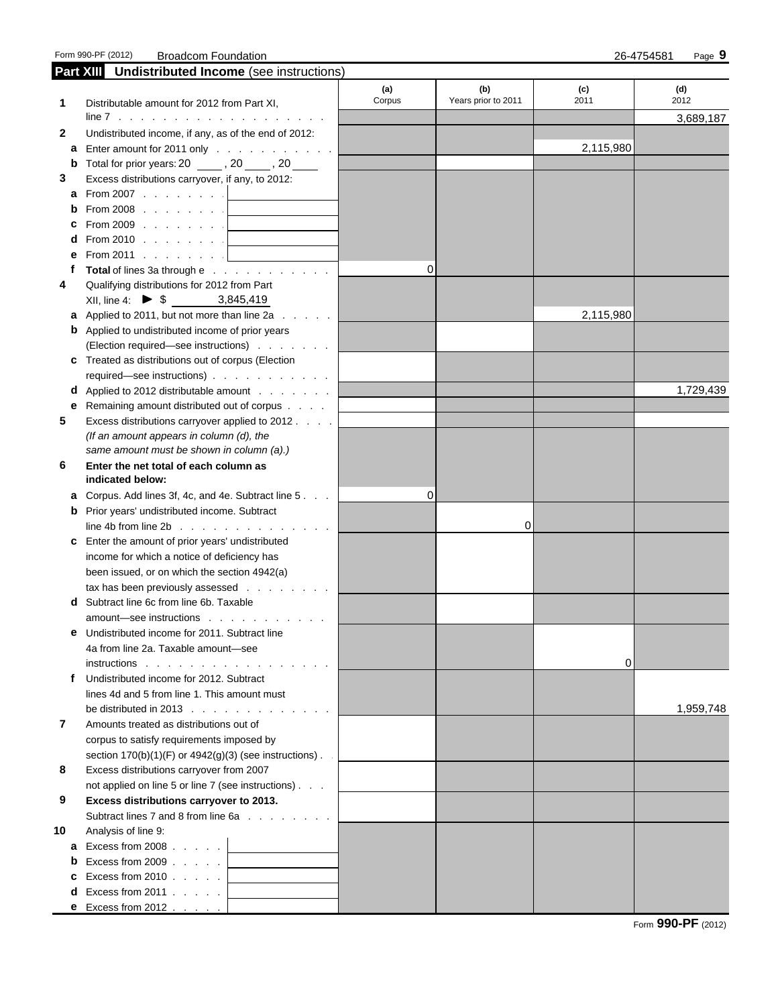Form 990-PF (2012) Broadcom Foundation 26-4754581 Page **9**

|    | Part XIII Undistributed Income (see instructions)                          |          |                     |           |           |
|----|----------------------------------------------------------------------------|----------|---------------------|-----------|-----------|
|    |                                                                            | (a)      | (b)                 | (c)       | (d)       |
| 1  | Distributable amount for 2012 from Part XI,                                | Corpus   | Years prior to 2011 | 2011      | 2012      |
|    |                                                                            |          |                     |           | 3,689,187 |
| 2  | Undistributed income, if any, as of the end of 2012:                       |          |                     |           |           |
|    | <b>a</b> Enter amount for 2011 only $\ldots$ $\ldots$ $\ldots$ $\ldots$    |          |                     | 2,115,980 |           |
|    | <b>b</b> Total for prior years: $20$ ______, $20$ _____, $20$ _____        |          |                     |           |           |
| 3  | Excess distributions carryover, if any, to 2012:                           |          |                     |           |           |
| a  | From 2007 $\ldots$ $\ldots$ $\ldots$                                       |          |                     |           |           |
|    | From 2008 $\ldots$ $\ldots$ $\ldots$                                       |          |                     |           |           |
|    | From 2009                                                                  |          |                     |           |           |
|    | <b>d</b> From 2010 $\vert$                                                 |          |                     |           |           |
| е  | From 2011 $\ldots$ $\ldots$ $\ldots$                                       |          |                     |           |           |
|    | Total of lines 3a through e                                                | $\Omega$ |                     |           |           |
|    | Qualifying distributions for 2012 from Part                                |          |                     |           |           |
|    | XII, line 4: ▶ $\frac{1}{2}$ 3,845,419                                     |          |                     |           |           |
|    | <b>a</b> Applied to 2011, but not more than line 2a                        |          |                     | 2,115,980 |           |
|    | <b>b</b> Applied to undistributed income of prior years                    |          |                     |           |           |
|    | (Election required-see instructions)                                       |          |                     |           |           |
|    | c Treated as distributions out of corpus (Election                         |          |                     |           |           |
|    | required—see instructions)                                                 |          |                     |           |           |
|    | Applied to 2012 distributable amount                                       |          |                     |           | 1,729,439 |
| е  | Remaining amount distributed out of corpus                                 |          |                     |           |           |
| 5  | Excess distributions carryover applied to 2012.                            |          |                     |           |           |
|    | (If an amount appears in column (d), the                                   |          |                     |           |           |
|    | same amount must be shown in column (a).)                                  |          |                     |           |           |
| 6  | Enter the net total of each column as<br>indicated below:                  |          |                     |           |           |
| а  | Corpus. Add lines 3f, 4c, and 4e. Subtract line 5.                         | $\Omega$ |                     |           |           |
|    | <b>b</b> Prior years' undistributed income. Subtract                       |          |                     |           |           |
|    | line 4b from line 2b $\ldots$ $\ldots$ $\ldots$ $\ldots$ $\ldots$ $\ldots$ |          | 0                   |           |           |
|    | <b>c</b> Enter the amount of prior years' undistributed                    |          |                     |           |           |
|    | income for which a notice of deficiency has                                |          |                     |           |           |
|    | been issued, or on which the section 4942(a)                               |          |                     |           |           |
|    | tax has been previously assessed                                           |          |                     |           |           |
| d  | Subtract line 6c from line 6b. Taxable                                     |          |                     |           |           |
|    | amount-see instructions                                                    |          |                     |           |           |
|    | Undistributed income for 2011. Subtract line                               |          |                     |           |           |
|    | 4a from line 2a. Taxable amount-see                                        |          |                     |           |           |
|    | instructions                                                               |          |                     | $\Omega$  |           |
| f  | Undistributed income for 2012. Subtract                                    |          |                     |           |           |
|    | lines 4d and 5 from line 1. This amount must                               |          |                     |           |           |
|    | be distributed in 2013 $\ldots$                                            |          |                     |           | 1,959,748 |
| 7  | Amounts treated as distributions out of                                    |          |                     |           |           |
|    | corpus to satisfy requirements imposed by                                  |          |                     |           |           |
|    | section $170(b)(1)(F)$ or $4942(g)(3)$ (see instructions).                 |          |                     |           |           |
| 8  | Excess distributions carryover from 2007                                   |          |                     |           |           |
|    | not applied on line 5 or line 7 (see instructions).                        |          |                     |           |           |
| 9  | Excess distributions carryover to 2013.                                    |          |                     |           |           |
|    | Subtract lines 7 and 8 from line 6a                                        |          |                     |           |           |
|    |                                                                            |          |                     |           |           |
| 10 | Analysis of line 9:                                                        |          |                     |           |           |
|    | <b>a</b> Excess from 2008                                                  |          |                     |           |           |
|    | Excess from 2009 $\ldots$ $\ldots$ $\qquad \qquad$                         |          |                     |           |           |
|    | Excess from 2010 $\ldots$ $\ldots$                                         |          |                     |           |           |
|    | Excess from 2011 <u>  _ _ _ _ _ _ _ _ _ _</u>                              |          |                     |           |           |
|    | <b>e</b> Excess from 2012 $\ldots$                                         |          |                     |           |           |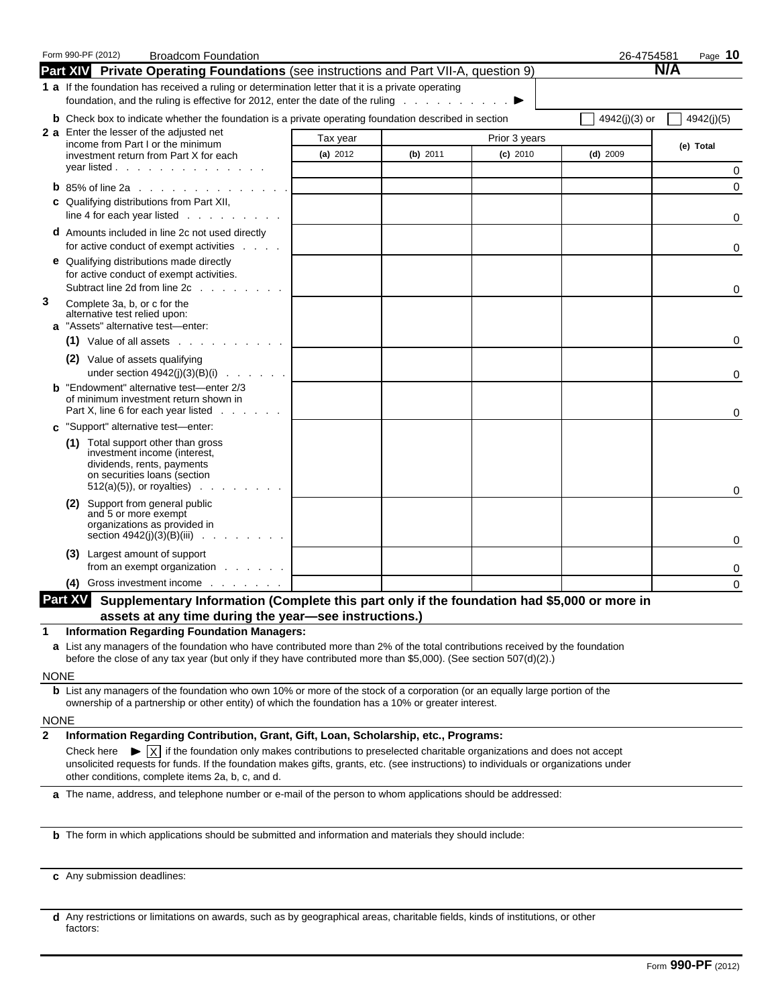|                             | Form 990-PF (2012)<br><b>Broadcom Foundation</b>                                                                                                                                                                                                                                       |            |          |               | 26-4754581    | Page 10    |
|-----------------------------|----------------------------------------------------------------------------------------------------------------------------------------------------------------------------------------------------------------------------------------------------------------------------------------|------------|----------|---------------|---------------|------------|
|                             | Part XIV Private Operating Foundations (see instructions and Part VII-A, question 9)                                                                                                                                                                                                   |            |          |               |               | N/A        |
|                             | 1 a If the foundation has received a ruling or determination letter that it is a private operating                                                                                                                                                                                     |            |          |               |               |            |
|                             | foundation, and the ruling is effective for 2012, enter the date of the ruling $\blacksquare$                                                                                                                                                                                          |            |          |               |               |            |
|                             | <b>b</b> Check box to indicate whether the foundation is a private operating foundation described in section                                                                                                                                                                           |            |          |               | 4942(j)(3) or | 4942(j)(5) |
|                             | 2 a Enter the lesser of the adjusted net<br>income from Part I or the minimum                                                                                                                                                                                                          | Tax year   |          | Prior 3 years |               | (e) Total  |
|                             | investment return from Part X for each                                                                                                                                                                                                                                                 | (a) $2012$ | (b) 2011 | $(c)$ 2010    | $(d)$ 2009    |            |
|                             | year listed                                                                                                                                                                                                                                                                            |            |          |               |               | 0          |
|                             | <b>b</b> 85% of line 2a $\ldots$ $\ldots$ $\ldots$ $\ldots$ $\ldots$                                                                                                                                                                                                                   |            |          |               |               | $\Omega$   |
|                             | c Qualifying distributions from Part XII,<br>line 4 for each year listed $\ldots$                                                                                                                                                                                                      |            |          |               |               | 0          |
|                             | d Amounts included in line 2c not used directly<br>for active conduct of exempt activities                                                                                                                                                                                             |            |          |               |               | 0          |
|                             | <b>e</b> Qualifying distributions made directly<br>for active conduct of exempt activities.<br>Subtract line 2d from line 2c                                                                                                                                                           |            |          |               |               |            |
| 3                           | Complete 3a, b, or c for the                                                                                                                                                                                                                                                           |            |          |               |               | 0          |
|                             | alternative test relied upon:                                                                                                                                                                                                                                                          |            |          |               |               |            |
|                             | a "Assets" alternative test-enter:                                                                                                                                                                                                                                                     |            |          |               |               |            |
|                             | $(1)$ Value of all assets $\ldots$ , $\ldots$ , $\ldots$                                                                                                                                                                                                                               |            |          |               |               | 0          |
|                             | (2) Value of assets qualifying<br>under section $4942(i)(3)(B)(i)$                                                                                                                                                                                                                     |            |          |               |               | 0          |
|                             | <b>b</b> "Endowment" alternative test-enter 2/3<br>of minimum investment return shown in<br>Part X, line 6 for each year listed                                                                                                                                                        |            |          |               |               | 0          |
|                             | c "Support" alternative test-enter:                                                                                                                                                                                                                                                    |            |          |               |               |            |
|                             | (1) Total support other than gross<br>investment income (interest,<br>dividends, rents, payments                                                                                                                                                                                       |            |          |               |               |            |
|                             | on securities loans (section<br>$512(a)(5)$ , or royalties)                                                                                                                                                                                                                            |            |          |               |               | 0          |
|                             | Support from general public<br>(2)<br>and 5 or more exempt                                                                                                                                                                                                                             |            |          |               |               |            |
|                             | organizations as provided in<br>section $4942(j)(3)(B)(iii)$                                                                                                                                                                                                                           |            |          |               |               | 0          |
|                             | (3) Largest amount of support<br>from an exempt organization                                                                                                                                                                                                                           |            |          |               |               | 0          |
|                             | Gross investment income<br>(4)                                                                                                                                                                                                                                                         |            |          |               |               | $\Omega$   |
|                             | Part XV<br>Supplementary Information (Complete this part only if the foundation had \$5,000 or more in                                                                                                                                                                                 |            |          |               |               |            |
|                             | assets at any time during the year-see instructions.)                                                                                                                                                                                                                                  |            |          |               |               |            |
| 1                           | <b>Information Regarding Foundation Managers:</b>                                                                                                                                                                                                                                      |            |          |               |               |            |
|                             | a List any managers of the foundation who have contributed more than 2% of the total contributions received by the foundation                                                                                                                                                          |            |          |               |               |            |
|                             | before the close of any tax year (but only if they have contributed more than \$5,000). (See section 507(d)(2).)                                                                                                                                                                       |            |          |               |               |            |
| <b>NONE</b>                 |                                                                                                                                                                                                                                                                                        |            |          |               |               |            |
|                             | <b>b</b> List any managers of the foundation who own 10% or more of the stock of a corporation (or an equally large portion of the<br>ownership of a partnership or other entity) of which the foundation has a 10% or greater interest.                                               |            |          |               |               |            |
|                             |                                                                                                                                                                                                                                                                                        |            |          |               |               |            |
| <b>NONE</b><br>$\mathbf{2}$ | Information Regarding Contribution, Grant, Gift, Loan, Scholarship, etc., Programs:                                                                                                                                                                                                    |            |          |               |               |            |
|                             | Check here $\blacktriangleright  \chi $ if the foundation only makes contributions to preselected charitable organizations and does not accept<br>unsolicited requests for funds. If the foundation makes gifts, grants, etc. (see instructions) to individuals or organizations under |            |          |               |               |            |
|                             | other conditions, complete items 2a, b, c, and d.                                                                                                                                                                                                                                      |            |          |               |               |            |
|                             | a The name, address, and telephone number or e-mail of the person to whom applications should be addressed:                                                                                                                                                                            |            |          |               |               |            |
|                             | <b>b</b> The form in which applications should be submitted and information and materials they should include:                                                                                                                                                                         |            |          |               |               |            |
|                             |                                                                                                                                                                                                                                                                                        |            |          |               |               |            |
|                             | c Any submission deadlines:                                                                                                                                                                                                                                                            |            |          |               |               |            |
|                             |                                                                                                                                                                                                                                                                                        |            |          |               |               |            |

**d** Any restrictions or limitations on awards, such as by geographical areas, charitable fields, kinds of institutions, or other factors: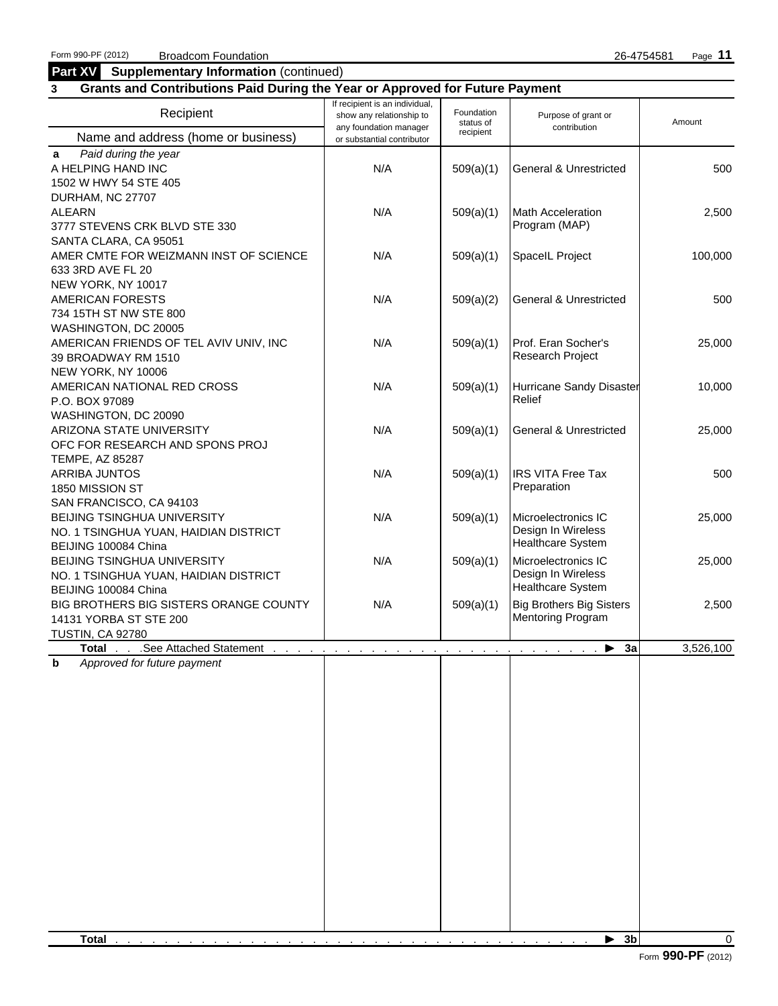#### **Part XV** Supplementary Information (continued)

### **3 Grants and Contributions Paid During the Year or Approved for Future Payment**

| Recipient                                                                | If recipient is an individual,<br>show any relationship to<br>any foundation manager | Foundation<br>status of<br>recipient | Purpose of grant or<br>contribution | Amount    |
|--------------------------------------------------------------------------|--------------------------------------------------------------------------------------|--------------------------------------|-------------------------------------|-----------|
| Name and address (home or business)                                      | or substantial contributor                                                           |                                      |                                     |           |
| Paid during the year<br>a<br>A HELPING HAND INC<br>1502 W HWY 54 STE 405 | N/A                                                                                  | 509(a)(1)                            | <b>General &amp; Unrestricted</b>   | 500       |
| DURHAM, NC 27707                                                         |                                                                                      |                                      |                                     |           |
| <b>ALEARN</b>                                                            | N/A                                                                                  | 509(a)(1)                            | <b>Math Acceleration</b>            | 2,500     |
| 3777 STEVENS CRK BLVD STE 330                                            |                                                                                      |                                      | Program (MAP)                       |           |
| SANTA CLARA, CA 95051                                                    |                                                                                      |                                      |                                     |           |
| AMER CMTE FOR WEIZMANN INST OF SCIENCE                                   | N/A                                                                                  | 509(a)(1)                            | SpaceIL Project                     | 100,000   |
| 633 3RD AVE FL 20                                                        |                                                                                      |                                      |                                     |           |
| NEW YORK, NY 10017                                                       |                                                                                      |                                      |                                     |           |
| <b>AMERICAN FORESTS</b>                                                  | N/A                                                                                  | 509(a)(2)                            | <b>General &amp; Unrestricted</b>   | 500       |
| 734 15TH ST NW STE 800                                                   |                                                                                      |                                      |                                     |           |
| WASHINGTON, DC 20005                                                     |                                                                                      |                                      |                                     |           |
| AMERICAN FRIENDS OF TEL AVIV UNIV, INC                                   | N/A                                                                                  | 509(a)(1)                            | Prof. Eran Socher's                 | 25,000    |
| 39 BROADWAY RM 1510                                                      |                                                                                      |                                      | Research Project                    |           |
| NEW YORK, NY 10006                                                       |                                                                                      |                                      |                                     |           |
| AMERICAN NATIONAL RED CROSS                                              | N/A                                                                                  | 509(a)(1)                            | Hurricane Sandy Disaster            | 10,000    |
| P.O. BOX 97089                                                           |                                                                                      |                                      | Relief                              |           |
| WASHINGTON, DC 20090                                                     |                                                                                      |                                      |                                     |           |
| ARIZONA STATE UNIVERSITY                                                 | N/A                                                                                  | 509(a)(1)                            | <b>General &amp; Unrestricted</b>   | 25,000    |
| OFC FOR RESEARCH AND SPONS PROJ                                          |                                                                                      |                                      |                                     |           |
| TEMPE, AZ 85287                                                          |                                                                                      |                                      |                                     |           |
| ARRIBA JUNTOS                                                            | N/A                                                                                  | 509(a)(1)                            | <b>IRS VITA Free Tax</b>            | 500       |
| 1850 MISSION ST                                                          |                                                                                      |                                      | Preparation                         |           |
| SAN FRANCISCO, CA 94103                                                  |                                                                                      |                                      |                                     |           |
| BEIJING TSINGHUA UNIVERSITY                                              | N/A                                                                                  | 509(a)(1)                            | Microelectronics IC                 | 25,000    |
| NO. 1 TSINGHUA YUAN, HAIDIAN DISTRICT                                    |                                                                                      |                                      | Design In Wireless                  |           |
| BEIJING 100084 China                                                     |                                                                                      |                                      | <b>Healthcare System</b>            |           |
| BEIJING TSINGHUA UNIVERSITY                                              | N/A                                                                                  | 509(a)(1)                            | Microelectronics IC                 | 25,000    |
| NO. 1 TSINGHUA YUAN, HAIDIAN DISTRICT                                    |                                                                                      |                                      | Design In Wireless                  |           |
| BEIJING 100084 China                                                     |                                                                                      |                                      | <b>Healthcare System</b>            |           |
| BIG BROTHERS BIG SISTERS ORANGE COUNTY                                   | N/A                                                                                  |                                      | <b>Big Brothers Big Sisters</b>     | 2,500     |
| 14131 YORBA ST STE 200                                                   |                                                                                      | 509(a)(1)                            | <b>Mentoring Program</b>            |           |
| <b>TUSTIN, CA 92780</b>                                                  |                                                                                      |                                      |                                     |           |
| See Attached Statement<br><b>Total</b>                                   |                                                                                      |                                      | $\blacktriangleright$ 3a            | 3,526,100 |
|                                                                          |                                                                                      |                                      |                                     |           |
| b<br>Approved for future payment                                         |                                                                                      |                                      |                                     |           |
|                                                                          |                                                                                      |                                      |                                     |           |
|                                                                          |                                                                                      |                                      |                                     |           |
|                                                                          |                                                                                      |                                      |                                     |           |
|                                                                          |                                                                                      |                                      |                                     |           |
|                                                                          |                                                                                      |                                      |                                     |           |
|                                                                          |                                                                                      |                                      |                                     |           |
|                                                                          |                                                                                      |                                      |                                     |           |
|                                                                          |                                                                                      |                                      |                                     |           |
|                                                                          |                                                                                      |                                      |                                     |           |
|                                                                          |                                                                                      |                                      |                                     |           |
|                                                                          |                                                                                      |                                      |                                     |           |
|                                                                          |                                                                                      |                                      |                                     |           |
|                                                                          |                                                                                      |                                      |                                     |           |
|                                                                          |                                                                                      |                                      |                                     |           |
|                                                                          |                                                                                      |                                      |                                     |           |
|                                                                          |                                                                                      |                                      |                                     |           |
|                                                                          |                                                                                      |                                      |                                     |           |
|                                                                          |                                                                                      |                                      |                                     |           |
| <b>Total</b>                                                             |                                                                                      |                                      | $\blacktriangleright$ 3b            | $\Omega$  |
|                                                                          |                                                                                      |                                      |                                     |           |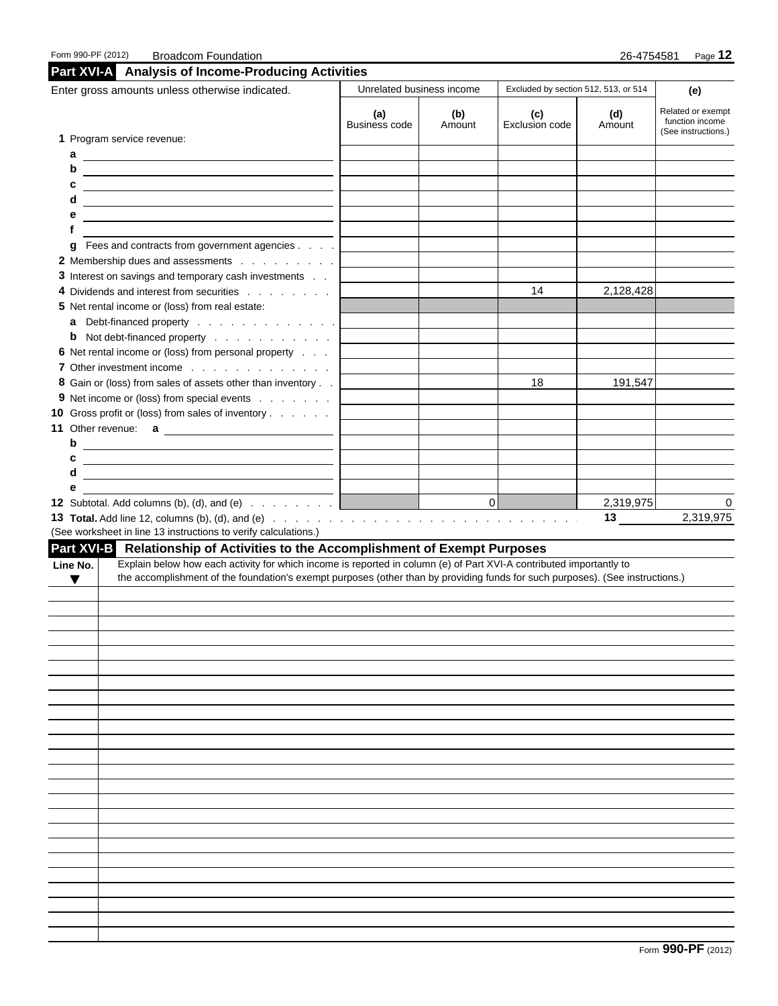| Enter gross amounts unless otherwise indicated.                                                                                                       |                             | Unrelated business income | Excluded by section 512, 513, or 514 |               | (e)                                                         |
|-------------------------------------------------------------------------------------------------------------------------------------------------------|-----------------------------|---------------------------|--------------------------------------|---------------|-------------------------------------------------------------|
|                                                                                                                                                       | (a)<br><b>Business code</b> | (b)<br>Amount             | (c)<br>Exclusion code                | (d)<br>Amount | Related or exempt<br>function income<br>(See instructions.) |
| 1 Program service revenue:                                                                                                                            |                             |                           |                                      |               |                                                             |
| a                                                                                                                                                     |                             |                           |                                      |               |                                                             |
| b<br><u> 1989 - Johann Barnett, fransk politiker (d. 1989)</u>                                                                                        |                             |                           |                                      |               |                                                             |
| c                                                                                                                                                     |                             |                           |                                      |               |                                                             |
| d<br><u> 1989 - Jan Samuel Barbara, margaret e</u> n 1980                                                                                             |                             |                           |                                      |               |                                                             |
| е                                                                                                                                                     |                             |                           |                                      |               |                                                             |
| f                                                                                                                                                     |                             |                           |                                      |               |                                                             |
| <b>g</b> Fees and contracts from government agencies                                                                                                  |                             |                           |                                      |               |                                                             |
| 2 Membership dues and assessments                                                                                                                     |                             |                           |                                      |               |                                                             |
| 3 Interest on savings and temporary cash investments                                                                                                  |                             |                           |                                      |               |                                                             |
| 4 Dividends and interest from securities                                                                                                              |                             |                           | 14                                   | 2,128,428     |                                                             |
| 5 Net rental income or (loss) from real estate:                                                                                                       |                             |                           |                                      |               |                                                             |
|                                                                                                                                                       |                             |                           |                                      |               |                                                             |
| <b>b</b> Not debt-financed property                                                                                                                   |                             |                           |                                      |               |                                                             |
| 6 Net rental income or (loss) from personal property                                                                                                  |                             |                           |                                      |               |                                                             |
| 7 Other investment income                                                                                                                             |                             |                           |                                      |               |                                                             |
| 8 Gain or (loss) from sales of assets other than inventory                                                                                            |                             |                           | 18                                   | 191,547       |                                                             |
| 9 Net income or (loss) from special events                                                                                                            |                             |                           |                                      |               |                                                             |
| 10 Gross profit or (loss) from sales of inventory                                                                                                     |                             |                           |                                      |               |                                                             |
|                                                                                                                                                       |                             |                           |                                      |               |                                                             |
| b                                                                                                                                                     |                             |                           |                                      |               |                                                             |
| c                                                                                                                                                     |                             |                           |                                      |               |                                                             |
| d                                                                                                                                                     |                             |                           |                                      |               |                                                             |
|                                                                                                                                                       |                             |                           |                                      |               |                                                             |
| е                                                                                                                                                     |                             |                           |                                      |               |                                                             |
|                                                                                                                                                       |                             | 0                         |                                      | 2,319,975     | 0                                                           |
|                                                                                                                                                       |                             |                           |                                      | 13            | 2,319,975                                                   |
| (See worksheet in line 13 instructions to verify calculations.)                                                                                       |                             |                           |                                      |               |                                                             |
|                                                                                                                                                       |                             |                           |                                      |               |                                                             |
| Explain below how each activity for which income is reported in column (e) of Part XVI-A contributed importantly to                                   |                             |                           |                                      |               |                                                             |
| the accomplishment of the foundation's exempt purposes (other than by providing funds for such purposes). (See instructions.)<br>$\blacktriangledown$ |                             |                           |                                      |               |                                                             |
|                                                                                                                                                       |                             |                           |                                      |               |                                                             |
|                                                                                                                                                       |                             |                           |                                      |               |                                                             |
|                                                                                                                                                       |                             |                           |                                      |               |                                                             |
|                                                                                                                                                       |                             |                           |                                      |               |                                                             |
|                                                                                                                                                       |                             |                           |                                      |               |                                                             |
|                                                                                                                                                       |                             |                           |                                      |               |                                                             |
|                                                                                                                                                       |                             |                           |                                      |               |                                                             |
|                                                                                                                                                       |                             |                           |                                      |               |                                                             |
|                                                                                                                                                       |                             |                           |                                      |               |                                                             |
|                                                                                                                                                       |                             |                           |                                      |               |                                                             |
|                                                                                                                                                       |                             |                           |                                      |               |                                                             |
|                                                                                                                                                       |                             |                           |                                      |               |                                                             |
|                                                                                                                                                       |                             |                           |                                      |               |                                                             |
|                                                                                                                                                       |                             |                           |                                      |               |                                                             |
|                                                                                                                                                       |                             |                           |                                      |               |                                                             |
|                                                                                                                                                       |                             |                           |                                      |               |                                                             |
| Part XVI-B Relationship of Activities to the Accomplishment of Exempt Purposes<br>Line No.                                                            |                             |                           |                                      |               |                                                             |
|                                                                                                                                                       |                             |                           |                                      |               |                                                             |
|                                                                                                                                                       |                             |                           |                                      |               |                                                             |
|                                                                                                                                                       |                             |                           |                                      |               |                                                             |
|                                                                                                                                                       |                             |                           |                                      |               |                                                             |
|                                                                                                                                                       |                             |                           |                                      |               |                                                             |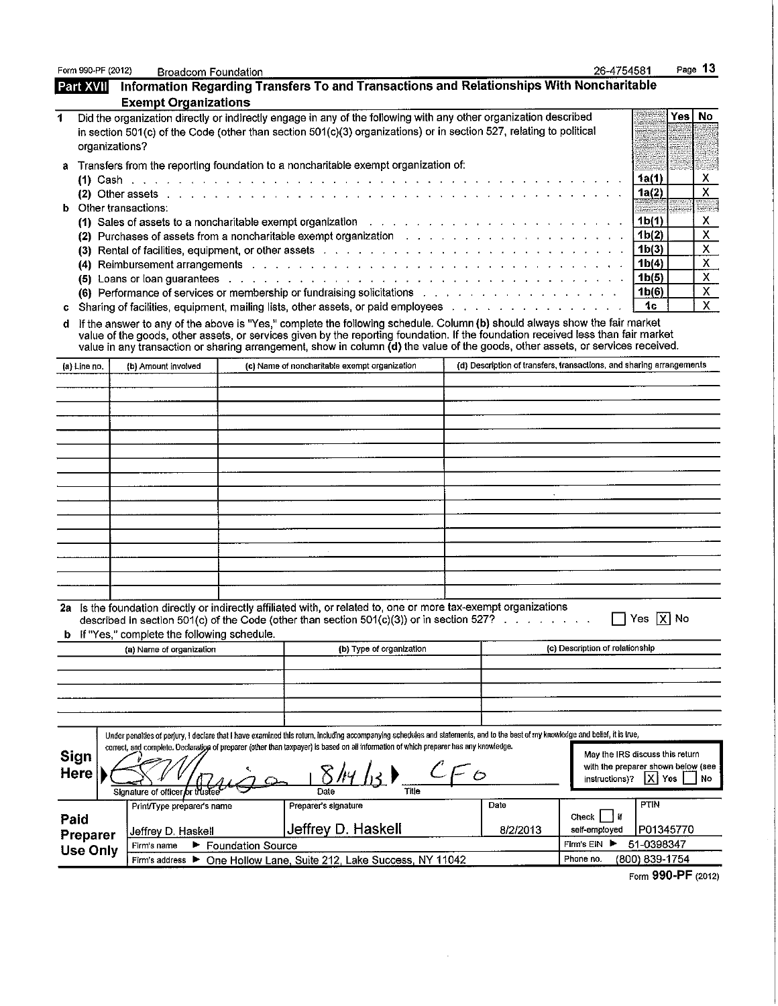| Form 990-PF (2012)  | <b>Broadcom Foundation</b>                                             |                          |                                                                                                                                                                                                                                                                                                                                                                                                    |                                                                      | 26-4754581                      |                                                                                   | Page 13            |
|---------------------|------------------------------------------------------------------------|--------------------------|----------------------------------------------------------------------------------------------------------------------------------------------------------------------------------------------------------------------------------------------------------------------------------------------------------------------------------------------------------------------------------------------------|----------------------------------------------------------------------|---------------------------------|-----------------------------------------------------------------------------------|--------------------|
| <b>Part XVII</b>    |                                                                        |                          | Information Regarding Transfers To and Transactions and Relationships With Noncharitable                                                                                                                                                                                                                                                                                                           |                                                                      |                                 |                                                                                   |                    |
|                     | <b>Exempt Organizations</b>                                            |                          |                                                                                                                                                                                                                                                                                                                                                                                                    |                                                                      |                                 |                                                                                   |                    |
| 1<br>organizations? |                                                                        |                          | Did the organization directly or indirectly engage in any of the following with any other organization described<br>in section 501(c) of the Code (other than section 501(c)(3) organizations) or in section 527, relating to political                                                                                                                                                            |                                                                      |                                 | Yes                                                                               | <b>No</b>          |
|                     |                                                                        |                          | Transfers from the reporting foundation to a noncharitable exempt organization of:                                                                                                                                                                                                                                                                                                                 |                                                                      |                                 |                                                                                   |                    |
|                     |                                                                        |                          |                                                                                                                                                                                                                                                                                                                                                                                                    |                                                                      |                                 | 1a(1)<br>1a(2)                                                                    | X<br>$\mathsf{X}$  |
| b.                  | Other transactions:                                                    |                          | (1) Sales of assets to a noncharitable exempt organization $\ldots$ , $\ldots$ , $\ldots$ , $\ldots$ , $\ldots$ , $\ldots$ , $\ldots$ , $\ldots$                                                                                                                                                                                                                                                   |                                                                      |                                 | 1 <sub>b(1)</sub>                                                                 | S.<br>х            |
|                     |                                                                        |                          | (3) Rental of facilities, equipment, or other assets by the state of the state of the state of facilities, equipment, or other assets by the state of the state of the state of the state of the state of the state of the sta                                                                                                                                                                     |                                                                      |                                 | 1 <sub>b</sub> (2)<br>1 <sub>b</sub> (3)                                          | $\mathsf{X}$<br>X. |
|                     |                                                                        |                          | (4) Reimbursement arrangements with a contract of the contract of the contract of the contract of the contract of<br>(5) Loans or loan guarantees enterprise and and a series and a series and a series of the series of the series of the series of the series of the series of the series of the series of the series of the series of the series                                                |                                                                      |                                 | 1 <sub>b(4)</sub><br>1 <sub>b</sub> (5)                                           | X<br>X             |
|                     |                                                                        |                          | (6) Performance of services or membership or fundraising solicitations (b) example to the state of services or membership or fundraising solicitations<br>Sharing of facilities, equipment, mailing lists, other assets, or paid employees                                                                                                                                                         |                                                                      |                                 | 1 <sub>b(6)</sub><br>1c                                                           | X<br>$\mathsf{X}$  |
| c                   |                                                                        |                          |                                                                                                                                                                                                                                                                                                                                                                                                    |                                                                      |                                 |                                                                                   |                    |
| d                   |                                                                        |                          | If the answer to any of the above is "Yes," complete the following schedule. Column (b) should always show the fair market<br>value of the goods, other assets, or services given by the reporting foundation. If the foundation received less than fair market<br>value in any transaction or sharing arrangement, show in column (d) the value of the goods, other assets, or services received. |                                                                      |                                 |                                                                                   |                    |
| (a) Line no.        | (b) Amount involved                                                    |                          | (c) Name of noncharitable exempt organization                                                                                                                                                                                                                                                                                                                                                      | (d) Description of transfers, transactions, and sharing arrangements |                                 |                                                                                   |                    |
|                     |                                                                        |                          |                                                                                                                                                                                                                                                                                                                                                                                                    |                                                                      |                                 |                                                                                   |                    |
|                     |                                                                        |                          |                                                                                                                                                                                                                                                                                                                                                                                                    |                                                                      |                                 |                                                                                   |                    |
|                     |                                                                        |                          |                                                                                                                                                                                                                                                                                                                                                                                                    |                                                                      |                                 |                                                                                   |                    |
|                     |                                                                        |                          |                                                                                                                                                                                                                                                                                                                                                                                                    |                                                                      |                                 |                                                                                   |                    |
|                     |                                                                        |                          |                                                                                                                                                                                                                                                                                                                                                                                                    |                                                                      |                                 |                                                                                   |                    |
|                     |                                                                        |                          |                                                                                                                                                                                                                                                                                                                                                                                                    |                                                                      |                                 |                                                                                   |                    |
|                     |                                                                        |                          |                                                                                                                                                                                                                                                                                                                                                                                                    |                                                                      |                                 |                                                                                   |                    |
|                     |                                                                        |                          |                                                                                                                                                                                                                                                                                                                                                                                                    |                                                                      |                                 |                                                                                   |                    |
|                     |                                                                        |                          |                                                                                                                                                                                                                                                                                                                                                                                                    |                                                                      |                                 |                                                                                   |                    |
|                     |                                                                        |                          |                                                                                                                                                                                                                                                                                                                                                                                                    |                                                                      |                                 |                                                                                   |                    |
|                     |                                                                        |                          |                                                                                                                                                                                                                                                                                                                                                                                                    |                                                                      |                                 |                                                                                   |                    |
|                     |                                                                        |                          |                                                                                                                                                                                                                                                                                                                                                                                                    |                                                                      |                                 |                                                                                   |                    |
|                     |                                                                        |                          |                                                                                                                                                                                                                                                                                                                                                                                                    |                                                                      |                                 |                                                                                   |                    |
|                     | If "Yes," complete the following schedule.<br>(a) Name of organization |                          | 2a Is the foundation directly or indirectly affiliated with, or related to, one or more tax-exempt organizations<br>described in section $501(c)$ of the Code (other than section $501(c)(3)$ ) or in section $527$ ?<br>(b) Type of organization                                                                                                                                                  |                                                                      | (c) Description of relationship | $\Box$ Yes $\boxed{\text{X}}$ No                                                  |                    |
|                     |                                                                        |                          |                                                                                                                                                                                                                                                                                                                                                                                                    |                                                                      |                                 |                                                                                   |                    |
|                     |                                                                        |                          |                                                                                                                                                                                                                                                                                                                                                                                                    |                                                                      |                                 |                                                                                   |                    |
|                     |                                                                        |                          |                                                                                                                                                                                                                                                                                                                                                                                                    |                                                                      |                                 |                                                                                   |                    |
|                     |                                                                        |                          |                                                                                                                                                                                                                                                                                                                                                                                                    |                                                                      |                                 |                                                                                   |                    |
|                     |                                                                        |                          | Under penalties of perjury, I declare that I have examined this return, including accompanying schedules and statements, and to the best of my knowledge and belief, it is true,                                                                                                                                                                                                                   |                                                                      |                                 |                                                                                   |                    |
| Sign<br>Here        |                                                                        |                          | correct, and complete. Declaration of preparer (other than taxpayer) is based on all information of which preparer has any knowledge.                                                                                                                                                                                                                                                              |                                                                      | instructions)?                  | May the IRS discuss this return<br>with the preparer shown below (see<br> X   Yes | No                 |
|                     | Signature of officer or trustee                                        |                          | Title<br>Date                                                                                                                                                                                                                                                                                                                                                                                      |                                                                      |                                 |                                                                                   |                    |
| Paid                | Print/Type preparer's name                                             |                          | Preparer's signature<br>Jeffrey D. Haskell                                                                                                                                                                                                                                                                                                                                                         | Date<br>8/2/2013                                                     | Check     if<br>self-employed   | PTIN<br>P01345770                                                                 |                    |
| Preparer            | Jeffrey D. Haskell<br>Firm's name<br>►.                                | <b>Foundation Source</b> |                                                                                                                                                                                                                                                                                                                                                                                                    |                                                                      | Firm's EIN<br>▸                 | 51-0398347                                                                        |                    |
| <b>Use Only</b>     | Firm's address $\blacktriangleright$                                   |                          | One Hollow Lane, Suite 212, Lake Success, NY 11042                                                                                                                                                                                                                                                                                                                                                 |                                                                      | Phone no.                       | (800) 839-1754                                                                    |                    |
|                     |                                                                        |                          |                                                                                                                                                                                                                                                                                                                                                                                                    |                                                                      |                                 | 888 BE                                                                            |                    |

 $\sim 10^{-10}$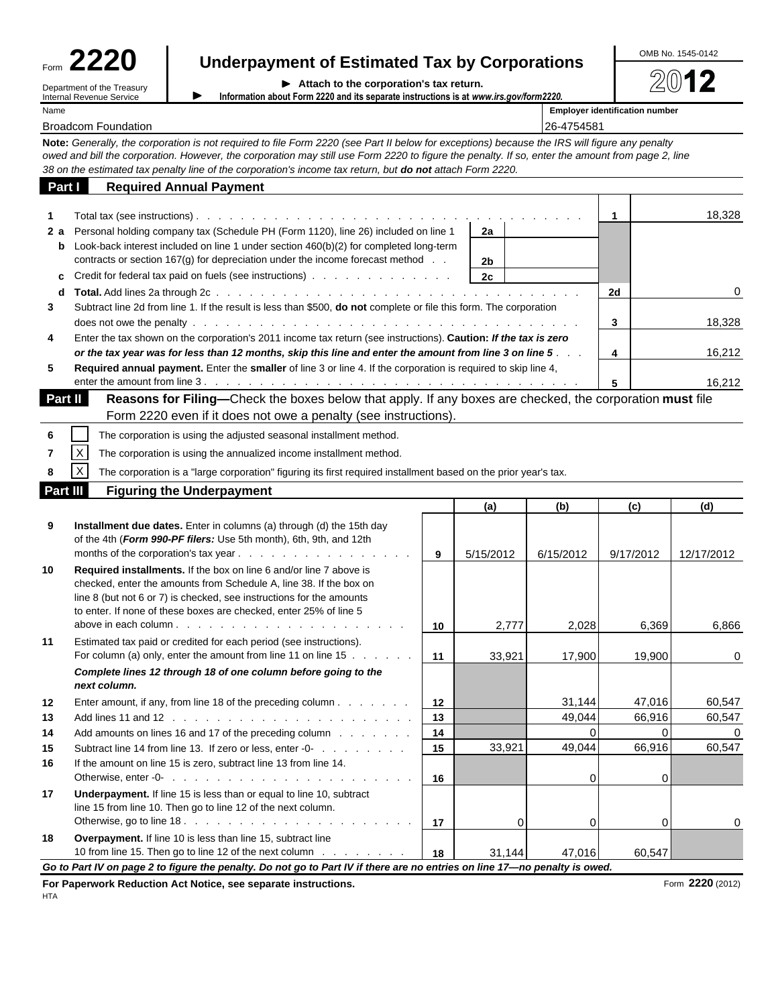| Form | Λŋ                         |
|------|----------------------------|
|      | Department of the Treasury |

 $\blacktriangleright$ 

Internal Revenue Service

| Form $2220$ |                                                      | OMB No. 1545-0142 |
|-------------|------------------------------------------------------|-------------------|
|             | <b>Underpayment of Estimated Tax by Corporations</b> |                   |

| Attach to the corporation's tax return. | ▶ |  |  |  |  |  |
|-----------------------------------------|---|--|--|--|--|--|
|-----------------------------------------|---|--|--|--|--|--|

**Information about Form 2220 and its separate instructions is at** *www.irs.gov/form2220***.**

Name **Employer identification number**

Broadcom Foundation 26-4754581

**Note:** *Generally, the corporation is not required to file Form 2220 (see Part II below for exceptions) because the IRS will figure any penalty owed and bill the corporation. However, the corporation may still use Form 2220 to figure the penalty. If so, enter the amount from page 2, line 38 on the estimated tax penalty line of the corporation's income tax return, but do not attach Form 2220.*

| Part I   | <b>Required Annual Payment</b>                                                                                                                                                                                           |    |                |                |                |            |
|----------|--------------------------------------------------------------------------------------------------------------------------------------------------------------------------------------------------------------------------|----|----------------|----------------|----------------|------------|
| 1        |                                                                                                                                                                                                                          |    |                |                | $\mathbf{1}$   | 18,328     |
| 2а       | Personal holding company tax (Schedule PH (Form 1120), line 26) included on line 1                                                                                                                                       |    | 2a             |                |                |            |
| b        | Look-back interest included on line 1 under section 460(b)(2) for completed long-term                                                                                                                                    |    |                |                |                |            |
|          | contracts or section 167(g) for depreciation under the income forecast method                                                                                                                                            |    | 2 <sub>b</sub> |                |                |            |
| c        | Credit for federal tax paid on fuels (see instructions)                                                                                                                                                                  |    | 2c             |                |                |            |
| d        |                                                                                                                                                                                                                          |    |                |                | 2d             | 0          |
| 3        | Subtract line 2d from line 1. If the result is less than \$500, do not complete or file this form. The corporation                                                                                                       |    |                |                |                |            |
|          |                                                                                                                                                                                                                          |    |                |                | 3              | 18,328     |
| 4        | Enter the tax shown on the corporation's 2011 income tax return (see instructions). Caution: If the tax is zero                                                                                                          |    |                |                |                | 16,212     |
| 5        | or the tax year was for less than 12 months, skip this line and enter the amount from line 3 on line 5<br>Required annual payment. Enter the smaller of line 3 or line 4. If the corporation is required to skip line 4, |    |                |                | 4              |            |
|          |                                                                                                                                                                                                                          |    |                |                | 5              | 16,212     |
| Part II  | Reasons for Filing-Check the boxes below that apply. If any boxes are checked, the corporation must file                                                                                                                 |    |                |                |                |            |
|          | Form 2220 even if it does not owe a penalty (see instructions).                                                                                                                                                          |    |                |                |                |            |
| 6        | The corporation is using the adjusted seasonal installment method.                                                                                                                                                       |    |                |                |                |            |
| 7        | $\mathsf X$<br>The corporation is using the annualized income installment method.                                                                                                                                        |    |                |                |                |            |
|          | $\mathsf X$<br>The corporation is a "large corporation" figuring its first required installment based on the prior year's tax.                                                                                           |    |                |                |                |            |
| Part III | <b>Figuring the Underpayment</b>                                                                                                                                                                                         |    |                |                |                |            |
|          |                                                                                                                                                                                                                          |    | (a)            | (b)            | (c)            | (d)        |
| 9        | Installment due dates. Enter in columns (a) through (d) the 15th day                                                                                                                                                     |    |                |                |                |            |
|          | of the 4th (Form 990-PF filers: Use 5th month), 6th, 9th, and 12th                                                                                                                                                       |    |                |                |                |            |
|          | months of the corporation's tax year                                                                                                                                                                                     | 9  | 5/15/2012      | 6/15/2012      | 9/17/2012      | 12/17/2012 |
| 10       | Required installments. If the box on line 6 and/or line 7 above is                                                                                                                                                       |    |                |                |                |            |
|          | checked, enter the amounts from Schedule A, line 38. If the box on                                                                                                                                                       |    |                |                |                |            |
|          | line 8 (but not 6 or 7) is checked, see instructions for the amounts<br>to enter. If none of these boxes are checked, enter 25% of line 5                                                                                |    |                |                |                |            |
|          |                                                                                                                                                                                                                          | 10 | 2,777          | 2,028          | 6,369          | 6,866      |
| 11       | Estimated tax paid or credited for each period (see instructions).                                                                                                                                                       |    |                |                |                |            |
|          | For column (a) only, enter the amount from line 11 on line 15                                                                                                                                                            | 11 | 33,921         | 17,900         | 19,900         | 0          |
|          | Complete lines 12 through 18 of one column before going to the                                                                                                                                                           |    |                |                |                |            |
|          | next column.                                                                                                                                                                                                             |    |                |                |                |            |
| 12       | Enter amount, if any, from line 18 of the preceding column                                                                                                                                                               | 12 |                | 31,144         | 47,016         | 60,547     |
| 13       |                                                                                                                                                                                                                          | 13 |                | 49,044         | 66,916         | 60,547     |
| 14       | Add amounts on lines 16 and 17 of the preceding column                                                                                                                                                                   | 14 |                | 0              | $\overline{0}$ | 0          |
| 15       | Subtract line 14 from line 13. If zero or less, enter -0-                                                                                                                                                                | 15 | 33.921         | 49,044         | 66,916         | 60.547     |
| 16       | If the amount on line 15 is zero, subtract line 13 from line 14.                                                                                                                                                         |    |                | $\overline{0}$ | 0              |            |
| 17       | Underpayment. If line 15 is less than or equal to line 10, subtract                                                                                                                                                      | 16 |                |                |                |            |
|          | line 15 from line 10. Then go to line 12 of the next column.                                                                                                                                                             |    |                |                |                |            |
|          |                                                                                                                                                                                                                          | 17 | 0              | $\mathbf 0$    | 0              | 0          |
| 18       | Overpayment. If line 10 is less than line 15, subtract line                                                                                                                                                              |    |                |                |                |            |
|          | 10 from line 15. Then go to line 12 of the next column                                                                                                                                                                   | 18 | 31,144         | 47,016         | 60,547         |            |
|          | Go to Part IV on page 2 to figure the penalty. Do not go to Part IV if there are no entries on line 17-no penalty is owed.                                                                                               |    |                |                |                |            |

For Paperwork Reduction Act Notice, see separate instructions. **Form 2220** (2012) Form 2220 (2012)

HTA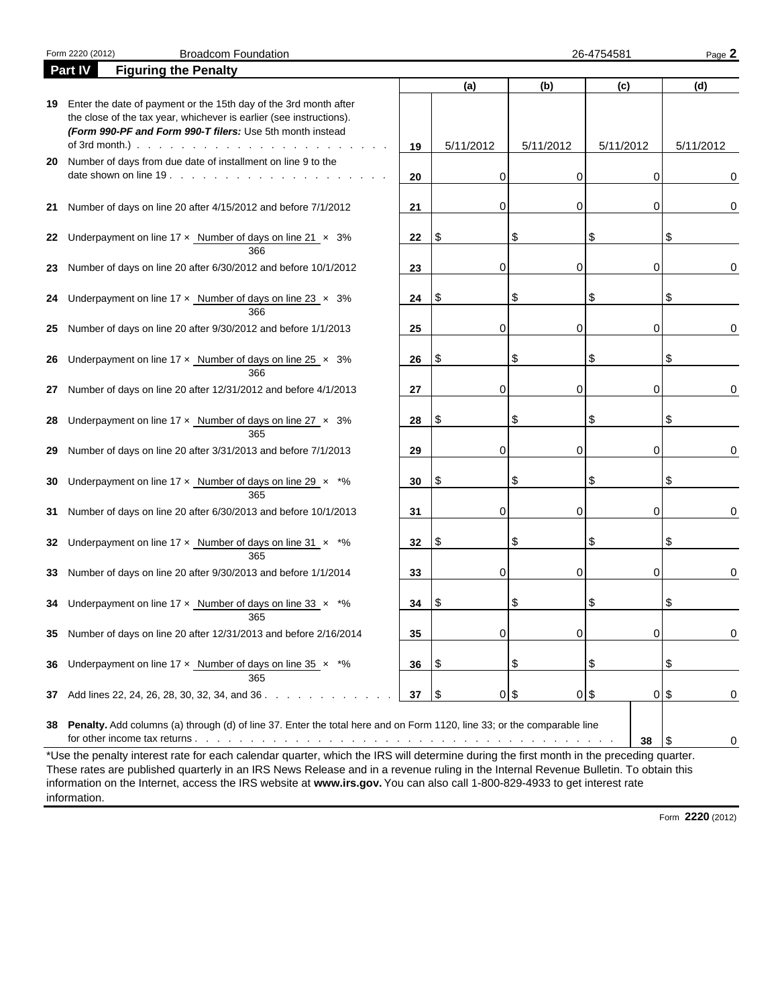|    | <b>Broadcom Foundation</b><br>Form 2220 (2012)                                                                                                                                                                                                                                                 |    |           |           | 26-4754581  | Page 2       |
|----|------------------------------------------------------------------------------------------------------------------------------------------------------------------------------------------------------------------------------------------------------------------------------------------------|----|-----------|-----------|-------------|--------------|
|    | <b>Figuring the Penalty</b><br>Part IV                                                                                                                                                                                                                                                         |    |           |           |             |              |
|    |                                                                                                                                                                                                                                                                                                |    | (a)       | (b)       | (c)         | (d)          |
| 19 | Enter the date of payment or the 15th day of the 3rd month after<br>the close of the tax year, whichever is earlier (see instructions).<br>(Form 990-PF and Form 990-T filers: Use 5th month instead<br>of 3rd month.) $\ldots$ $\ldots$ $\ldots$ $\ldots$ $\ldots$ $\ldots$ $\ldots$ $\ldots$ | 19 | 5/11/2012 | 5/11/2012 | 5/11/2012   | 5/11/2012    |
| 20 | Number of days from due date of installment on line 9 to the                                                                                                                                                                                                                                   | 20 | 0         | 0         | 0           | 0            |
| 21 | Number of days on line 20 after 4/15/2012 and before 7/1/2012                                                                                                                                                                                                                                  | 21 | 0         | 0         | 0           | 0            |
| 22 | Underpayment on line $17 \times$ Number of days on line $21 \times 3\%$<br>366                                                                                                                                                                                                                 | 22 | ا \$      | \$        | \$          | S            |
| 23 | Number of days on line 20 after 6/30/2012 and before 10/1/2012                                                                                                                                                                                                                                 | 23 | 0         | 0         | 0           |              |
| 24 | Underpayment on line $17 \times$ Number of days on line 23 $\times$ 3%<br>366                                                                                                                                                                                                                  | 24 | ا \$      | \$        | \$          | S            |
| 25 | Number of days on line 20 after 9/30/2012 and before 1/1/2013                                                                                                                                                                                                                                  | 25 | 0         | 0         | 0           |              |
| 26 | Underpayment on line $17 \times$ Number of days on line $25 \times 3\%$<br>366                                                                                                                                                                                                                 | 26 | \$        | \$        | \$          | S            |
| 27 | Number of days on line 20 after 12/31/2012 and before 4/1/2013                                                                                                                                                                                                                                 | 27 | 0         | 0         | 0           |              |
| 28 | Underpayment on line 17 x Number of days on line 27 x 3%<br>365                                                                                                                                                                                                                                | 28 | \$        | \$        | \$          | S            |
| 29 | Number of days on line 20 after 3/31/2013 and before 7/1/2013                                                                                                                                                                                                                                  | 29 | 0         | 0         | 0           |              |
| 30 | Underpayment on line 17 x Number of days on line 29 x *%<br>365                                                                                                                                                                                                                                | 30 | \$        | \$        | \$          | S            |
| 31 | Number of days on line 20 after 6/30/2013 and before 10/1/2013                                                                                                                                                                                                                                 | 31 | 0         | 0         | 0           |              |
| 32 | Underpayment on line 17 x Number of days on line 31 x *%<br>365                                                                                                                                                                                                                                | 32 | \$        | \$        | \$          | S            |
| 33 | Number of days on line 20 after 9/30/2013 and before 1/1/2014                                                                                                                                                                                                                                  | 33 | 0         | 0         | 0           |              |
|    | 34 Underpayment on line $17 \times$ Number of days on line $33 \times$ *%<br>365                                                                                                                                                                                                               | 34 | l \$      |           | \$          |              |
|    | 35 Number of days on line 20 after 12/31/2013 and before 2/16/2014                                                                                                                                                                                                                             | 35 | 0         | 0         | 0           | 0            |
| 36 | Underpayment on line 17 $\times$ Number of days on line 35 $\times$ *%<br>365                                                                                                                                                                                                                  | 36 | \$        | \$        | \$          | \$           |
| 37 | Add lines 22, 24, 26, 28, 30, 32, 34, and 36.                                                                                                                                                                                                                                                  | 37 | \$        |           | $0\sqrt{3}$ | $01$ \$<br>0 |
| 38 | Penalty. Add columns (a) through (d) of line 37. Enter the total here and on Form 1120, line 33; or the comparable line                                                                                                                                                                        |    |           |           | 38          | 0<br>1\$     |

These rates are published quarterly in an IRS News Release and in a revenue ruling in the Internal Revenue Bulletin. To obtain this information on the Internet, access the IRS website at **www.irs.gov.** You can also call 1-800-829-4933 to get interest rate information.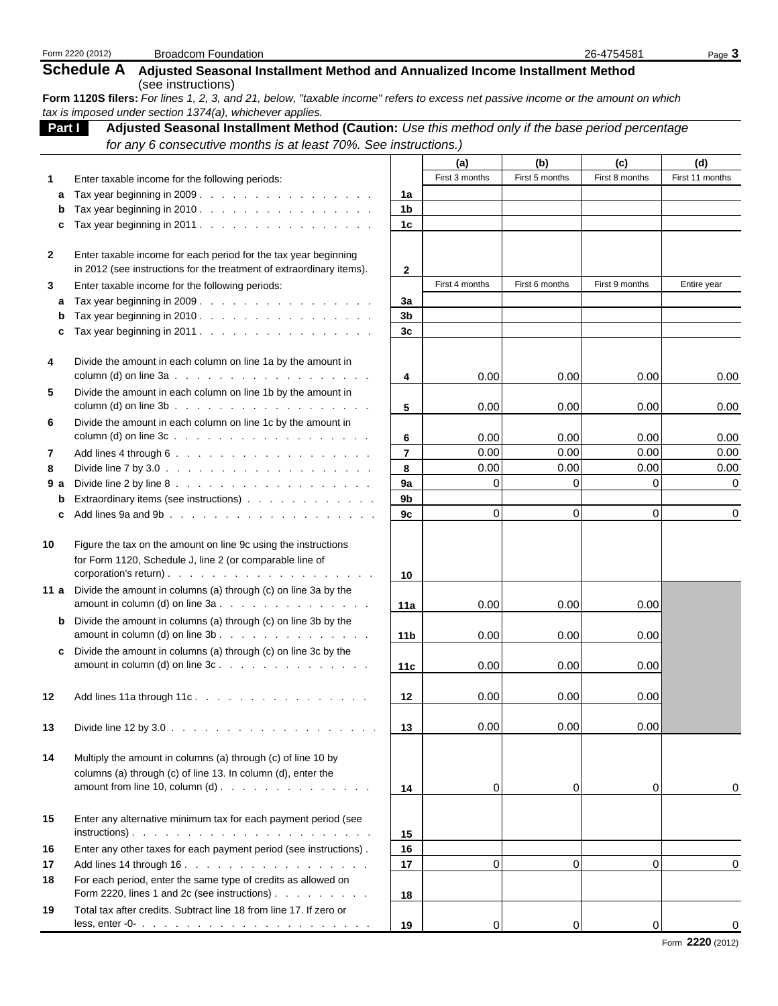|              | Form 2220 (2012)<br><b>Broadcom Foundation</b>                                                                                                                                                                                                               |                |                |                | 26-4754581     | Page 3          |
|--------------|--------------------------------------------------------------------------------------------------------------------------------------------------------------------------------------------------------------------------------------------------------------|----------------|----------------|----------------|----------------|-----------------|
|              | <b>Schedule A</b><br>Adjusted Seasonal Installment Method and Annualized Income Installment Method<br>(see instructions)<br>Form 1120S filers: For lines 1, 2, 3, and 21, below, "taxable income" refers to excess net passive income or the amount on which |                |                |                |                |                 |
|              | tax is imposed under section 1374(a), whichever applies.                                                                                                                                                                                                     |                |                |                |                |                 |
| Part I       | Adjusted Seasonal Installment Method (Caution: Use this method only if the base period percentage                                                                                                                                                            |                |                |                |                |                 |
|              | for any 6 consecutive months is at least 70%. See instructions.)                                                                                                                                                                                             |                |                |                |                |                 |
|              |                                                                                                                                                                                                                                                              |                | (a)            | (b)            | (c)            | (d)             |
|              | Enter taxable income for the following periods:                                                                                                                                                                                                              |                | First 3 months | First 5 months | First 8 months | First 11 months |
| a            | Tax year beginning in 2009.                                                                                                                                                                                                                                  | 1a             |                |                |                |                 |
|              | Tax year beginning in 2010. $\ldots$                                                                                                                                                                                                                         | 1b             |                |                |                |                 |
| c            | Tax year beginning in 2011.                                                                                                                                                                                                                                  | 1 <sub>c</sub> |                |                |                |                 |
| $\mathbf{2}$ |                                                                                                                                                                                                                                                              |                |                |                |                |                 |
|              | Enter taxable income for each period for the tax year beginning<br>in 2012 (see instructions for the treatment of extraordinary items).                                                                                                                      | $\mathbf{2}$   |                |                |                |                 |
| 3            | Enter taxable income for the following periods:                                                                                                                                                                                                              |                | First 4 months | First 6 months | First 9 months | Entire year     |
| a            | Tax year beginning in 2009.                                                                                                                                                                                                                                  | 3a             |                |                |                |                 |
| b            | Tax year beginning in 2010. $\ldots$                                                                                                                                                                                                                         | 3 <sub>b</sub> |                |                |                |                 |
| c            | Tax year beginning in 2011.                                                                                                                                                                                                                                  | 3 <sub>c</sub> |                |                |                |                 |
|              |                                                                                                                                                                                                                                                              |                |                |                |                |                 |
| 4            | Divide the amount in each column on line 1a by the amount in                                                                                                                                                                                                 |                |                |                |                |                 |
|              |                                                                                                                                                                                                                                                              | 4              | 0.00           | 0.00           | 0.00           | 0.00            |
| 5            | Divide the amount in each column on line 1b by the amount in                                                                                                                                                                                                 |                |                |                |                |                 |
|              |                                                                                                                                                                                                                                                              | 5              | 0.00           | 0.00           | 0.00           | 0.00            |
| 6            | Divide the amount in each column on line 1c by the amount in                                                                                                                                                                                                 |                |                |                |                |                 |
|              | column (d) on line $3c \ldots$ $\ldots$ $\ldots$ $\ldots$ $\ldots$ $\ldots$ $\ldots$ $\ldots$                                                                                                                                                                | 6              | 0.00           | 0.00           | 0.00           | 0.00            |
| 7            |                                                                                                                                                                                                                                                              | $\overline{7}$ | 0.00           | 0.00           | 0.00           | 0.00            |
| 8            | Divide line 7 by 3.0 $\ldots$ $\ldots$ $\ldots$ $\ldots$ $\ldots$ $\ldots$ $\ldots$ $\ldots$                                                                                                                                                                 | 8              | 0.00           | 0.00           | 0.00           | 0.00            |
| 9 a          |                                                                                                                                                                                                                                                              | 9a             | $\Omega$       | $\Omega$       | 0              | 0               |
| b            | Extraordinary items (see instructions)                                                                                                                                                                                                                       | 9b             |                |                |                |                 |
| c            |                                                                                                                                                                                                                                                              | 9c             | $\Omega$       | $\Omega$       | 0              | 0               |
| 10           | Figure the tax on the amount on line 9c using the instructions<br>for Form 1120, Schedule J, line 2 (or comparable line of                                                                                                                                   |                |                |                |                |                 |
|              |                                                                                                                                                                                                                                                              | 10             |                |                |                |                 |
|              | 11 a Divide the amount in columns (a) through (c) on line 3a by the<br>amount in column (d) on line $3a \cdot \cdot \cdot \cdot \cdot \cdot \cdot \cdot \cdot \cdot \cdot \cdot \cdot \cdot \cdot \cdot$                                                     | 11a            | 0.00           | 0.00           | 0.00           |                 |
|              | <b>b</b> Divide the amount in columns (a) through (c) on line 3b by the                                                                                                                                                                                      |                |                |                |                |                 |
|              | amount in column (d) on line $3b$ .                                                                                                                                                                                                                          | 11b            | 0.00           | 0.00           | 0.00           |                 |
|              | c Divide the amount in columns (a) through (c) on line 3c by the                                                                                                                                                                                             |                |                |                |                |                 |
|              | amount in column (d) on line $3c \cdot \cdot \cdot \cdot \cdot \cdot \cdot \cdot \cdot \cdot \cdot \cdot \cdot \cdot \cdot \cdot \cdot$                                                                                                                      | 11c            | 0.00           | 0.00           | 0.00           |                 |
|              |                                                                                                                                                                                                                                                              |                |                |                |                |                 |
| 12           | Add lines 11a through 11c.                                                                                                                                                                                                                                   | 12             | 0.00           | 0.00           | 0.00           |                 |
| 13           | Divide line 12 by 3.0 $\ldots$ $\ldots$ $\ldots$ $\ldots$ $\ldots$ $\ldots$ $\ldots$ $\ldots$                                                                                                                                                                | 13             | 0.00           | 0.00           | 0.00           |                 |
| 14           | Multiply the amount in columns (a) through (c) of line 10 by<br>columns (a) through (c) of line 13. In column (d), enter the<br>amount from line 10, column (d) $\ldots$ $\ldots$ $\ldots$ $\ldots$ $\ldots$ $\ldots$                                        | 14             | 0              | $\Omega$       | 0              | 0               |
|              |                                                                                                                                                                                                                                                              |                |                |                |                |                 |
| 15           | Enter any alternative minimum tax for each payment period (see                                                                                                                                                                                               |                |                |                |                |                 |
|              |                                                                                                                                                                                                                                                              | 15<br>16       |                |                |                |                 |
| 16<br>17     | Enter any other taxes for each payment period (see instructions).<br>Add lines 14 through 16.                                                                                                                                                                | 17             | 0              | $\Omega$       | $\Omega$       | 0               |
| 18           | For each period, enter the same type of credits as allowed on<br>Form 2220, lines 1 and 2c (see instructions)                                                                                                                                                | 18             |                |                |                |                 |
| 19           | Total tax after credits. Subtract line 18 from line 17. If zero or                                                                                                                                                                                           |                |                |                |                |                 |
|              | less, enter -0- $\ldots$ $\ldots$ $\ldots$ $\ldots$ $\ldots$ $\ldots$ $\ldots$ $\ldots$ $\ldots$                                                                                                                                                             | 19             | 0              | $\Omega$       | 0              | 0               |
|              |                                                                                                                                                                                                                                                              |                |                |                |                |                 |

Form **2220** (2012)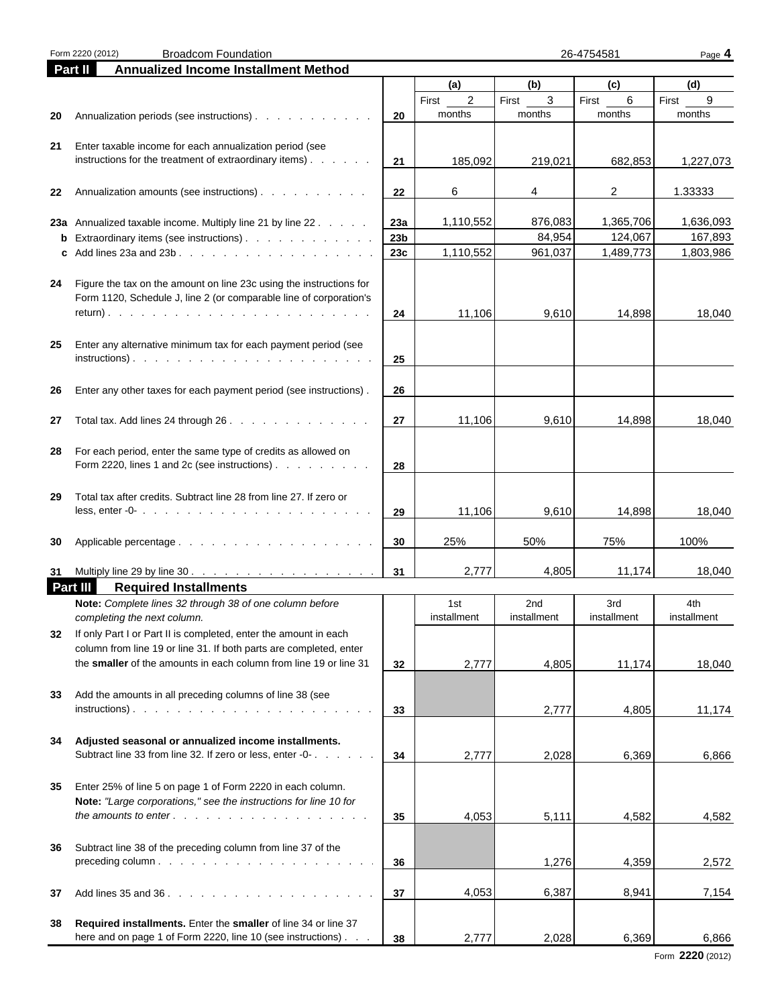|          | Form 2220 (2012)<br><b>Broadcom Foundation</b>                                                                    |                 |                         | 26-4754581<br>Page 4 |             |             |  |
|----------|-------------------------------------------------------------------------------------------------------------------|-----------------|-------------------------|----------------------|-------------|-------------|--|
| Part II  | <b>Annualized Income Installment Method</b>                                                                       |                 |                         |                      |             |             |  |
|          |                                                                                                                   |                 | (a)                     | (b)                  | (c)         | (d)         |  |
|          |                                                                                                                   |                 | $\overline{2}$<br>First | 3<br>First           | 6<br>First  | 9<br>First  |  |
| 20       | Annualization periods (see instructions)                                                                          | 20              | months                  | months               | months      | months      |  |
|          |                                                                                                                   |                 |                         |                      |             |             |  |
| 21       | Enter taxable income for each annualization period (see                                                           |                 |                         |                      |             |             |  |
|          | instructions for the treatment of extraordinary items) $\ldots$                                                   | 21              | 185,092                 | 219,021              | 682,853     | 1,227,073   |  |
|          |                                                                                                                   |                 |                         |                      |             |             |  |
| 22       | Annualization amounts (see instructions)                                                                          | 22              | 6                       | 4                    | 2           | 1.33333     |  |
|          |                                                                                                                   |                 |                         |                      |             |             |  |
|          | 23a Annualized taxable income. Multiply line 21 by line 22                                                        | 23а             | 1,110,552               | 876,083              | 1,365,706   | 1,636,093   |  |
|          | <b>b</b> Extraordinary items (see instructions)                                                                   | 23 <sub>b</sub> |                         | 84,954               | 124,067     | 167,893     |  |
|          |                                                                                                                   | 23c             | 1,110,552               | 961,037              | 1,489,773   | 1,803,986   |  |
|          |                                                                                                                   |                 |                         |                      |             |             |  |
| 24       | Figure the tax on the amount on line 23c using the instructions for                                               |                 |                         |                      |             |             |  |
|          | Form 1120, Schedule J, line 2 (or comparable line of corporation's                                                |                 |                         |                      | 14,898      |             |  |
|          |                                                                                                                   | 24              | 11,106                  | 9,610                |             | 18,040      |  |
| 25       |                                                                                                                   |                 |                         |                      |             |             |  |
|          | Enter any alternative minimum tax for each payment period (see                                                    | 25              |                         |                      |             |             |  |
|          |                                                                                                                   |                 |                         |                      |             |             |  |
| 26       | Enter any other taxes for each payment period (see instructions).                                                 | 26              |                         |                      |             |             |  |
|          |                                                                                                                   |                 |                         |                      |             |             |  |
| 27       | Total tax. Add lines 24 through 26.                                                                               | 27              | 11,106                  | 9,610                | 14,898      | 18,040      |  |
|          |                                                                                                                   |                 |                         |                      |             |             |  |
| 28       | For each period, enter the same type of credits as allowed on                                                     |                 |                         |                      |             |             |  |
|          | Form 2220, lines 1 and 2c (see instructions) $\ldots$                                                             | 28              |                         |                      |             |             |  |
|          |                                                                                                                   |                 |                         |                      |             |             |  |
| 29       | Total tax after credits. Subtract line 28 from line 27. If zero or                                                |                 |                         |                      |             |             |  |
|          | less, enter -0- $\ldots$ , $\ldots$ , $\ldots$ , $\ldots$ , $\ldots$ , $\ldots$ , $\ldots$ , $\ldots$             | 29              | 11,106                  | 9,610                | 14,898      | 18,040      |  |
|          |                                                                                                                   |                 |                         |                      |             |             |  |
| 30       |                                                                                                                   | 30              | 25%                     | 50%                  | 75%         | 100%        |  |
|          |                                                                                                                   |                 |                         |                      |             |             |  |
| 31       |                                                                                                                   | 31              | 2,777                   | 4,805                | 11,174      | 18,040      |  |
| Part III | <b>Required Installments</b>                                                                                      |                 |                         |                      |             |             |  |
|          | Note: Complete lines 32 through 38 of one column before                                                           |                 | 1st                     | 2nd                  | 3rd         | 4th         |  |
|          | completing the next column.                                                                                       |                 | installment             | installment          | installment | installment |  |
| 32       | If only Part I or Part II is completed, enter the amount in each                                                  |                 |                         |                      |             |             |  |
|          | column from line 19 or line 31. If both parts are completed, enter                                                |                 |                         |                      |             |             |  |
|          | the smaller of the amounts in each column from line 19 or line 31                                                 | 32              | 2,777                   | 4,805                | 11,174      | 18,040      |  |
|          |                                                                                                                   |                 |                         |                      |             |             |  |
| 33       | Add the amounts in all preceding columns of line 38 (see                                                          |                 |                         |                      |             |             |  |
|          |                                                                                                                   | 33              |                         | 2,777                | 4,805       | 11,174      |  |
|          |                                                                                                                   |                 |                         |                      |             |             |  |
| 34       | Adjusted seasonal or annualized income installments.<br>Subtract line 33 from line 32. If zero or less, enter -0- | 34              | 2,777                   | 2,028                | 6,369       | 6,866       |  |
|          |                                                                                                                   |                 |                         |                      |             |             |  |
| 35       | Enter 25% of line 5 on page 1 of Form 2220 in each column.                                                        |                 |                         |                      |             |             |  |
|          | Note: "Large corporations," see the instructions for line 10 for                                                  |                 |                         |                      |             |             |  |
|          |                                                                                                                   | 35              | 4,053                   | 5,111                | 4,582       | 4,582       |  |
|          |                                                                                                                   |                 |                         |                      |             |             |  |
| 36       | Subtract line 38 of the preceding column from line 37 of the                                                      |                 |                         |                      |             |             |  |
|          |                                                                                                                   | 36              |                         | 1,276                | 4,359       | 2,572       |  |
|          |                                                                                                                   |                 |                         |                      |             |             |  |
| 37       |                                                                                                                   | 37              | 4,053                   | 6,387                | 8,941       | 7,154       |  |
|          |                                                                                                                   |                 |                         |                      |             |             |  |
| 38       | Required installments. Enter the smaller of line 34 or line 37                                                    |                 |                         |                      |             |             |  |
|          | here and on page 1 of Form 2220, line 10 (see instructions)                                                       | 38              | 2,777                   | 2,028                | 6,369       | 6,866       |  |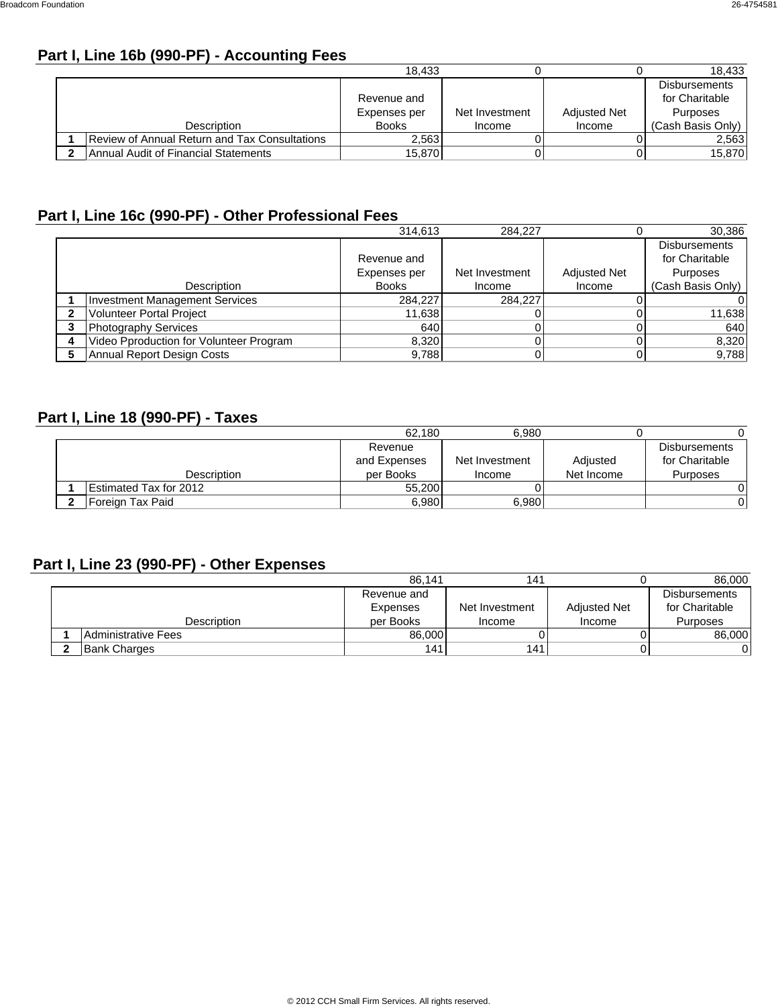## **Part I, Line 16b (990-PF) - Accounting Fees**

|                                                      | 18.433                      |                |                     | 18.433                                             |
|------------------------------------------------------|-----------------------------|----------------|---------------------|----------------------------------------------------|
|                                                      | Revenue and<br>Expenses per | Net Investment | <b>Adjusted Net</b> | <b>Disbursements</b><br>for Charitable<br>Purposes |
| Description                                          | <b>Books</b>                | Income         | Income              | (Cash Basis Only)                                  |
| <b>Review of Annual Return and Tax Consultations</b> | 2,563                       |                |                     | 2,563                                              |
| Annual Audit of Financial Statements                 | 15,870                      |                |                     | 15,870                                             |

### **Part I, Line 16c (990-PF) - Other Professional Fees**

|                                         | 314.613      | 284.227        |                     | 30,386               |
|-----------------------------------------|--------------|----------------|---------------------|----------------------|
|                                         |              |                |                     | <b>Disbursements</b> |
|                                         | Revenue and  |                |                     | for Charitable       |
|                                         | Expenses per | Net Investment | <b>Adjusted Net</b> | Purposes             |
| <b>Description</b>                      | <b>Books</b> | Income         | Income              | (Cash Basis Only)    |
| <b>Investment Management Services</b>   | 284,227      | 284.227        |                     |                      |
| <b>Volunteer Portal Project</b>         | 11,638       |                |                     | 11,638               |
| <b>Photography Services</b>             | 640          |                |                     | 640                  |
| Video Pproduction for Volunteer Program | 8,320        |                |                     | 8,320                |
| Annual Report Design Costs              | 9,788        |                |                     | 9,788                |

## **Part I, Line 18 (990-PF) - Taxes**

|                                | 62.180       | 6.980          |            |                |
|--------------------------------|--------------|----------------|------------|----------------|
|                                | Revenue      |                |            | Disbursements  |
|                                | and Expenses | Net Investment | Adjusted   | for Charitable |
| Description                    | per Books    | Income         | Net Income | Purposes       |
| <b>IEstimated Tax for 2012</b> | 55,200       |                |            |                |
| Foreign Tax Paid               | 6,980        | 6,980          |            | 0١             |

## **Part I, Line 23 (990-PF) - Other Expenses**

|                     | 86.141      | 141            |                     | 86,000          |
|---------------------|-------------|----------------|---------------------|-----------------|
|                     | Revenue and |                |                     | Disbursements   |
|                     | Expenses    | Net Investment | <b>Adjusted Net</b> | for Charitable  |
| Description         | per Books   | Income         | Income              | <b>Purposes</b> |
| Administrative Fees | 86,000      |                |                     | 86,000          |
| <b>Bank Charges</b> | 141         | 141            |                     |                 |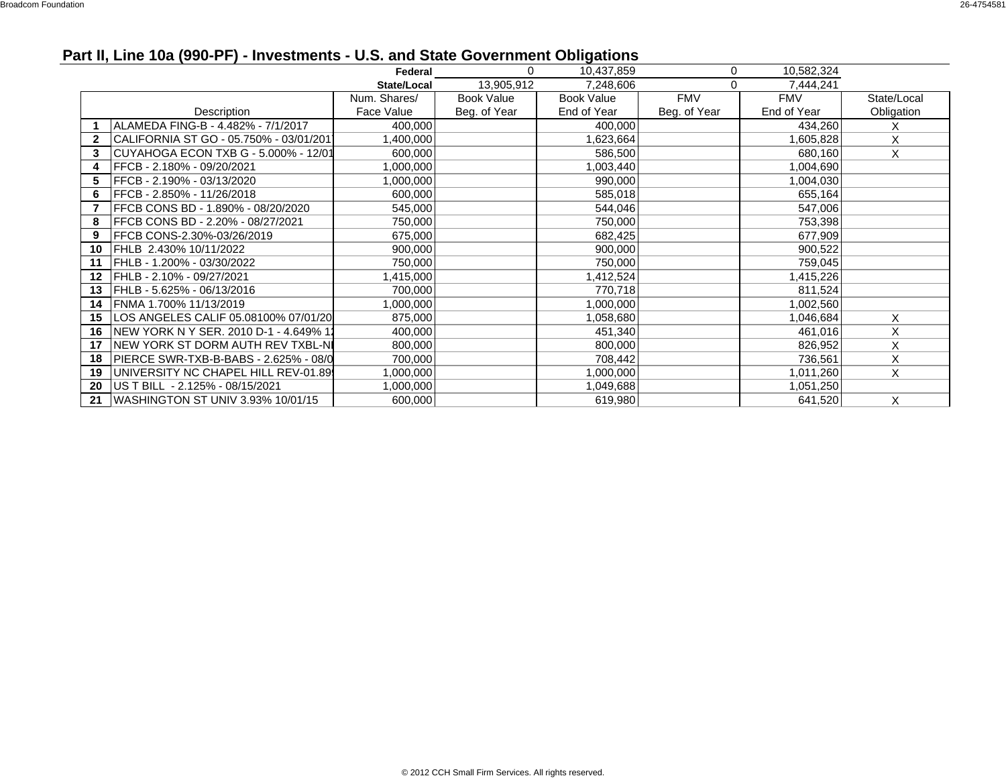# **Part II, Line 10a (990-PF) - Investments - U.S. and State Government Obligations**

|    |                                         | Federal      | $\Omega$          | 10,437,859        | 0            | 10,582,324  |             |
|----|-----------------------------------------|--------------|-------------------|-------------------|--------------|-------------|-------------|
|    |                                         | State/Local  | 13,905,912        | 7,248,606         | 0            | 7,444,241   |             |
|    |                                         | Num. Shares/ | <b>Book Value</b> | <b>Book Value</b> | <b>FMV</b>   | <b>FMV</b>  | State/Local |
|    | Description                             | Face Value   | Beg. of Year      | End of Year       | Beg. of Year | End of Year | Obligation  |
|    | ALAMEDA FING-B - 4.482% - 7/1/2017      | 400,000      |                   | 400,000           |              | 434,260     | X           |
|    | CALIFORNIA ST GO - 05.750% - 03/01/2011 | 1,400,000    |                   | 1,623,664         |              | 1,605,828   | X           |
| 3  | CUYAHOGA ECON TXB G - 5.000% - 12/01    | 600,000      |                   | 586,500           |              | 680,160     | X           |
| 4  | FFCB - 2.180% - 09/20/2021              | 1,000,000    |                   | 1,003,440         |              | 1,004,690   |             |
| 5  | FFCB - 2.190% - 03/13/2020              | 1,000,000    |                   | 990,000           |              | 1,004,030   |             |
| 6  | FFCB - 2.850% - 11/26/2018              | 600,000      |                   | 585,018           |              | 655,164     |             |
|    | FFCB CONS BD - 1.890% - 08/20/2020      | 545,000      |                   | 544,046           |              | 547,006     |             |
| 8  | FFCB CONS BD - 2.20% - 08/27/2021       | 750,000      |                   | 750,000           |              | 753,398     |             |
| 9  | FFCB CONS-2.30%-03/26/2019              | 675,000      |                   | 682,425           |              | 677,909     |             |
| 10 | FHLB 2.430% 10/11/2022                  | 900,000      |                   | 900,000           |              | 900,522     |             |
| 11 | FHLB - 1.200% - 03/30/2022              | 750,000      |                   | 750,000           |              | 759,045     |             |
| 12 | FHLB - 2.10% - 09/27/2021               | 1,415,000    |                   | 1,412,524         |              | 1,415,226   |             |
| 13 | FHLB - 5.625% - 06/13/2016              | 700,000      |                   | 770,718           |              | 811,524     |             |
| 14 | FNMA 1.700% 11/13/2019                  | 1,000,000    |                   | 1,000,000         |              | 1,002,560   |             |
| 15 | LOS ANGELES CALIF 05.08100% 07/01/20    | 875,000      |                   | 1,058,680         |              | 1,046,684   | X           |
| 16 | INEW YORK N Y SER. 2010 D-1 - 4.649% 11 | 400,000      |                   | 451,340           |              | 461,016     | X           |
| 17 | INEW YORK ST DORM AUTH REV TXBL-NI      | 800,000      |                   | 800,000           |              | 826,952     | X           |
| 18 | IPIERCE SWR-TXB-B-BABS - 2.625% - 08/0  | 700,000      |                   | 708,442           |              | 736,561     | X           |
| 19 | UNIVERSITY NC CHAPEL HILL REV-01.89     | 1,000,000    |                   | 1,000,000         |              | 1,011,260   | X           |
| 20 | US T BILL - 2.125% - 08/15/2021         | 1,000,000    |                   | 1,049,688         |              | 1,051,250   |             |
| 21 | WASHINGTON ST UNIV 3.93% 10/01/15       | 600,000      |                   | 619,980           |              | 641,520     | X           |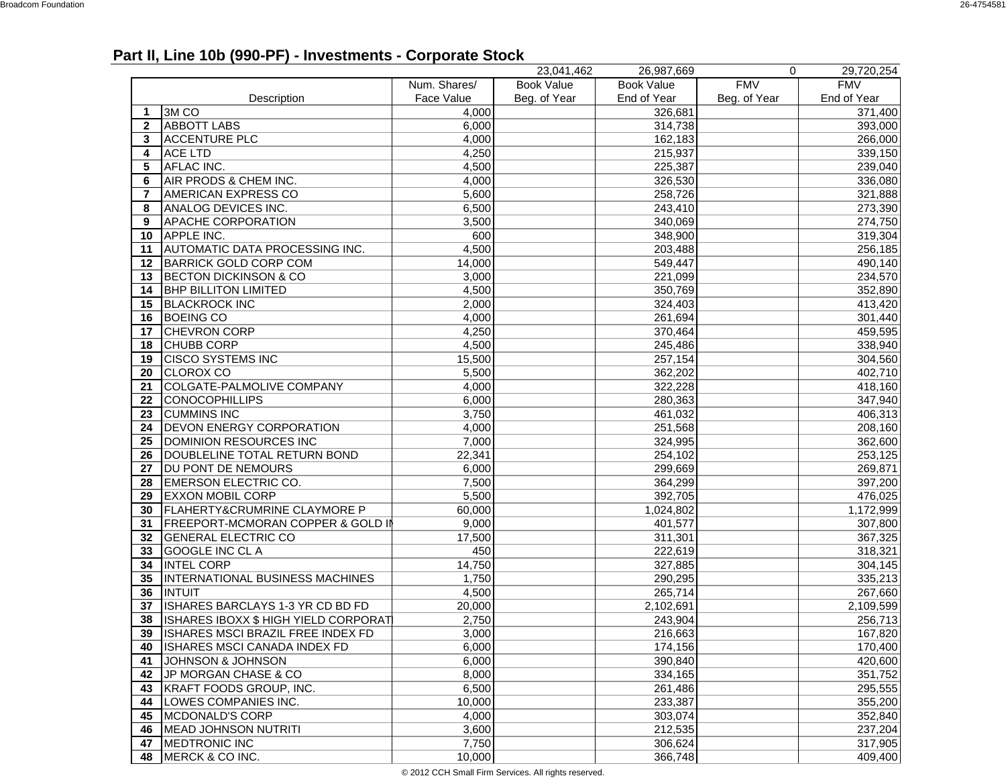### **Part II, Line 10b (990-PF) - Investments - Corporate Stock**

|              |                                              |              | 23,041,462        | 26,987,669        | 0            | 29,720,254  |
|--------------|----------------------------------------------|--------------|-------------------|-------------------|--------------|-------------|
|              |                                              | Num. Shares/ | <b>Book Value</b> | <b>Book Value</b> | <b>FMV</b>   | <b>FMV</b>  |
|              | Description                                  | Face Value   | Beg. of Year      | End of Year       | Beg. of Year | End of Year |
| -1           | 3M <sub>CO</sub>                             | 4,000        |                   | 326,681           |              | 371,400     |
| $\mathbf{2}$ | <b>ABBOTT LABS</b>                           | 6,000        |                   | 314,738           |              | 393,000     |
| 3            | <b>ACCENTURE PLC</b>                         | 4,000        |                   | 162,183           |              | 266,000     |
| 4            | <b>ACE LTD</b>                               | 4,250        |                   | 215,937           |              | 339,150     |
| 5            | AFLAC INC.                                   | 4,500        |                   | 225,387           |              | 239,040     |
| 6            | AIR PRODS & CHEM INC.                        | 4,000        |                   | 326,530           |              | 336,080     |
| 7            | AMERICAN EXPRESS CO                          | 5,600        |                   | 258,726           |              | 321,888     |
| 8            | ANALOG DEVICES INC.                          | 6,500        |                   | 243,410           |              | 273,390     |
| 9            | APACHE CORPORATION                           | 3,500        |                   | 340,069           |              | 274,750     |
| 10           | APPLE INC.                                   | 600          |                   | 348,900           |              | 319,304     |
| 11           | AUTOMATIC DATA PROCESSING INC.               | 4,500        |                   | 203,488           |              | 256,185     |
| 12           | <b>BARRICK GOLD CORP COM</b>                 | 14,000       |                   | 549,447           |              | 490,140     |
| 13           | <b>BECTON DICKINSON &amp; CO</b>             | 3,000        |                   | 221,099           |              | 234,570     |
| 14           | <b>BHP BILLITON LIMITED</b>                  | 4,500        |                   | 350,769           |              | 352,890     |
| 15           | <b>BLACKROCK INC</b>                         | 2,000        |                   | 324,403           |              | 413,420     |
| 16           | <b>BOEING CO</b>                             | 4,000        |                   | 261,694           |              | 301,440     |
| 17           | <b>CHEVRON CORP</b>                          | 4,250        |                   | 370,464           |              | 459,595     |
| 18           | <b>CHUBB CORP</b>                            | 4,500        |                   | 245,486           |              | 338,940     |
| 19           | <b>CISCO SYSTEMS INC</b>                     | 15,500       |                   | 257,154           |              | 304,560     |
| 20           | <b>CLOROX CO</b>                             | 5,500        |                   | 362,202           |              | 402,710     |
| 21           | <b>COLGATE-PALMOLIVE COMPANY</b>             | 4,000        |                   | 322,228           |              | 418,160     |
| 22           | <b>CONOCOPHILLIPS</b>                        | 6,000        |                   | 280,363           |              | 347,940     |
| 23           | <b>CUMMINS INC</b>                           | 3,750        |                   | 461,032           |              | 406,313     |
| 24           | <b>DEVON ENERGY CORPORATION</b>              | 4,000        |                   | 251,568           |              | 208,160     |
| 25           | DOMINION RESOURCES INC                       | 7,000        |                   | 324,995           |              | 362,600     |
| 26           | DOUBLELINE TOTAL RETURN BOND                 | 22,341       |                   | 254,102           |              | 253,125     |
| 27           | DU PONT DE NEMOURS                           | 6,000        |                   | 299,669           |              | 269,871     |
| 28           | <b>EMERSON ELECTRIC CO.</b>                  | 7,500        |                   | 364,299           |              | 397,200     |
| 29           | <b>EXXON MOBIL CORP</b>                      | 5,500        |                   | 392,705           |              | 476,025     |
| 30           | <b>FLAHERTY&amp;CRUMRINE CLAYMORE P</b>      | 60,000       |                   | 1,024,802         |              | 1,172,999   |
| 31           | <b>FREEPORT-MCMORAN COPPER &amp; GOLD II</b> | 9,000        |                   | 401,577           |              | 307,800     |
| 32           | <b>GENERAL ELECTRIC CO</b>                   | 17,500       |                   | 311,301           |              | 367,325     |
| 33           | <b>GOOGLE INC CLA</b>                        | 450          |                   | 222,619           |              | 318,321     |
| 34           | <b>INTEL CORP</b>                            | 14,750       |                   | 327,885           |              | 304,145     |
| 35           | INTERNATIONAL BUSINESS MACHINES              | 1,750        |                   | 290,295           |              | 335,213     |
| 36           | <b>INTUIT</b>                                | 4,500        |                   | 265,714           |              | 267,660     |
| 37           | ISHARES BARCLAYS 1-3 YR CD BD FD             | 20,000       |                   | 2,102,691         |              | 2,109,599   |
| 38           | ISHARES IBOXX \$ HIGH YIELD CORPORAT         | 2,750        |                   | 243,904           |              | 256,713     |
| 39           | ISHARES MSCI BRAZIL FREE INDEX FD            | 3,000        |                   | 216,663           |              | 167,820     |
| 40           | <b>ISHARES MSCI CANADA INDEX FD</b>          | 6,000        |                   | 174,156           |              | 170,400     |
| 41           | JOHNSON & JOHNSON                            | 6,000        |                   | 390,840           |              | 420,600     |
| 42           | JP MORGAN CHASE & CO                         | 8,000        |                   | 334,165           |              | 351,752     |
| 43           | KRAFT FOODS GROUP, INC.                      | 6,500        |                   | 261,486           |              | 295,555     |
| 44           | LOWES COMPANIES INC.                         | 10,000       |                   | 233,387           |              | 355,200     |
| 45           | MCDONALD'S CORP                              | 4,000        |                   | 303,074           |              | 352,840     |
| 46           | MEAD JOHNSON NUTRITI                         | 3,600        |                   | 212,535           |              | 237,204     |
| 47           | <b>MEDTRONIC INC</b>                         | 7,750        |                   | 306,624           |              | 317,905     |
| 48           | MERCK & CO INC.                              | 10,000       |                   | 366,748           |              | 409,400     |

© 2012 CCH Small Firm Services. All rights reserved.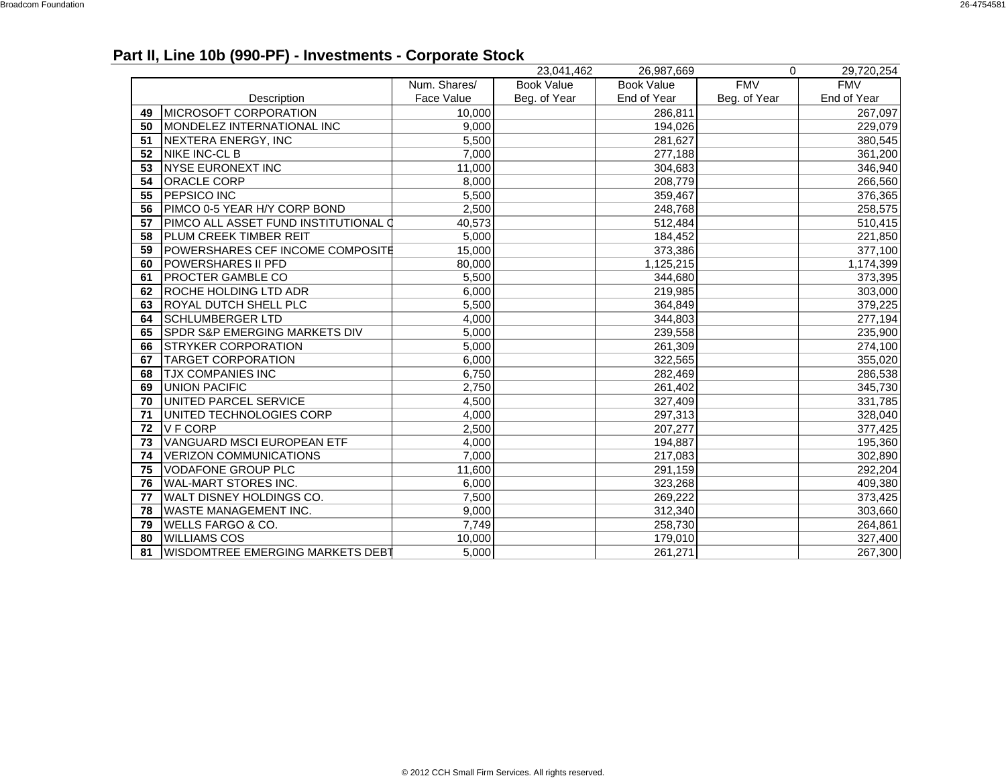## **Part II, Line 10b (990-PF) - Investments - Corporate Stock**

|    |                                          |              | 23,041,462        | 26,987,669        | $\Omega$     | 29,720,254  |
|----|------------------------------------------|--------------|-------------------|-------------------|--------------|-------------|
|    |                                          | Num. Shares/ | <b>Book Value</b> | <b>Book Value</b> | <b>FMV</b>   | <b>FMV</b>  |
|    | Description                              | Face Value   | Beg. of Year      | End of Year       | Beg. of Year | End of Year |
| 49 | <b>MICROSOFT CORPORATION</b>             | 10,000       |                   | 286,811           |              | 267,097     |
| 50 | MONDELEZ INTERNATIONAL INC               | 9,000        |                   | 194,026           |              | 229,079     |
| 51 | <b>NEXTERA ENERGY, INC</b>               | 5,500        |                   | 281,627           |              | 380,545     |
| 52 | NIKE INC-CL B                            | 7,000        |                   | 277,188           |              | 361,200     |
| 53 | <b>NYSE EURONEXT INC</b>                 | 11,000       |                   | 304,683           |              | 346,940     |
| 54 | ORACLE CORP                              | 8,000        |                   | 208,779           |              | 266,560     |
| 55 | <b>PEPSICO INC</b>                       | 5,500        |                   | 359,467           |              | 376,365     |
| 56 | PIMCO 0-5 YEAR H/Y CORP BOND             | 2,500        |                   | 248,768           |              | 258,575     |
| 57 | PIMCO ALL ASSET FUND INSTITUTIONAL       | 40,573       |                   | 512,484           |              | 510,415     |
| 58 | PLUM CREEK TIMBER REIT                   | 5,000        |                   | 184,452           |              | 221,850     |
| 59 | POWERSHARES CEF INCOME COMPOSITE         | 15,000       |                   | 373,386           |              | 377,100     |
| 60 | POWERSHARES II PFD                       | 80,000       |                   | 1,125,215         |              | 1,174,399   |
| 61 | <b>PROCTER GAMBLE CO</b>                 | 5,500        |                   | 344,680           |              | 373,395     |
| 62 | ROCHE HOLDING LTD ADR                    | 6.000        |                   | 219,985           |              | 303,000     |
| 63 | <b>ROYAL DUTCH SHELL PLC</b>             | 5,500        |                   | 364,849           |              | 379,225     |
| 64 | <b>SCHLUMBERGER LTD</b>                  | 4,000        |                   | 344,803           |              | 277,194     |
| 65 | <b>SPDR S&amp;P EMERGING MARKETS DIV</b> | 5,000        |                   | 239,558           |              | 235,900     |
| 66 | <b>STRYKER CORPORATION</b>               | 5,000        |                   | 261,309           |              | 274,100     |
| 67 | <b>TARGET CORPORATION</b>                | 6,000        |                   | 322,565           |              | 355,020     |
| 68 | <b>TJX COMPANIES INC</b>                 | 6,750        |                   | 282,469           |              | 286,538     |
| 69 | <b>UNION PACIFIC</b>                     | 2,750        |                   | 261,402           |              | 345,730     |
| 70 | UNITED PARCEL SERVICE                    | 4,500        |                   | 327,409           |              | 331,785     |
| 71 | UNITED TECHNOLOGIES CORP                 | 4,000        |                   | 297,313           |              | 328,040     |
| 72 | <b>VFCORP</b>                            | 2,500        |                   | 207,277           |              | 377,425     |
| 73 | VANGUARD MSCI EUROPEAN ETF               | 4,000        |                   | 194,887           |              | 195,360     |
| 74 | <b>VERIZON COMMUNICATIONS</b>            | 7,000        |                   | 217,083           |              | 302,890     |
| 75 | VODAFONE GROUP PLC                       | 11,600       |                   | 291,159           |              | 292,204     |
| 76 | WAL-MART STORES INC.                     | 6,000        |                   | 323,268           |              | 409,380     |
| 77 | WALT DISNEY HOLDINGS CO.                 | 7,500        |                   | 269,222           |              | 373,425     |
| 78 | <b>WASTE MANAGEMENT INC.</b>             | 9,000        |                   | 312,340           |              | 303,660     |
| 79 | <b>WELLS FARGO &amp; CO.</b>             | 7,749        |                   | 258,730           |              | 264,861     |
| 80 | <b>WILLIAMS COS</b>                      | 10,000       |                   | 179,010           |              | 327,400     |
| 81 | <b>WISDOMTREE EMERGING MARKETS DEBT</b>  | 5,000        |                   | 261,271           |              | 267,300     |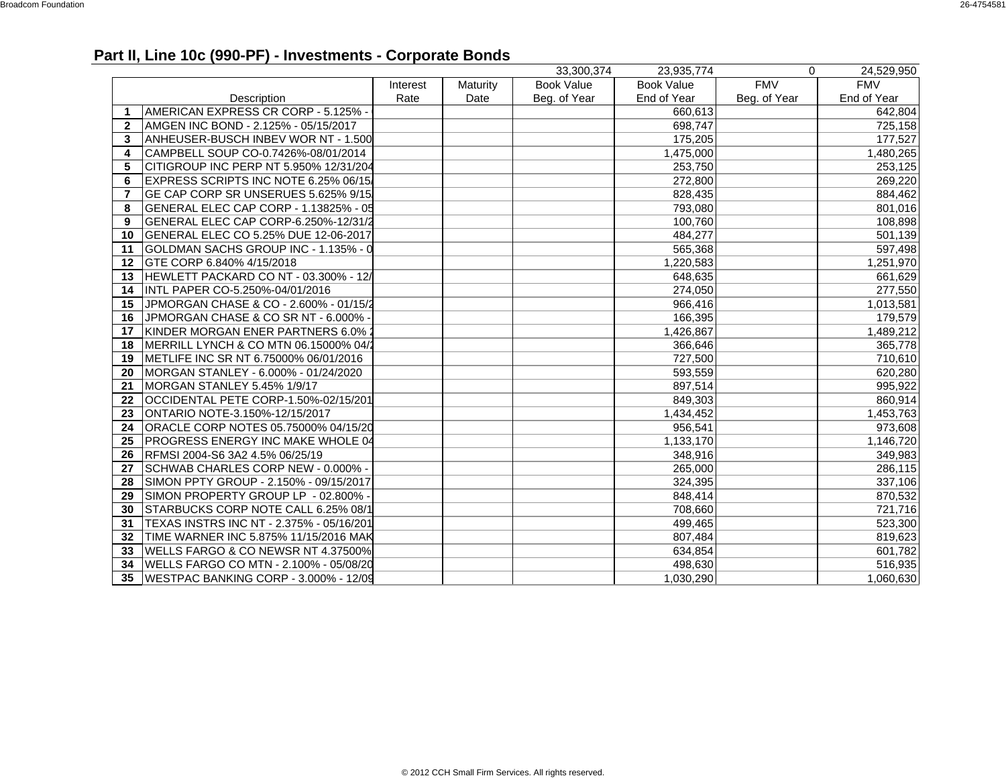## **Part II, Line 10c (990-PF) - Investments - Corporate Bonds**

|              |                                          |          |          | 33.300.374        | 23.935.774        | $\Omega$     | 24,529,950  |
|--------------|------------------------------------------|----------|----------|-------------------|-------------------|--------------|-------------|
|              |                                          | Interest | Maturity | <b>Book Value</b> | <b>Book Value</b> | <b>FMV</b>   | <b>FMV</b>  |
|              | Description                              | Rate     | Date     | Beg. of Year      | End of Year       | Beg. of Year | End of Year |
| 1            | AMERICAN EXPRESS CR CORP - 5.125% -      |          |          |                   | 660,613           |              | 642,804     |
| $\mathbf{2}$ | AMGEN INC BOND - 2.125% - 05/15/2017     |          |          |                   | 698,747           |              | 725,158     |
| 3            | ANHEUSER-BUSCH INBEV WOR NT - 1.500      |          |          |                   | 175,205           |              | 177,527     |
| 4            | CAMPBELL SOUP CO-0.7426%-08/01/2014      |          |          |                   | 1,475,000         |              | 1,480,265   |
| 5            | CITIGROUP INC PERP NT 5.950% 12/31/204   |          |          |                   | 253,750           |              | 253,125     |
| 6            | EXPRESS SCRIPTS INC NOTE 6.25% 06/15/    |          |          |                   | 272,800           |              | 269,220     |
| 7            | GE CAP CORP SR UNSERUES 5.625% 9/15      |          |          |                   | 828,435           |              | 884,462     |
| 8            | GENERAL ELEC CAP CORP - 1.13825% - 05    |          |          |                   | 793,080           |              | 801,016     |
| 9            | GENERAL ELEC CAP CORP-6.250%-12/31/2     |          |          |                   | 100,760           |              | 108,898     |
| 10           | GENERAL ELEC CO 5.25% DUE 12-06-2017     |          |          |                   | 484,277           |              | 501,139     |
| 11           | GOLDMAN SACHS GROUP INC - 1.135% - 0     |          |          |                   | 565,368           |              | 597,498     |
| 12           | GTE CORP 6.840% 4/15/2018                |          |          |                   | 1,220,583         |              | 1,251,970   |
| 13           | HEWLETT PACKARD CO NT - 03.300% - 12/    |          |          |                   | 648,635           |              | 661,629     |
| 14           | INTL PAPER CO-5.250%-04/01/2016          |          |          |                   | 274,050           |              | 277,550     |
| 15           | JPMORGAN CHASE & CO - 2.600% - 01/15/2   |          |          |                   | 966,416           |              | 1,013,581   |
| 16           | JPMORGAN CHASE & CO SR NT - 6.000%       |          |          |                   | 166,395           |              | 179,579     |
| 17           | KINDER MORGAN ENER PARTNERS 6.0%         |          |          |                   | 1,426,867         |              | 1,489,212   |
| 18           | MERRILL LYNCH & CO MTN 06.15000% 04/     |          |          |                   | 366,646           |              | 365,778     |
| 19           | IMETLIFE INC SR NT 6.75000% 06/01/2016   |          |          |                   | 727,500           |              | 710,610     |
| 20           | MORGAN STANLEY - 6.000% - 01/24/2020     |          |          |                   | 593,559           |              | 620,280     |
| 21           | MORGAN STANLEY 5.45% 1/9/17              |          |          |                   | 897,514           |              | 995,922     |
| 22           | OCCIDENTAL PETE CORP-1.50%-02/15/201     |          |          |                   | 849,303           |              | 860,914     |
| 23           | ONTARIO NOTE-3.150%-12/15/2017           |          |          |                   | 1,434,452         |              | 1,453,763   |
| 24           | ORACLE CORP NOTES 05.75000% 04/15/20     |          |          |                   | 956,541           |              | 973,608     |
| 25           | <b>PROGRESS ENERGY INC MAKE WHOLE 04</b> |          |          |                   | 1,133,170         |              | 1,146,720   |
| 26           | RFMSI 2004-S6 3A2 4.5% 06/25/19          |          |          |                   | 348,916           |              | 349,983     |
| 27           | SCHWAB CHARLES CORP NEW - 0.000% -       |          |          |                   | 265,000           |              | 286,115     |
| 28           | SIMON PPTY GROUP - 2.150% - 09/15/2017   |          |          |                   | 324,395           |              | 337,106     |
| 29           | SIMON PROPERTY GROUP LP - 02.800%        |          |          |                   | 848.414           |              | 870,532     |
| 30           | STARBUCKS CORP NOTE CALL 6.25% 08/1      |          |          |                   | 708,660           |              | 721,716     |
| 31           | TEXAS INSTRS INC NT - 2.375% - 05/16/201 |          |          |                   | 499,465           |              | 523,300     |
| 32           | TIME WARNER INC 5.875% 11/15/2016 MAK    |          |          |                   | 807,484           |              | 819,623     |
| 33           | WELLS FARGO & CO NEWSR NT 4.37500%       |          |          |                   | 634,854           |              | 601,782     |
| 34           | WELLS FARGO CO MTN - 2.100% - 05/08/20   |          |          |                   | 498,630           |              | 516,935     |
| 35           | WESTPAC BANKING CORP - 3.000% - 12/09    |          |          |                   | 1,030,290         |              | 1,060,630   |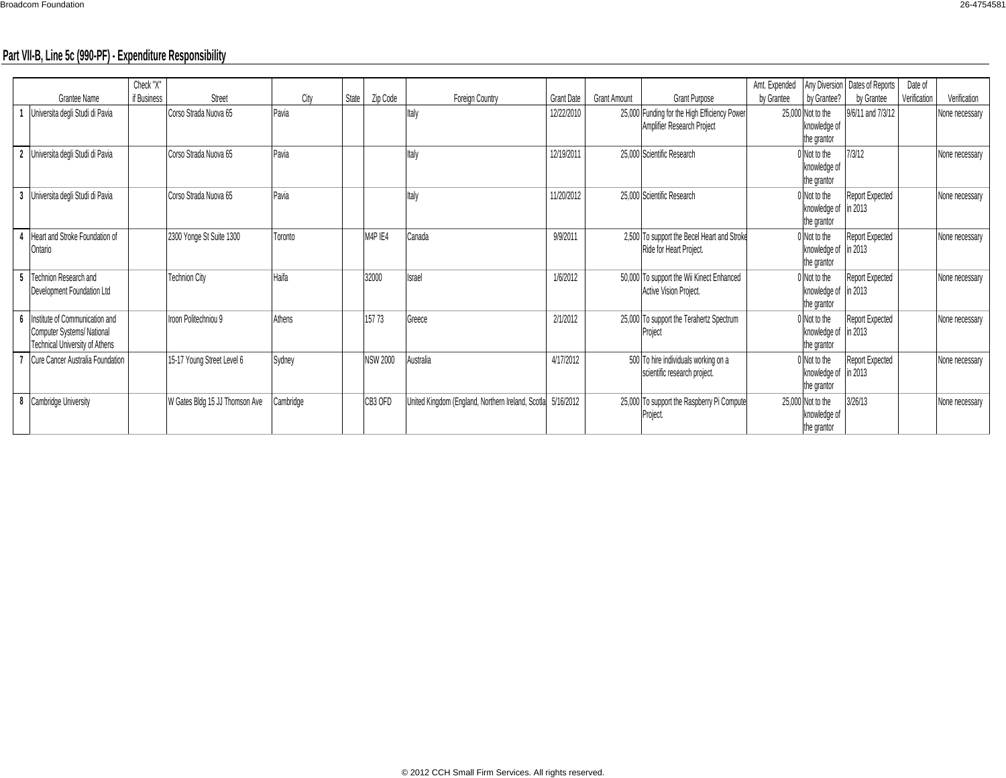### **Part VII-B, Line 5c (990-PF) - Expenditure Responsibility**

|                |                                                                                                      | Check "X"   |                                |           |       |                 |                                                             |                   |                     |                                                                            | Amt. Expended |                                                   | Any Diversion   Dates of Reports         | Date of      |                |
|----------------|------------------------------------------------------------------------------------------------------|-------------|--------------------------------|-----------|-------|-----------------|-------------------------------------------------------------|-------------------|---------------------|----------------------------------------------------------------------------|---------------|---------------------------------------------------|------------------------------------------|--------------|----------------|
|                | Grantee Name                                                                                         | if Business | Street                         | City      | State | Zip Code        | Foreign Country                                             | <b>Grant Date</b> | <b>Grant Amount</b> | <b>Grant Purpose</b>                                                       | by Grantee    | by Grantee?                                       | by Grantee                               | Verification | Verification   |
|                | Universita degli Studi di Pavia                                                                      |             | Corso Strada Nuova 65          | Pavia     |       |                 | Italy                                                       | 12/22/2010        |                     | 25,000 Funding for the High Efficiency Power<br>Amplifier Research Project |               | 25,000 Not to the<br>knowledge of<br>the grantor  | 9/6/11 and 7/3/12                        |              | None necessary |
| $\overline{2}$ | Universita degli Studi di Pavia                                                                      |             | Corso Strada Nuova 65          | Pavia     |       |                 | Italy                                                       | 12/19/2011        |                     | 25,000 Scientific Research                                                 |               | Not to the<br>knowledge of<br>the grantor         | 7/3/12                                   |              | None necessary |
| -3             | Universita degli Studi di Pavia                                                                      |             | Corso Strada Nuova 65          | Pavia     |       |                 | Italy                                                       | 11/20/2012        |                     | 25,000 Scientific Research                                                 |               | Not to the<br>knowledge of<br>the grantor         | Report Expected<br>$\frac{1}{2}$ in 2013 |              | None necessary |
|                | Heart and Stroke Foundation of<br>Ontario                                                            |             | 2300 Yonge St Suite 1300       | Toronto   |       | M4P IE4         | Canada                                                      | 9/9/2011          |                     | 2,500 To support the Becel Heart and Stroke<br>Ride for Heart Project.     |               | Not to the<br>knowledge of<br>the grantor         | Report Expected<br>in 2013               |              | None necessary |
|                | Technion Research and<br>Development Foundation Ltd                                                  |             | <b>Technion City</b>           | Haifa     |       | 32000           | <b>Israel</b>                                               | 1/6/2012          |                     | 50,000 To support the Wii Kinect Enhanced<br>Active Vision Project.        |               | ) Not to the<br>knowledge of<br>the grantor       | Report Expected<br>in 2013               |              | None necessary |
|                | Institute of Communication and<br>Computer Systems/National<br><b>Technical University of Athens</b> |             | Iroon Politechniou 9           | Athens    |       | 157 73          | Greece                                                      | 2/1/2012          |                     | 25,000 To support the Terahertz Spectrum<br>Project                        |               | Not to the<br>knowledge of<br>the grantor         | Report Expected<br>in 2013               |              | None necessary |
|                | Cure Cancer Australia Foundation                                                                     |             | 15-17 Young Street Level 6     | Sydney    |       | <b>NSW 2000</b> | Australia                                                   | 4/17/2012         |                     | 500 To hire individuals working on a<br>scientific research project.       |               | Not to the<br>knowledge of in 2013<br>the grantor | Report Expected                          |              | None necessary |
| 8              | Cambridge University                                                                                 |             | W Gates Bldg 15 JJ Thomson Ave | Cambridge |       | CB3 OFD         | United Kingdom (England, Northern Ireland, Scotla 5/16/2012 |                   |                     | 25,000 To support the Raspberry Pi Compute<br>Project.                     |               | 25,000 Not to the<br>knowledge of<br>the grantor  | 3/26/13                                  |              | None necessary |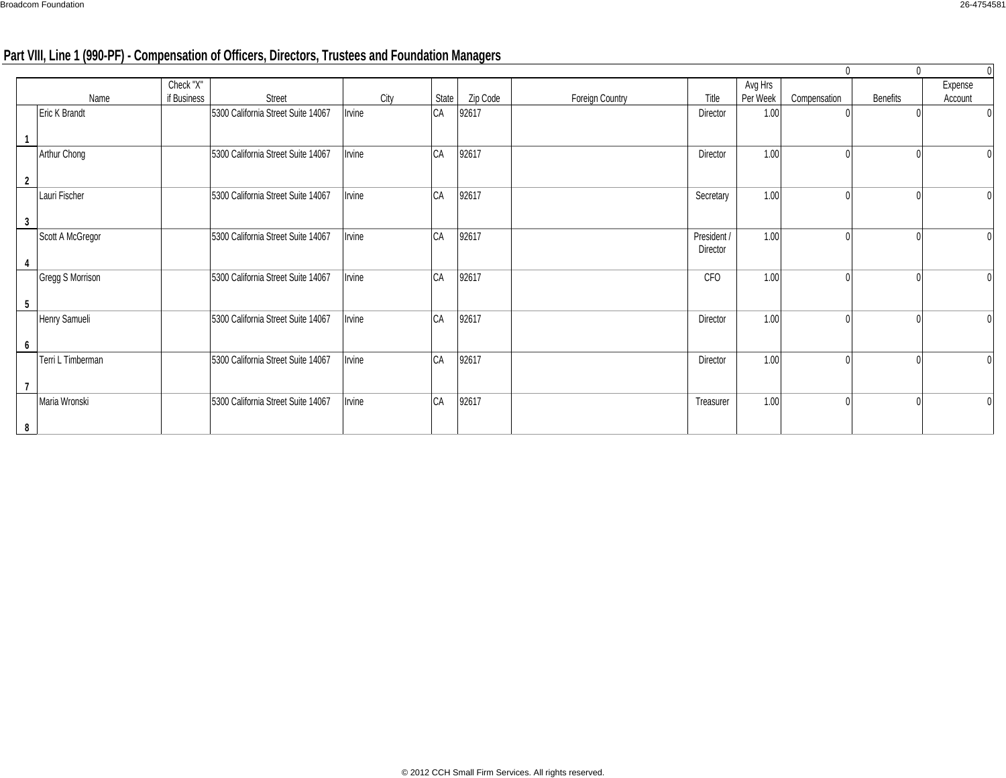# **Part VIII, Line 1 (990-PF) - Compensation of Officers, Directors, Trustees and Foundation Managers**

|   |                      |                          |                                    |        |       |          |                 |             |                     | $\mathbf{0}$ | $\Omega$        |                    |
|---|----------------------|--------------------------|------------------------------------|--------|-------|----------|-----------------|-------------|---------------------|--------------|-----------------|--------------------|
|   | Name                 | Check "X"<br>if Business | Street                             | City   | State | Zip Code | Foreign Country | Title       | Avg Hrs<br>Per Week | Compensation | <b>Benefits</b> | Expense<br>Account |
|   | <b>Eric K Brandt</b> |                          | 5300 California Street Suite 14067 | Irvine | CA    | 92617    |                 | Director    | 1.00                |              |                 |                    |
|   |                      |                          |                                    |        |       |          |                 |             |                     |              |                 |                    |
|   | Arthur Chong         |                          | 5300 California Street Suite 14067 | Irvine | CA    | 92617    |                 | Director    | 1.00                |              |                 | $\overline{0}$     |
|   |                      |                          |                                    |        |       |          |                 |             |                     |              |                 |                    |
|   | Lauri Fischer        |                          | 5300 California Street Suite 14067 | Irvine | CA    | 92617    |                 | Secretary   | 1.00                |              |                 | $\overline{0}$     |
| 3 |                      |                          |                                    |        |       |          |                 |             |                     |              |                 |                    |
|   | Scott A McGregor     |                          | 5300 California Street Suite 14067 | Irvine | CA    | 92617    |                 | President / | 1.00                |              |                 | $\overline{0}$     |
|   |                      |                          |                                    |        |       |          |                 | Director    |                     |              |                 |                    |
|   | Gregg S Morrison     |                          | 5300 California Street Suite 14067 | Irvine | CA    | 92617    |                 | CFO         | 1.00                |              |                 | $\overline{0}$     |
| 5 |                      |                          |                                    |        |       |          |                 |             |                     |              |                 |                    |
|   | Henry Samueli        |                          | 5300 California Street Suite 14067 | Irvine | CA    | 92617    |                 | Director    | 1.00                |              |                 | $\overline{0}$     |
| 6 |                      |                          |                                    |        |       |          |                 |             |                     |              |                 |                    |
|   | Terri L Timberman    |                          | 5300 California Street Suite 14067 | Irvine | CA    | 92617    |                 | Director    | 1.00                |              |                 | $\overline{0}$     |
|   |                      |                          |                                    |        |       |          |                 |             |                     |              |                 |                    |
|   | Maria Wronski        |                          | 5300 California Street Suite 14067 | Irvine | CA    | 92617    |                 | Treasurer   | 1.00                |              |                 | $\overline{0}$     |
| 8 |                      |                          |                                    |        |       |          |                 |             |                     |              |                 |                    |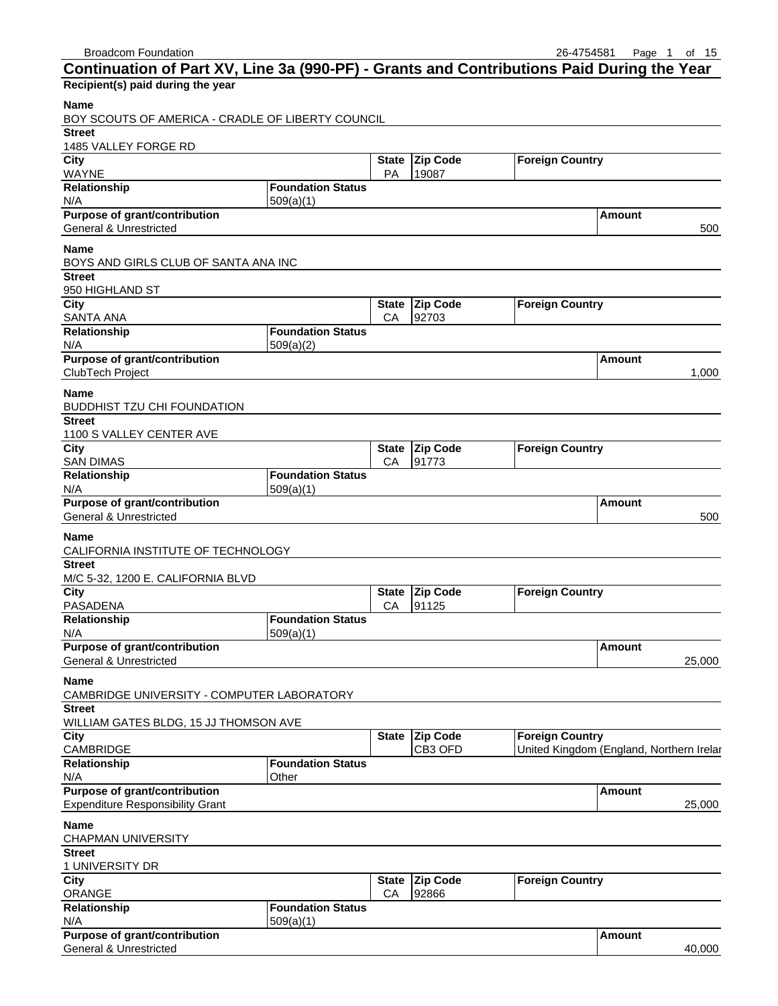| Continuation of Part XV, Line 3a (990-PF) - Grants and Contributions Paid During the Year |                                       |                    |                          |                                          |               |        |
|-------------------------------------------------------------------------------------------|---------------------------------------|--------------------|--------------------------|------------------------------------------|---------------|--------|
| Recipient(s) paid during the year                                                         |                                       |                    |                          |                                          |               |        |
| <b>Name</b><br>BOY SCOUTS OF AMERICA - CRADLE OF LIBERTY COUNCIL                          |                                       |                    |                          |                                          |               |        |
| <b>Street</b>                                                                             |                                       |                    |                          |                                          |               |        |
| 1485 VALLEY FORGE RD                                                                      |                                       |                    |                          |                                          |               |        |
| City<br>WAYNE                                                                             |                                       | PA                 | State Zip Code<br>19087  | <b>Foreign Country</b>                   |               |        |
| Relationship                                                                              | <b>Foundation Status</b>              |                    |                          |                                          |               |        |
| N/A                                                                                       | 509(a)(1)                             |                    |                          |                                          |               |        |
| <b>Purpose of grant/contribution</b><br>General & Unrestricted                            |                                       |                    |                          |                                          | <b>Amount</b> |        |
|                                                                                           |                                       |                    |                          |                                          |               | 500    |
| <b>Name</b><br>BOYS AND GIRLS CLUB OF SANTA ANA INC                                       |                                       |                    |                          |                                          |               |        |
| <b>Street</b>                                                                             |                                       |                    |                          |                                          |               |        |
| 950 HIGHLAND ST                                                                           |                                       |                    |                          |                                          |               |        |
| $\overline{City}$                                                                         |                                       |                    | State Zip Code           | <b>Foreign Country</b>                   |               |        |
| SANTA ANA<br>Relationship                                                                 | <b>Foundation Status</b>              | CA                 | 92703                    |                                          |               |        |
| N/A                                                                                       | 509(a)(2)                             |                    |                          |                                          |               |        |
| Purpose of grant/contribution                                                             |                                       |                    |                          |                                          | Amount        |        |
| ClubTech Project                                                                          |                                       |                    |                          |                                          |               | 1,000  |
| Name                                                                                      |                                       |                    |                          |                                          |               |        |
| BUDDHIST TZU CHI FOUNDATION<br><b>Street</b>                                              |                                       |                    |                          |                                          |               |        |
| 1100 S VALLEY CENTER AVE                                                                  |                                       |                    |                          |                                          |               |        |
| City                                                                                      |                                       | <b>State</b>       | Zip Code                 | <b>Foreign Country</b>                   |               |        |
| <b>SAN DIMAS</b>                                                                          | <b>Foundation Status</b>              | CA                 | 91773                    |                                          |               |        |
| Relationship<br>N/A                                                                       | 509(a)(1)                             |                    |                          |                                          |               |        |
| <b>Purpose of grant/contribution</b>                                                      |                                       |                    |                          |                                          | Amount        |        |
| <b>General &amp; Unrestricted</b>                                                         |                                       |                    |                          |                                          |               | 500    |
| Name                                                                                      |                                       |                    |                          |                                          |               |        |
| CALIFORNIA INSTITUTE OF TECHNOLOGY                                                        |                                       |                    |                          |                                          |               |        |
| <b>Street</b><br>M/C 5-32, 1200 E. CALIFORNIA BLVD                                        |                                       |                    |                          |                                          |               |        |
| City                                                                                      |                                       | <b>State</b>       | <b>Zip Code</b>          | <b>Foreign Country</b>                   |               |        |
| PASADENA                                                                                  |                                       | CA                 | 91125                    |                                          |               |        |
| Relationship                                                                              | <b>Foundation Status</b><br>509(a)(1) |                    |                          |                                          |               |        |
| N/A<br><b>Purpose of grant/contribution</b>                                               |                                       |                    |                          |                                          | <b>Amount</b> |        |
| General & Unrestricted                                                                    |                                       |                    |                          |                                          |               | 25,000 |
| <b>Name</b>                                                                               |                                       |                    |                          |                                          |               |        |
| CAMBRIDGE UNIVERSITY - COMPUTER LABORATORY                                                |                                       |                    |                          |                                          |               |        |
| <b>Street</b>                                                                             |                                       |                    |                          |                                          |               |        |
| WILLIAM GATES BLDG, 15 JJ THOMSON AVE<br>City                                             |                                       | <b>State</b>       | <b>Zip Code</b>          | <b>Foreign Country</b>                   |               |        |
| CAMBRIDGE                                                                                 |                                       |                    | CB3 OFD                  | United Kingdom (England, Northern Irelar |               |        |
| Relationship                                                                              | <b>Foundation Status</b>              |                    |                          |                                          |               |        |
| N/A<br><b>Purpose of grant/contribution</b>                                               | Other                                 |                    |                          |                                          |               |        |
| <b>Expenditure Responsibility Grant</b>                                                   |                                       |                    |                          |                                          | <b>Amount</b> | 25,000 |
|                                                                                           |                                       |                    |                          |                                          |               |        |
| Name<br><b>CHAPMAN UNIVERSITY</b>                                                         |                                       |                    |                          |                                          |               |        |
| <b>Street</b>                                                                             |                                       |                    |                          |                                          |               |        |
| 1 UNIVERSITY DR                                                                           |                                       |                    |                          |                                          |               |        |
| City<br><b>ORANGE</b>                                                                     |                                       | <b>State</b><br>CA | <b>Zip Code</b><br>92866 | <b>Foreign Country</b>                   |               |        |
| Relationship                                                                              | <b>Foundation Status</b>              |                    |                          |                                          |               |        |
| N/A                                                                                       | 509(a)(1)                             |                    |                          |                                          |               |        |
| Purpose of grant/contribution                                                             |                                       |                    |                          |                                          | Amount        |        |
| <b>General &amp; Unrestricted</b>                                                         |                                       |                    |                          |                                          |               | 40,000 |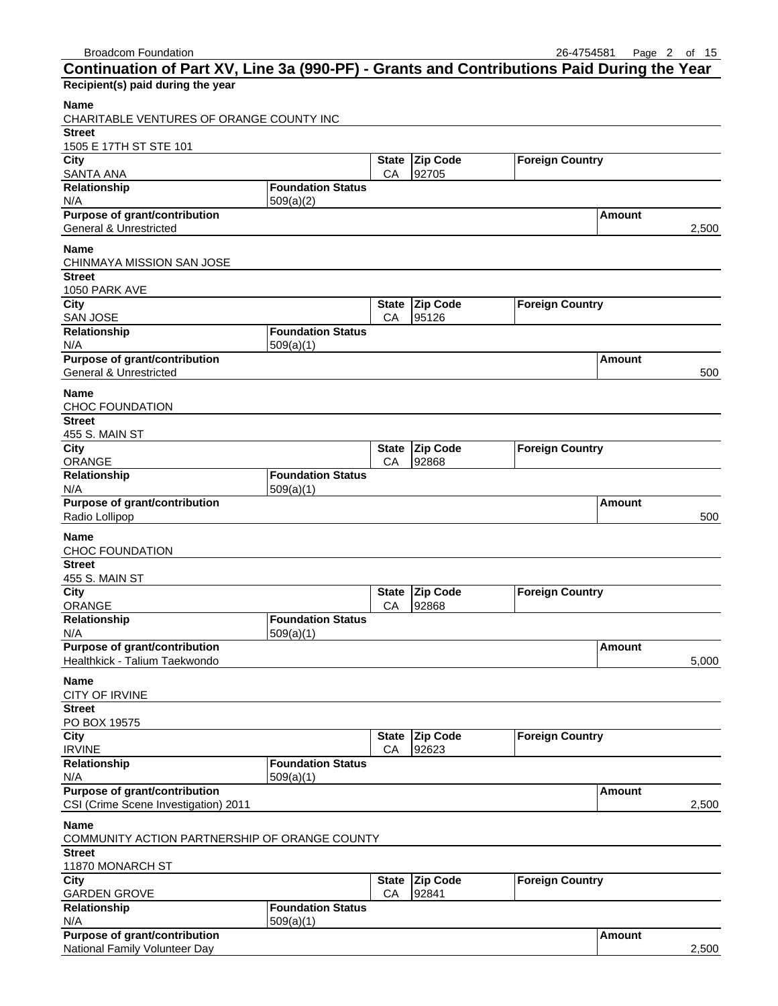$\ddot{\phantom{a}}$ 

| Continuation of Part XV, Line 3a (990-PF) - Grants and Contributions Paid During the Year |                          |              |                 |                        |               |       |
|-------------------------------------------------------------------------------------------|--------------------------|--------------|-----------------|------------------------|---------------|-------|
| Recipient(s) paid during the year                                                         |                          |              |                 |                        |               |       |
| <b>Name</b>                                                                               |                          |              |                 |                        |               |       |
| CHARITABLE VENTURES OF ORANGE COUNTY INC                                                  |                          |              |                 |                        |               |       |
| <b>Street</b>                                                                             |                          |              |                 |                        |               |       |
| 1505 E 17TH ST STE 101                                                                    |                          |              |                 |                        |               |       |
| City                                                                                      |                          | State        | Zip Code        | <b>Foreign Country</b> |               |       |
| <b>SANTA ANA</b>                                                                          |                          | CA           | 92705           |                        |               |       |
| Relationship                                                                              | <b>Foundation Status</b> |              |                 |                        |               |       |
| N/A                                                                                       | 509(a)(2)                |              |                 |                        |               |       |
| <b>Purpose of grant/contribution</b>                                                      |                          |              |                 |                        | Amount        |       |
| General & Unrestricted                                                                    |                          |              |                 |                        |               | 2,500 |
| <b>Name</b>                                                                               |                          |              |                 |                        |               |       |
| <b>CHINMAYA MISSION SAN JOSE</b>                                                          |                          |              |                 |                        |               |       |
| <b>Street</b>                                                                             |                          |              |                 |                        |               |       |
| 1050 PARK AVE                                                                             |                          |              |                 |                        |               |       |
| City                                                                                      |                          | <b>State</b> | <b>Zip Code</b> | <b>Foreign Country</b> |               |       |
| <b>SAN JOSE</b>                                                                           |                          | CA           | 95126           |                        |               |       |
| Relationship                                                                              | <b>Foundation Status</b> |              |                 |                        |               |       |
| N/A                                                                                       | 509(a)(1)                |              |                 |                        |               |       |
| <b>Purpose of grant/contribution</b>                                                      |                          |              |                 |                        | Amount        |       |
| <b>General &amp; Unrestricted</b>                                                         |                          |              |                 |                        |               | 500   |
| <b>Name</b>                                                                               |                          |              |                 |                        |               |       |
| <b>CHOC FOUNDATION</b>                                                                    |                          |              |                 |                        |               |       |
| <b>Street</b>                                                                             |                          |              |                 |                        |               |       |
| 455 S. MAIN ST                                                                            |                          |              |                 |                        |               |       |
| City                                                                                      |                          | <b>State</b> | <b>Zip Code</b> | <b>Foreign Country</b> |               |       |
| ORANGE                                                                                    |                          | CA           | 92868           |                        |               |       |
| Relationship                                                                              | <b>Foundation Status</b> |              |                 |                        |               |       |
| N/A                                                                                       | 509(a)(1)                |              |                 |                        |               |       |
| <b>Purpose of grant/contribution</b>                                                      |                          |              |                 |                        | Amount        |       |
| Radio Lollipop                                                                            |                          |              |                 |                        |               | 500   |
| <b>Name</b>                                                                               |                          |              |                 |                        |               |       |
| <b>CHOC FOUNDATION</b>                                                                    |                          |              |                 |                        |               |       |
| <b>Street</b>                                                                             |                          |              |                 |                        |               |       |
| 455 S. MAIN ST                                                                            |                          |              |                 |                        |               |       |
| City                                                                                      |                          | <b>State</b> | Zip Code        | <b>Foreign Country</b> |               |       |
| <b>ORANGE</b>                                                                             |                          | CA           | 92868           |                        |               |       |
| Relationship                                                                              | <b>Foundation Status</b> |              |                 |                        |               |       |
| N/A                                                                                       | 509(a)(1)                |              |                 |                        |               |       |
| <b>Purpose of grant/contribution</b>                                                      |                          |              |                 |                        | <b>Amount</b> |       |
| Healthkick - Talium Taekwondo                                                             |                          |              |                 |                        |               | 5,000 |
| Name                                                                                      |                          |              |                 |                        |               |       |
| <b>CITY OF IRVINE</b>                                                                     |                          |              |                 |                        |               |       |
| <b>Street</b>                                                                             |                          |              |                 |                        |               |       |
| PO BOX 19575                                                                              |                          |              |                 |                        |               |       |
| City                                                                                      |                          | <b>State</b> | <b>Zip Code</b> | <b>Foreign Country</b> |               |       |
| <b>IRVINE</b>                                                                             |                          | CA           | 92623           |                        |               |       |
| Relationship                                                                              | <b>Foundation Status</b> |              |                 |                        |               |       |
| N/A                                                                                       | 509(a)(1)                |              |                 |                        |               |       |
| Purpose of grant/contribution                                                             |                          |              |                 |                        | Amount        |       |
| CSI (Crime Scene Investigation) 2011                                                      |                          |              |                 |                        |               | 2,500 |
| <b>Name</b>                                                                               |                          |              |                 |                        |               |       |
| COMMUNITY ACTION PARTNERSHIP OF ORANGE COUNTY                                             |                          |              |                 |                        |               |       |
| <b>Street</b>                                                                             |                          |              |                 |                        |               |       |
| 11870 MONARCH ST                                                                          |                          |              |                 |                        |               |       |
| City                                                                                      |                          |              | State Zip Code  | <b>Foreign Country</b> |               |       |
| <b>GARDEN GROVE</b>                                                                       |                          | CА           | 92841           |                        |               |       |
| Relationship                                                                              | <b>Foundation Status</b> |              |                 |                        |               |       |
| N/A                                                                                       | 509(a)(1)                |              |                 |                        |               |       |
| Purpose of grant/contribution                                                             |                          |              |                 |                        | <b>Amount</b> |       |

| Purpose or grant/contribution | <b>I Amount</b> |       |
|-------------------------------|-----------------|-------|
| National Family Volunteer Day |                 | 2.500 |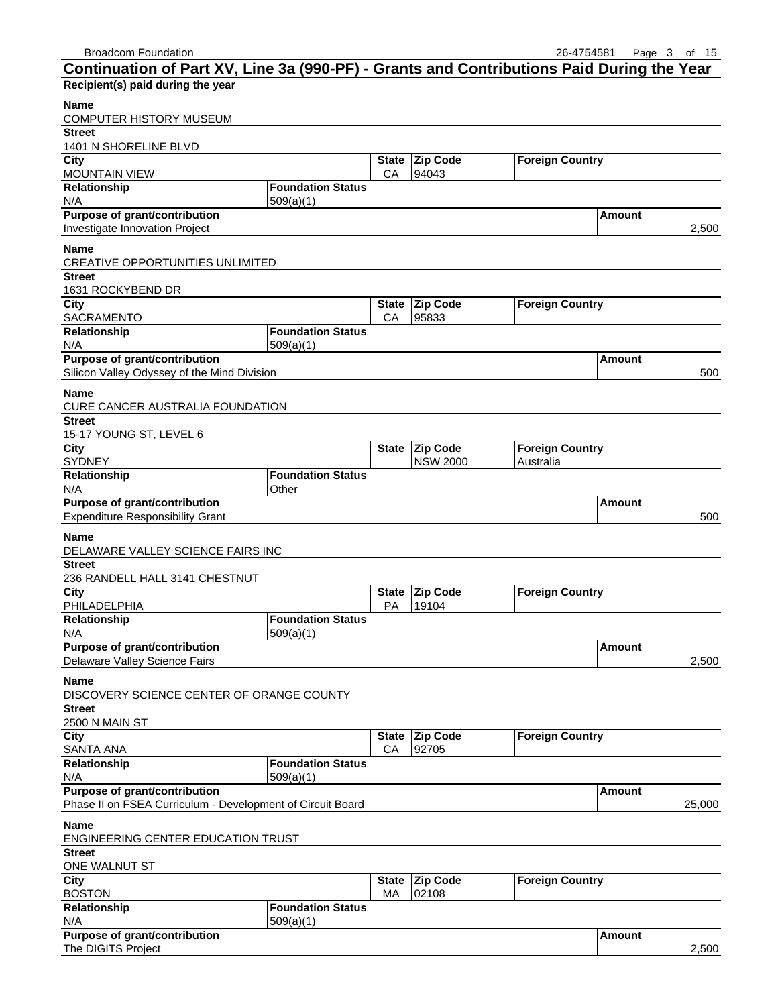| Continuation of Part XV, Line 3a (990-PF) - Grants and Contributions Paid During the Year |                          |                    |                          |                        |               |        |
|-------------------------------------------------------------------------------------------|--------------------------|--------------------|--------------------------|------------------------|---------------|--------|
| Recipient(s) paid during the year                                                         |                          |                    |                          |                        |               |        |
| Name<br>COMPUTER HISTORY MUSEUM                                                           |                          |                    |                          |                        |               |        |
| <b>Street</b>                                                                             |                          |                    |                          |                        |               |        |
| 1401 N SHORELINE BLVD                                                                     |                          |                    |                          |                        |               |        |
| City<br><b>MOUNTAIN VIEW</b>                                                              |                          | <b>State</b><br>CA | <b>Zip Code</b><br>94043 | <b>Foreign Country</b> |               |        |
| Relationship                                                                              | <b>Foundation Status</b> |                    |                          |                        |               |        |
| N/A                                                                                       | 509(a)(1)                |                    |                          |                        |               |        |
| <b>Purpose of grant/contribution</b><br>Investigate Innovation Project                    |                          |                    |                          |                        | <b>Amount</b> | 2,500  |
| <b>Name</b><br><b>CREATIVE OPPORTUNITIES UNLIMITED</b>                                    |                          |                    |                          |                        |               |        |
| <b>Street</b>                                                                             |                          |                    |                          |                        |               |        |
| 1631 ROCKYBEND DR                                                                         |                          |                    |                          |                        |               |        |
| City<br><b>SACRAMENTO</b>                                                                 |                          | <b>State</b><br>CA | <b>Zip Code</b><br>95833 | <b>Foreign Country</b> |               |        |
| Relationship                                                                              | <b>Foundation Status</b> |                    |                          |                        |               |        |
| N/A                                                                                       | 509(a)(1)                |                    |                          |                        |               |        |
| Purpose of grant/contribution                                                             |                          |                    |                          |                        | Amount        |        |
| Silicon Valley Odyssey of the Mind Division                                               |                          |                    |                          |                        |               | 500    |
| <b>Name</b>                                                                               |                          |                    |                          |                        |               |        |
| CURE CANCER AUSTRALIA FOUNDATION                                                          |                          |                    |                          |                        |               |        |
| <b>Street</b>                                                                             |                          |                    |                          |                        |               |        |
| 15-17 YOUNG ST, LEVEL 6                                                                   |                          |                    |                          |                        |               |        |
| City                                                                                      |                          | <b>State</b>       | <b>Zip Code</b>          | <b>Foreign Country</b> |               |        |
| SYDNEY                                                                                    | <b>Foundation Status</b> |                    | <b>NSW 2000</b>          | Australia              |               |        |
| Relationship<br>N/A                                                                       | Other                    |                    |                          |                        |               |        |
| Purpose of grant/contribution                                                             |                          |                    |                          |                        | Amount        |        |
| <b>Expenditure Responsibility Grant</b>                                                   |                          |                    |                          |                        |               | 500    |
| <b>Name</b>                                                                               |                          |                    |                          |                        |               |        |
| DELAWARE VALLEY SCIENCE FAIRS INC                                                         |                          |                    |                          |                        |               |        |
| <b>Street</b>                                                                             |                          |                    |                          |                        |               |        |
| 236 RANDELL HALL 3141 CHESTNUT                                                            |                          |                    |                          |                        |               |        |
| City                                                                                      |                          | <b>State</b>       | <b>Zip Code</b>          | <b>Foreign Country</b> |               |        |
| PHILADELPHIA                                                                              |                          | PA                 | 19104                    |                        |               |        |
| Relationship                                                                              | <b>Foundation Status</b> |                    |                          |                        |               |        |
| N/A                                                                                       | 509(a)(1)                |                    |                          |                        |               |        |
| <b>Purpose of grant/contribution</b><br>Delaware Valley Science Fairs                     |                          |                    |                          |                        | <b>Amount</b> | 2,500  |
|                                                                                           |                          |                    |                          |                        |               |        |
| <b>Name</b><br>DISCOVERY SCIENCE CENTER OF ORANGE COUNTY                                  |                          |                    |                          |                        |               |        |
| <b>Street</b>                                                                             |                          |                    |                          |                        |               |        |
| 2500 N MAIN ST                                                                            |                          |                    |                          |                        |               |        |
| City                                                                                      |                          | <b>State</b>       | <b>Zip Code</b>          | <b>Foreign Country</b> |               |        |
| <b>SANTA ANA</b><br>Relationship                                                          | <b>Foundation Status</b> | CA                 | 92705                    |                        |               |        |
| N/A                                                                                       | 509(a)(1)                |                    |                          |                        |               |        |
| Purpose of grant/contribution                                                             |                          |                    |                          |                        | <b>Amount</b> |        |
| Phase II on FSEA Curriculum - Development of Circuit Board                                |                          |                    |                          |                        |               | 25,000 |
| <b>Name</b>                                                                               |                          |                    |                          |                        |               |        |
| ENGINEERING CENTER EDUCATION TRUST                                                        |                          |                    |                          |                        |               |        |
| <b>Street</b>                                                                             |                          |                    |                          |                        |               |        |
| ONE WALNUT ST                                                                             |                          |                    |                          |                        |               |        |
| City                                                                                      |                          | <b>State</b>       | <b>Zip Code</b>          | <b>Foreign Country</b> |               |        |
| <b>BOSTON</b>                                                                             |                          | МA                 | 02108                    |                        |               |        |
| Relationship                                                                              | <b>Foundation Status</b> |                    |                          |                        |               |        |
| N/A                                                                                       | 509(a)(1)                |                    |                          |                        |               |        |
| Purpose of grant/contribution<br>The DIGITS Project                                       |                          |                    |                          |                        | <b>Amount</b> | 2,500  |
|                                                                                           |                          |                    |                          |                        |               |        |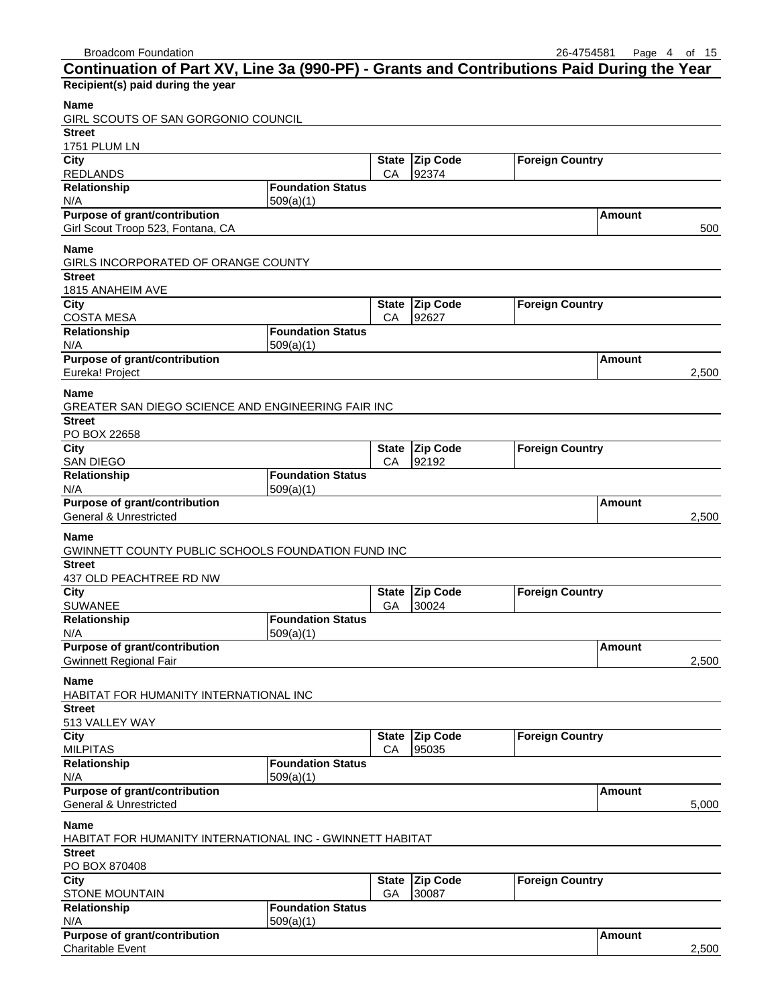| <b>Broadcom Foundation</b>                                                                |                          |                    |                 | 26-4754581             |               | Page 4 of 15 |
|-------------------------------------------------------------------------------------------|--------------------------|--------------------|-----------------|------------------------|---------------|--------------|
| Continuation of Part XV, Line 3a (990-PF) - Grants and Contributions Paid During the Year |                          |                    |                 |                        |               |              |
| Recipient(s) paid during the year                                                         |                          |                    |                 |                        |               |              |
| <b>Name</b>                                                                               |                          |                    |                 |                        |               |              |
| GIRL SCOUTS OF SAN GORGONIO COUNCIL                                                       |                          |                    |                 |                        |               |              |
| <b>Street</b>                                                                             |                          |                    |                 |                        |               |              |
| 1751 PLUM LN                                                                              |                          |                    |                 |                        |               |              |
| City                                                                                      |                          | <b>State</b>       | Zip Code        | <b>Foreign Country</b> |               |              |
| <b>REDLANDS</b>                                                                           |                          | CA                 | 92374           |                        |               |              |
| Relationship                                                                              | <b>Foundation Status</b> |                    |                 |                        |               |              |
| N/A                                                                                       | 509(a)(1)                |                    |                 |                        |               |              |
| <b>Purpose of grant/contribution</b>                                                      |                          |                    |                 |                        | Amount        |              |
| Girl Scout Troop 523, Fontana, CA                                                         |                          |                    |                 |                        |               | 500          |
| <b>Name</b>                                                                               |                          |                    |                 |                        |               |              |
| GIRLS INCORPORATED OF ORANGE COUNTY                                                       |                          |                    |                 |                        |               |              |
| <b>Street</b>                                                                             |                          |                    |                 |                        |               |              |
| 1815 ANAHEIM AVE                                                                          |                          |                    |                 |                        |               |              |
| City                                                                                      |                          | <b>State</b>       | <b>Zip Code</b> | <b>Foreign Country</b> |               |              |
| <b>COSTA MESA</b><br>Relationship                                                         | <b>Foundation Status</b> | CA                 | 92627           |                        |               |              |
| N/A                                                                                       | 509(a)(1)                |                    |                 |                        |               |              |
| Purpose of grant/contribution                                                             |                          |                    |                 |                        | Amount        |              |
| Eureka! Project                                                                           |                          |                    |                 |                        |               | 2,500        |
|                                                                                           |                          |                    |                 |                        |               |              |
| <b>Name</b>                                                                               |                          |                    |                 |                        |               |              |
| GREATER SAN DIEGO SCIENCE AND ENGINEERING FAIR INC                                        |                          |                    |                 |                        |               |              |
| <b>Street</b><br>PO BOX 22658                                                             |                          |                    |                 |                        |               |              |
| City                                                                                      |                          | <b>State</b>       | <b>Zip Code</b> | <b>Foreign Country</b> |               |              |
| <b>SAN DIEGO</b>                                                                          |                          | СA                 | 92192           |                        |               |              |
| Relationship                                                                              | <b>Foundation Status</b> |                    |                 |                        |               |              |
| N/A                                                                                       | 509(a)(1)                |                    |                 |                        |               |              |
| Purpose of grant/contribution                                                             |                          |                    |                 |                        | Amount        |              |
| <b>General &amp; Unrestricted</b>                                                         |                          |                    |                 |                        |               | 2,500        |
| <b>Name</b>                                                                               |                          |                    |                 |                        |               |              |
| GWINNETT COUNTY PUBLIC SCHOOLS FOUNDATION FUND INC                                        |                          |                    |                 |                        |               |              |
| <b>Street</b>                                                                             |                          |                    |                 |                        |               |              |
| 437 OLD PEACHTREE RD NW                                                                   |                          |                    |                 |                        |               |              |
| City                                                                                      |                          | <b>State</b>       | <b>Zip Code</b> | <b>Foreign Country</b> |               |              |
| <b>SUWANEE</b>                                                                            |                          | GA                 | 30024           |                        |               |              |
| <b>Relationship</b>                                                                       | <b>Foundation Status</b> |                    |                 |                        |               |              |
| N/A                                                                                       | 509(a)(1)                |                    |                 |                        |               |              |
| Purpose of grant/contribution                                                             |                          |                    |                 |                        | Amount        |              |
| <b>Gwinnett Regional Fair</b>                                                             |                          |                    |                 |                        |               | 2,500        |
| <b>Name</b>                                                                               |                          |                    |                 |                        |               |              |
| HABITAT FOR HUMANITY INTERNATIONAL INC                                                    |                          |                    |                 |                        |               |              |
| <b>Street</b>                                                                             |                          |                    |                 |                        |               |              |
| 513 VALLEY WAY                                                                            |                          |                    |                 |                        |               |              |
| City                                                                                      |                          | <b>State</b>       | <b>Zip Code</b> | <b>Foreign Country</b> |               |              |
| <b>MILPITAS</b>                                                                           |                          | CA                 | 95035           |                        |               |              |
| Relationship                                                                              | <b>Foundation Status</b> |                    |                 |                        |               |              |
| N/A<br><b>Purpose of grant/contribution</b>                                               | 509(a)(1)                |                    |                 |                        | <b>Amount</b> |              |
| <b>General &amp; Unrestricted</b>                                                         |                          |                    |                 |                        |               | 5,000        |
|                                                                                           |                          |                    |                 |                        |               |              |
| Name                                                                                      |                          |                    |                 |                        |               |              |
| HABITAT FOR HUMANITY INTERNATIONAL INC - GWINNETT HABITAT                                 |                          |                    |                 |                        |               |              |
| <b>Street</b>                                                                             |                          |                    |                 |                        |               |              |
| PO BOX 870408<br>City                                                                     |                          |                    | <b>Zip Code</b> | <b>Foreign Country</b> |               |              |
| <b>STONE MOUNTAIN</b>                                                                     |                          | <b>State</b><br>GA | 30087           |                        |               |              |
| Relationship                                                                              | <b>Foundation Status</b> |                    |                 |                        |               |              |

| 117.00000110111 <b>0</b>             | . . vanaanvn vlatav |        |       |
|--------------------------------------|---------------------|--------|-------|
| N/A                                  | .509(a)(1)          |        |       |
| <b>Purpose of grant/contribution</b> |                     | Amount |       |
| <b>Charitable Event</b>              |                     |        | 2,500 |
|                                      |                     |        |       |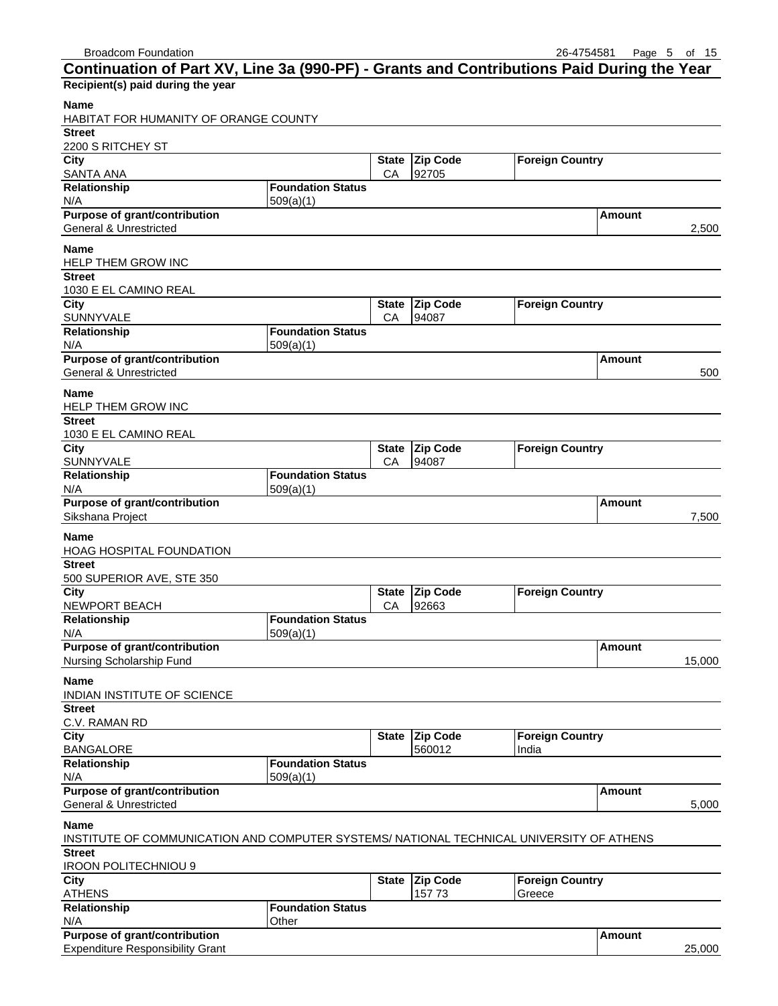| Continuation of Part XV, Line 3a (990-PF) - Grants and Contributions Paid During the Year |                          |              |                 |                        |               |        |
|-------------------------------------------------------------------------------------------|--------------------------|--------------|-----------------|------------------------|---------------|--------|
| Recipient(s) paid during the year                                                         |                          |              |                 |                        |               |        |
| Name                                                                                      |                          |              |                 |                        |               |        |
| HABITAT FOR HUMANITY OF ORANGE COUNTY                                                     |                          |              |                 |                        |               |        |
| <b>Street</b>                                                                             |                          |              |                 |                        |               |        |
| 2200 S RITCHEY ST                                                                         |                          |              |                 |                        |               |        |
| City                                                                                      |                          | <b>State</b> | <b>Zip Code</b> | <b>Foreign Country</b> |               |        |
| <b>SANTA ANA</b>                                                                          |                          | CA           | 92705           |                        |               |        |
| Relationship                                                                              | <b>Foundation Status</b> |              |                 |                        |               |        |
| N/A                                                                                       | 509(a)(1)                |              |                 |                        |               |        |
| <b>Purpose of grant/contribution</b>                                                      |                          |              |                 |                        | Amount        |        |
| <b>General &amp; Unrestricted</b>                                                         |                          |              |                 |                        |               | 2,500  |
| Name                                                                                      |                          |              |                 |                        |               |        |
| HELP THEM GROW INC                                                                        |                          |              |                 |                        |               |        |
| <b>Street</b>                                                                             |                          |              |                 |                        |               |        |
| 1030 E EL CAMINO REAL                                                                     |                          |              |                 |                        |               |        |
| City                                                                                      |                          | <b>State</b> | Zip Code        | <b>Foreign Country</b> |               |        |
| SUNNYVALE                                                                                 |                          | CA           | 94087           |                        |               |        |
| Relationship                                                                              | <b>Foundation Status</b> |              |                 |                        |               |        |
| N/A                                                                                       | 509(a)(1)                |              |                 |                        |               |        |
| Purpose of grant/contribution                                                             |                          |              |                 |                        | Amount        |        |
| <b>General &amp; Unrestricted</b>                                                         |                          |              |                 |                        |               | 500    |
| Name                                                                                      |                          |              |                 |                        |               |        |
| HELP THEM GROW INC                                                                        |                          |              |                 |                        |               |        |
| <b>Street</b>                                                                             |                          |              |                 |                        |               |        |
| 1030 E EL CAMINO REAL                                                                     |                          |              |                 |                        |               |        |
| City                                                                                      |                          | <b>State</b> | <b>Zip Code</b> | <b>Foreign Country</b> |               |        |
| SUNNYVALE                                                                                 |                          | CA           | 94087           |                        |               |        |
| Relationship                                                                              | <b>Foundation Status</b> |              |                 |                        |               |        |
| N/A                                                                                       | 509(a)(1)                |              |                 |                        |               |        |
| Purpose of grant/contribution                                                             |                          |              |                 |                        | Amount        |        |
| Sikshana Project                                                                          |                          |              |                 |                        |               | 7,500  |
|                                                                                           |                          |              |                 |                        |               |        |
| Name<br>HOAG HOSPITAL FOUNDATION                                                          |                          |              |                 |                        |               |        |
| <b>Street</b>                                                                             |                          |              |                 |                        |               |        |
| 500 SUPERIOR AVE, STE 350                                                                 |                          |              |                 |                        |               |        |
| City                                                                                      |                          | <b>State</b> | <b>Zip Code</b> | <b>Foreign Country</b> |               |        |
| <b>NEWPORT BEACH</b>                                                                      |                          | СA           | 92663           |                        |               |        |
| Relationship                                                                              | <b>Foundation Status</b> |              |                 |                        |               |        |
| N/A                                                                                       | 509(a)(1)                |              |                 |                        |               |        |
| <b>Purpose of grant/contribution</b>                                                      |                          |              |                 |                        | <b>Amount</b> |        |
| Nursing Scholarship Fund                                                                  |                          |              |                 |                        |               | 15,000 |
| Name                                                                                      |                          |              |                 |                        |               |        |
| INDIAN INSTITUTE OF SCIENCE                                                               |                          |              |                 |                        |               |        |
| <b>Street</b>                                                                             |                          |              |                 |                        |               |        |
| C.V. RAMAN RD                                                                             |                          |              |                 |                        |               |        |
| City                                                                                      |                          |              | State Zip Code  | <b>Foreign Country</b> |               |        |
| <b>BANGALORE</b>                                                                          |                          |              | 560012          | India                  |               |        |
| Relationship                                                                              | <b>Foundation Status</b> |              |                 |                        |               |        |
| N/A                                                                                       | 509(a)(1)                |              |                 |                        |               |        |
| <b>Purpose of grant/contribution</b>                                                      |                          |              |                 |                        | <b>Amount</b> |        |
| General & Unrestricted                                                                    |                          |              |                 |                        |               | 5,000  |
| Name                                                                                      |                          |              |                 |                        |               |        |
| INSTITUTE OF COMMUNICATION AND COMPUTER SYSTEMS/ NATIONAL TECHNICAL UNIVERSITY OF ATHENS  |                          |              |                 |                        |               |        |
| <b>Street</b>                                                                             |                          |              |                 |                        |               |        |
| <b>IROON POLITECHNIOU 9</b>                                                               |                          |              |                 |                        |               |        |
| City                                                                                      |                          | <b>State</b> | <b>Zip Code</b> | <b>Foreign Country</b> |               |        |
| <b>ATHENS</b>                                                                             |                          |              | 157 73          | Greece                 |               |        |
| Relationship                                                                              | <b>Foundation Status</b> |              |                 |                        |               |        |
| N/A                                                                                       | Other                    |              |                 |                        |               |        |
|                                                                                           |                          |              |                 |                        |               |        |

| Purpose of grant/contribution              | <b>\mount</b> |      |
|--------------------------------------------|---------------|------|
| <b>Expenditure Responsibility</b><br>Grant |               | .000 |
|                                            |               |      |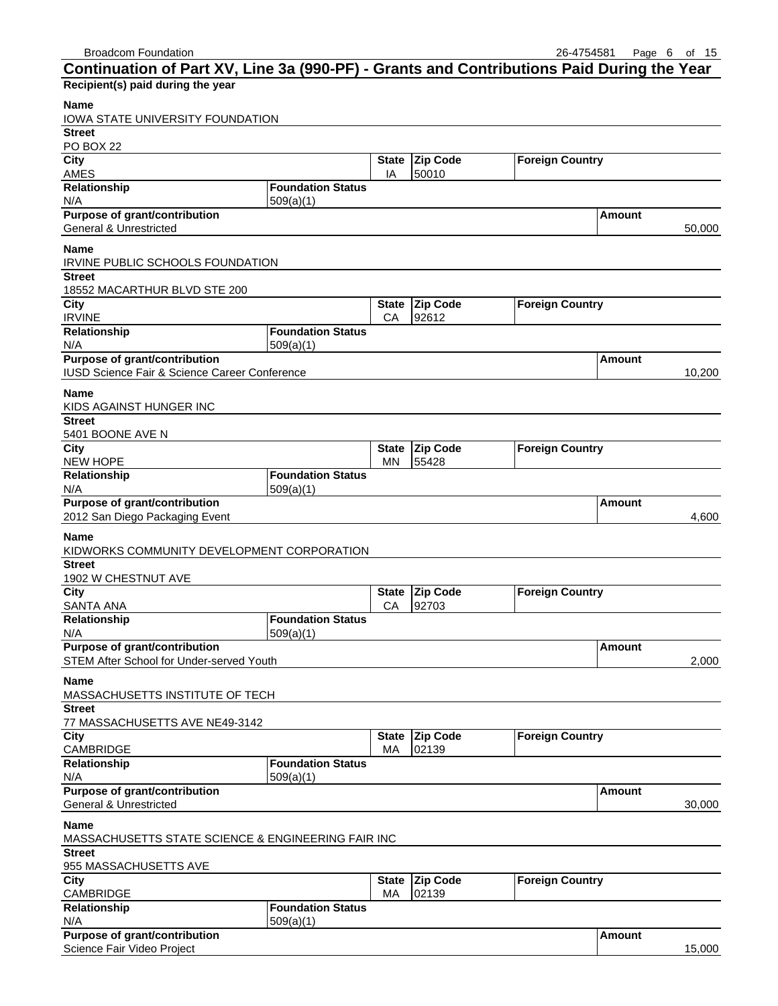| <b>Broadcom Foundation</b>                                                                |                          |              |                 | 26-4754581             | Page          | - 6<br>of 15 |
|-------------------------------------------------------------------------------------------|--------------------------|--------------|-----------------|------------------------|---------------|--------------|
| Continuation of Part XV, Line 3a (990-PF) - Grants and Contributions Paid During the Year |                          |              |                 |                        |               |              |
| Recipient(s) paid during the year                                                         |                          |              |                 |                        |               |              |
| <b>Name</b><br>IOWA STATE UNIVERSITY FOUNDATION                                           |                          |              |                 |                        |               |              |
| <b>Street</b>                                                                             |                          |              |                 |                        |               |              |
| <b>PO BOX 22</b>                                                                          |                          |              |                 |                        |               |              |
| City                                                                                      |                          | <b>State</b> | <b>Zip Code</b> | <b>Foreign Country</b> |               |              |
| AMES                                                                                      |                          | IA           | 50010           |                        |               |              |
| Relationship                                                                              | <b>Foundation Status</b> |              |                 |                        |               |              |
| N/A                                                                                       | 509(a)(1)                |              |                 |                        |               |              |
| Purpose of grant/contribution                                                             |                          |              |                 |                        | Amount        |              |
| <b>General &amp; Unrestricted</b>                                                         |                          |              |                 |                        |               | 50,000       |
| <b>Name</b>                                                                               |                          |              |                 |                        |               |              |
| IRVINE PUBLIC SCHOOLS FOUNDATION                                                          |                          |              |                 |                        |               |              |
| <b>Street</b>                                                                             |                          |              |                 |                        |               |              |
| 18552 MACARTHUR BLVD STE 200                                                              |                          |              |                 |                        |               |              |
| City                                                                                      |                          | <b>State</b> | <b>Zip Code</b> | <b>Foreign Country</b> |               |              |
| <b>IRVINE</b>                                                                             |                          | CA           | 92612           |                        |               |              |
| Relationship                                                                              | <b>Foundation Status</b> |              |                 |                        |               |              |
| N/A<br>Purpose of grant/contribution                                                      | 509(a)(1)                |              |                 |                        | Amount        |              |
| IUSD Science Fair & Science Career Conference                                             |                          |              |                 |                        |               | 10,200       |
|                                                                                           |                          |              |                 |                        |               |              |
| <b>Name</b>                                                                               |                          |              |                 |                        |               |              |
| KIDS AGAINST HUNGER INC                                                                   |                          |              |                 |                        |               |              |
| <b>Street</b>                                                                             |                          |              |                 |                        |               |              |
| 5401 BOONE AVE N                                                                          |                          |              |                 |                        |               |              |
| City                                                                                      |                          | <b>State</b> | Zip Code        | <b>Foreign Country</b> |               |              |
| <b>NEW HOPE</b>                                                                           | <b>Foundation Status</b> | ΜN           | 55428           |                        |               |              |
| Relationship<br>N/A                                                                       | 509(a)(1)                |              |                 |                        |               |              |
| Purpose of grant/contribution                                                             |                          |              |                 |                        | Amount        |              |
| 2012 San Diego Packaging Event                                                            |                          |              |                 |                        |               | 4,600        |
|                                                                                           |                          |              |                 |                        |               |              |
| <b>Name</b>                                                                               |                          |              |                 |                        |               |              |
| KIDWORKS COMMUNITY DEVELOPMENT CORPORATION                                                |                          |              |                 |                        |               |              |
| <b>Street</b>                                                                             |                          |              |                 |                        |               |              |
| 1902 W CHESTNUT AVE<br>City                                                               |                          | <b>State</b> | Zip Code        | <b>Foreign Country</b> |               |              |
| <b>SANTA ANA</b>                                                                          |                          | CA           | 92703           |                        |               |              |
| Relationship                                                                              | <b>Foundation Status</b> |              |                 |                        |               |              |
| N/A                                                                                       | 509(a)(1)                |              |                 |                        |               |              |
| Purpose of grant/contribution                                                             |                          |              |                 |                        | Amount        |              |
| STEM After School for Under-served Youth                                                  |                          |              |                 |                        |               | 2,000        |
| <b>Name</b>                                                                               |                          |              |                 |                        |               |              |
| MASSACHUSETTS INSTITUTE OF TECH                                                           |                          |              |                 |                        |               |              |
| <b>Street</b>                                                                             |                          |              |                 |                        |               |              |
| 77 MASSACHUSETTS AVE NE49-3142                                                            |                          |              |                 |                        |               |              |
| <b>City</b>                                                                               |                          | <b>State</b> | Zip Code        | <b>Foreign Country</b> |               |              |
| CAMBRIDGE                                                                                 |                          | МA           | 02139           |                        |               |              |
| Relationship                                                                              | <b>Foundation Status</b> |              |                 |                        |               |              |
| N/A                                                                                       | 509(a)(1)                |              |                 |                        |               |              |
| Purpose of grant/contribution                                                             |                          |              |                 |                        | <b>Amount</b> |              |
| <b>General &amp; Unrestricted</b>                                                         |                          |              |                 |                        |               | 30,000       |
| <b>Name</b>                                                                               |                          |              |                 |                        |               |              |
| MASSACHUSETTS STATE SCIENCE & ENGINEERING FAIR INC                                        |                          |              |                 |                        |               |              |
| <b>Street</b>                                                                             |                          |              |                 |                        |               |              |
| 955 MASSACHUSETTS AVE                                                                     |                          |              |                 |                        |               |              |
| City                                                                                      |                          |              | State Zip Code  | <b>Foreign Country</b> |               |              |

| City                                 |                          |    | State   Zip Code | <b>IForeign Country</b> |          |        |
|--------------------------------------|--------------------------|----|------------------|-------------------------|----------|--------|
| <b>CAMBRIDGE</b>                     |                          | MA | 02139            |                         |          |        |
| <b>Relationship</b>                  | <b>Foundation Status</b> |    |                  |                         |          |        |
| N/A                                  | 509(a)(1)                |    |                  |                         |          |        |
| <b>Purpose of grant/contribution</b> |                          |    |                  |                         | l Amount |        |
| Science Fair Video Project           |                          |    |                  |                         |          | 15.000 |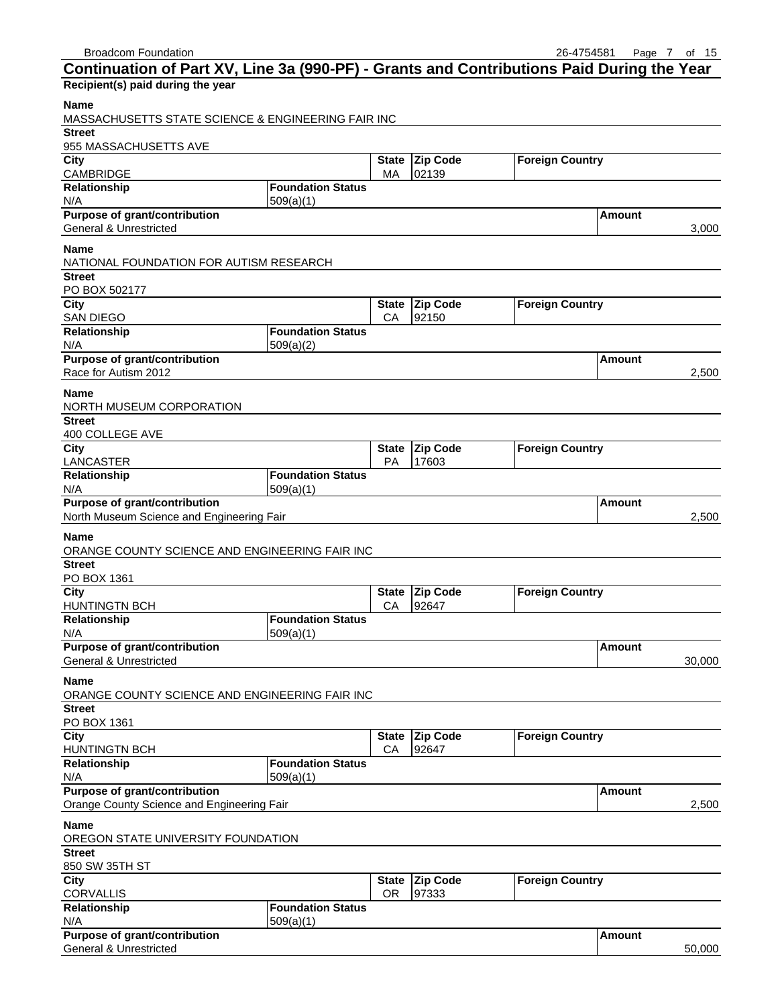| Continuation of Part XV, Line 3a (990-PF) - Grants and Contributions Paid During the Year |                          |              |                 |                        |               |        |
|-------------------------------------------------------------------------------------------|--------------------------|--------------|-----------------|------------------------|---------------|--------|
| Recipient(s) paid during the year                                                         |                          |              |                 |                        |               |        |
| <b>Name</b>                                                                               |                          |              |                 |                        |               |        |
| MASSACHUSETTS STATE SCIENCE & ENGINEERING FAIR INC                                        |                          |              |                 |                        |               |        |
| <b>Street</b>                                                                             |                          |              |                 |                        |               |        |
| 955 MASSACHUSETTS AVE                                                                     |                          |              |                 |                        |               |        |
| City                                                                                      |                          | <b>State</b> | Zip Code        | <b>Foreign Country</b> |               |        |
| CAMBRIDGE                                                                                 |                          | МA           | 02139           |                        |               |        |
| Relationship                                                                              | <b>Foundation Status</b> |              |                 |                        |               |        |
| N/A                                                                                       | 509(a)(1)                |              |                 |                        |               |        |
| <b>Purpose of grant/contribution</b>                                                      |                          |              |                 |                        | Amount        |        |
| <b>General &amp; Unrestricted</b>                                                         |                          |              |                 |                        |               | 3,000  |
|                                                                                           |                          |              |                 |                        |               |        |
| <b>Name</b>                                                                               |                          |              |                 |                        |               |        |
| NATIONAL FOUNDATION FOR AUTISM RESEARCH                                                   |                          |              |                 |                        |               |        |
| <b>Street</b>                                                                             |                          |              |                 |                        |               |        |
| PO BOX 502177                                                                             |                          |              |                 |                        |               |        |
| City                                                                                      |                          |              | State Zip Code  | <b>Foreign Country</b> |               |        |
| <b>SAN DIEGO</b>                                                                          | <b>Foundation Status</b> | CA           | 92150           |                        |               |        |
| Relationship                                                                              |                          |              |                 |                        |               |        |
| N/A                                                                                       | 509(a)(2)                |              |                 |                        |               |        |
| <b>Purpose of grant/contribution</b>                                                      |                          |              |                 |                        | Amount        |        |
| Race for Autism 2012                                                                      |                          |              |                 |                        |               | 2,500  |
| <b>Name</b>                                                                               |                          |              |                 |                        |               |        |
| NORTH MUSEUM CORPORATION                                                                  |                          |              |                 |                        |               |        |
| <b>Street</b>                                                                             |                          |              |                 |                        |               |        |
| 400 COLLEGE AVE                                                                           |                          |              |                 |                        |               |        |
| City                                                                                      |                          | <b>State</b> | <b>Zip Code</b> | <b>Foreign Country</b> |               |        |
| LANCASTER                                                                                 |                          | PA           | 17603           |                        |               |        |
| Relationship                                                                              | <b>Foundation Status</b> |              |                 |                        |               |        |
| N/A                                                                                       | 509(a)(1)                |              |                 |                        |               |        |
| <b>Purpose of grant/contribution</b>                                                      |                          |              |                 |                        | Amount        |        |
| North Museum Science and Engineering Fair                                                 |                          |              |                 |                        |               | 2,500  |
|                                                                                           |                          |              |                 |                        |               |        |
| <b>Name</b><br>ORANGE COUNTY SCIENCE AND ENGINEERING FAIR INC                             |                          |              |                 |                        |               |        |
| <b>Street</b>                                                                             |                          |              |                 |                        |               |        |
| PO BOX 1361                                                                               |                          |              |                 |                        |               |        |
| City                                                                                      |                          | <b>State</b> | <b>Zip Code</b> | <b>Foreign Country</b> |               |        |
| <b>HUNTINGTN BCH</b>                                                                      |                          | CA           | 92647           |                        |               |        |
| Relationship                                                                              | <b>Foundation Status</b> |              |                 |                        |               |        |
| N/A                                                                                       | 509(a)(1)                |              |                 |                        |               |        |
| Purpose of grant/contribution                                                             |                          |              |                 |                        |               |        |
| <b>General &amp; Unrestricted</b>                                                         |                          |              |                 |                        | <b>Amount</b> | 30,000 |
|                                                                                           |                          |              |                 |                        |               |        |
| Name                                                                                      |                          |              |                 |                        |               |        |
| ORANGE COUNTY SCIENCE AND ENGINEERING FAIR INC                                            |                          |              |                 |                        |               |        |
| Street                                                                                    |                          |              |                 |                        |               |        |
| PO BOX 1361                                                                               |                          |              |                 |                        |               |        |
| City                                                                                      |                          | <b>State</b> | <b>Zip Code</b> | <b>Foreign Country</b> |               |        |
| <b>HUNTINGTN BCH</b>                                                                      |                          | CA           | 92647           |                        |               |        |
| Relationship                                                                              | <b>Foundation Status</b> |              |                 |                        |               |        |
| N/A                                                                                       | 509(a)(1)                |              |                 |                        |               |        |
| Purpose of grant/contribution                                                             |                          |              |                 |                        | Amount        |        |
| Orange County Science and Engineering Fair                                                |                          |              |                 |                        |               | 2,500  |
|                                                                                           |                          |              |                 |                        |               |        |
| Name                                                                                      |                          |              |                 |                        |               |        |
| OREGON STATE UNIVERSITY FOUNDATION                                                        |                          |              |                 |                        |               |        |
| <b>Street</b>                                                                             |                          |              |                 |                        |               |        |
| 850 SW 35TH ST                                                                            |                          |              |                 |                        |               |        |
| City                                                                                      |                          |              | State Zip Code  | <b>Foreign Country</b> |               |        |
| <b>CORVALLIS</b>                                                                          | <b>Foundation Status</b> | OR.          | 97333           |                        |               |        |
| Relationship                                                                              |                          |              |                 |                        |               |        |
| N/A<br>Purpose of grant/contribution                                                      | 509(a)(1)                |              |                 |                        | <b>Amount</b> |        |
|                                                                                           |                          |              |                 |                        |               |        |

General & Unrestricted 50,000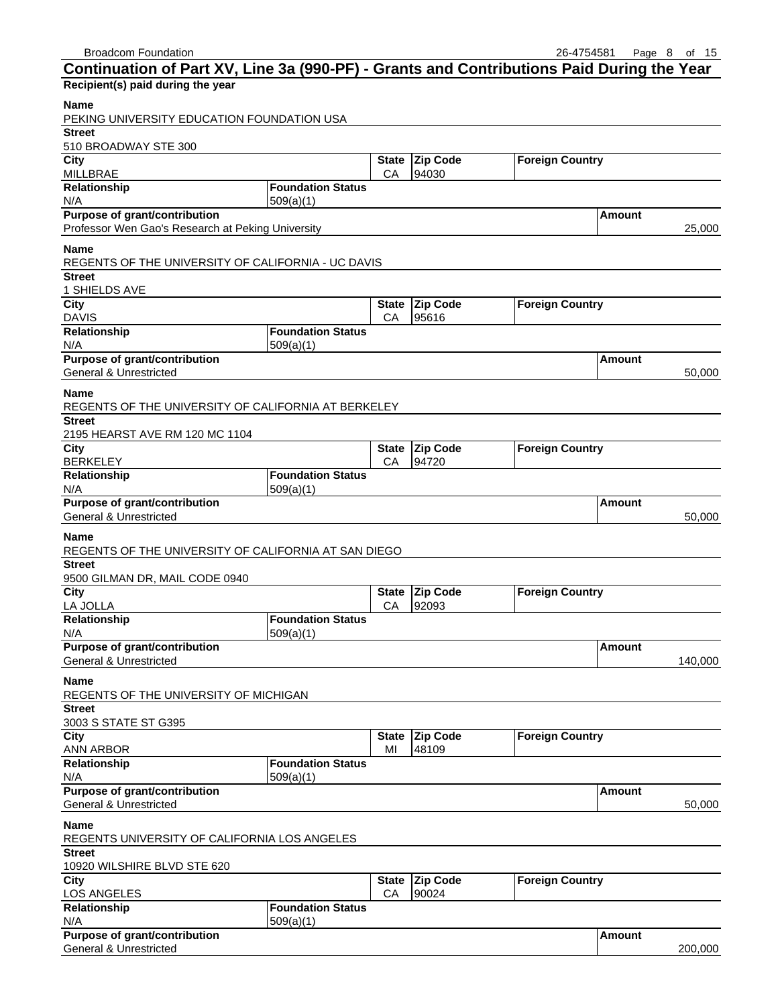| Continuation of Part XV, Line 3a (990-PF) - Grants and Contributions Paid During the Year |                          |                    |                   |                        |               |
|-------------------------------------------------------------------------------------------|--------------------------|--------------------|-------------------|------------------------|---------------|
| Recipient(s) paid during the year                                                         |                          |                    |                   |                        |               |
| <b>Name</b><br>PEKING UNIVERSITY EDUCATION FOUNDATION USA                                 |                          |                    |                   |                        |               |
| <b>Street</b>                                                                             |                          |                    |                   |                        |               |
| 510 BROADWAY STE 300<br>City                                                              |                          |                    | <b>Zip Code</b>   |                        |               |
| <b>MILLBRAE</b>                                                                           |                          | <b>State</b><br>CA | 94030             | <b>Foreign Country</b> |               |
| Relationship                                                                              | <b>Foundation Status</b> |                    |                   |                        |               |
| N/A                                                                                       | 509(a)(1)                |                    |                   |                        |               |
| <b>Purpose of grant/contribution</b>                                                      |                          |                    |                   |                        | Amount        |
| Professor Wen Gao's Research at Peking University                                         |                          |                    |                   |                        | 25,000        |
| <b>Name</b>                                                                               |                          |                    |                   |                        |               |
| REGENTS OF THE UNIVERSITY OF CALIFORNIA - UC DAVIS<br><b>Street</b>                       |                          |                    |                   |                        |               |
| 1 SHIELDS AVE                                                                             |                          |                    |                   |                        |               |
| <b>City</b>                                                                               |                          | <b>State</b>       | <b>Zip Code</b>   | <b>Foreign Country</b> |               |
| <b>DAVIS</b>                                                                              |                          | CA                 | 95616             |                        |               |
| Relationship                                                                              | <b>Foundation Status</b> |                    |                   |                        |               |
| N/A                                                                                       | 509(a)(1)                |                    |                   |                        |               |
| <b>Purpose of grant/contribution</b>                                                      |                          |                    |                   |                        | <b>Amount</b> |
| <b>General &amp; Unrestricted</b>                                                         |                          |                    |                   |                        | 50,000        |
| <b>Name</b>                                                                               |                          |                    |                   |                        |               |
| REGENTS OF THE UNIVERSITY OF CALIFORNIA AT BERKELEY                                       |                          |                    |                   |                        |               |
| <b>Street</b><br>2195 HEARST AVE RM 120 MC 1104                                           |                          |                    |                   |                        |               |
| City                                                                                      |                          | <b>State</b>       | <b>Zip Code</b>   | <b>Foreign Country</b> |               |
| <b>BERKELEY</b>                                                                           |                          | CA                 | 94720             |                        |               |
| Relationship                                                                              | <b>Foundation Status</b> |                    |                   |                        |               |
| N/A                                                                                       | 509(a)(1)                |                    |                   |                        |               |
| Purpose of grant/contribution                                                             |                          |                    |                   |                        | Amount        |
| <b>General &amp; Unrestricted</b>                                                         |                          |                    |                   |                        | 50,000        |
| <b>Name</b>                                                                               |                          |                    |                   |                        |               |
| REGENTS OF THE UNIVERSITY OF CALIFORNIA AT SAN DIEGO                                      |                          |                    |                   |                        |               |
| <b>Street</b>                                                                             |                          |                    |                   |                        |               |
| 9500 GILMAN DR, MAIL CODE 0940<br>City                                                    |                          | <b>State</b>       | <b>Zip Code</b>   | <b>Foreign Country</b> |               |
| LA JOLLA                                                                                  |                          | СA                 | 92093             |                        |               |
| Relationship                                                                              | <b>Foundation Status</b> |                    |                   |                        |               |
| N/A                                                                                       | 509(a)(1)                |                    |                   |                        |               |
| Purpose of grant/contribution                                                             |                          |                    |                   |                        | Amount        |
| <b>General &amp; Unrestricted</b>                                                         |                          |                    |                   |                        | 140,000       |
| <b>Name</b>                                                                               |                          |                    |                   |                        |               |
| REGENTS OF THE UNIVERSITY OF MICHIGAN                                                     |                          |                    |                   |                        |               |
| <b>Street</b>                                                                             |                          |                    |                   |                        |               |
| 3003 S STATE ST G395<br>City                                                              |                          | <b>State</b>       | Zip Code          | <b>Foreign Country</b> |               |
| ANN ARBOR                                                                                 |                          | MI                 | 48109             |                        |               |
| Relationship                                                                              | <b>Foundation Status</b> |                    |                   |                        |               |
| N/A                                                                                       | 509(a)(1)                |                    |                   |                        |               |
| Purpose of grant/contribution                                                             |                          |                    |                   |                        | <b>Amount</b> |
| <b>General &amp; Unrestricted</b>                                                         |                          |                    |                   |                        | 50,000        |
| <b>Name</b>                                                                               |                          |                    |                   |                        |               |
| REGENTS UNIVERSITY OF CALIFORNIA LOS ANGELES                                              |                          |                    |                   |                        |               |
| <b>Street</b>                                                                             |                          |                    |                   |                        |               |
| 10920 WILSHIRE BLVD STE 620                                                               |                          |                    |                   |                        |               |
| City<br>LOS ANGELES                                                                       |                          | <b>State</b><br>CA | Zip Code<br>90024 | <b>Foreign Country</b> |               |
| Relationship                                                                              | <b>Foundation Status</b> |                    |                   |                        |               |
| N/A                                                                                       | 509(a)(1)                |                    |                   |                        |               |
| Purpose of grant/contribution                                                             |                          |                    |                   |                        | <b>Amount</b> |
| <b>General &amp; Unrestricted</b>                                                         |                          |                    |                   |                        | 200,000       |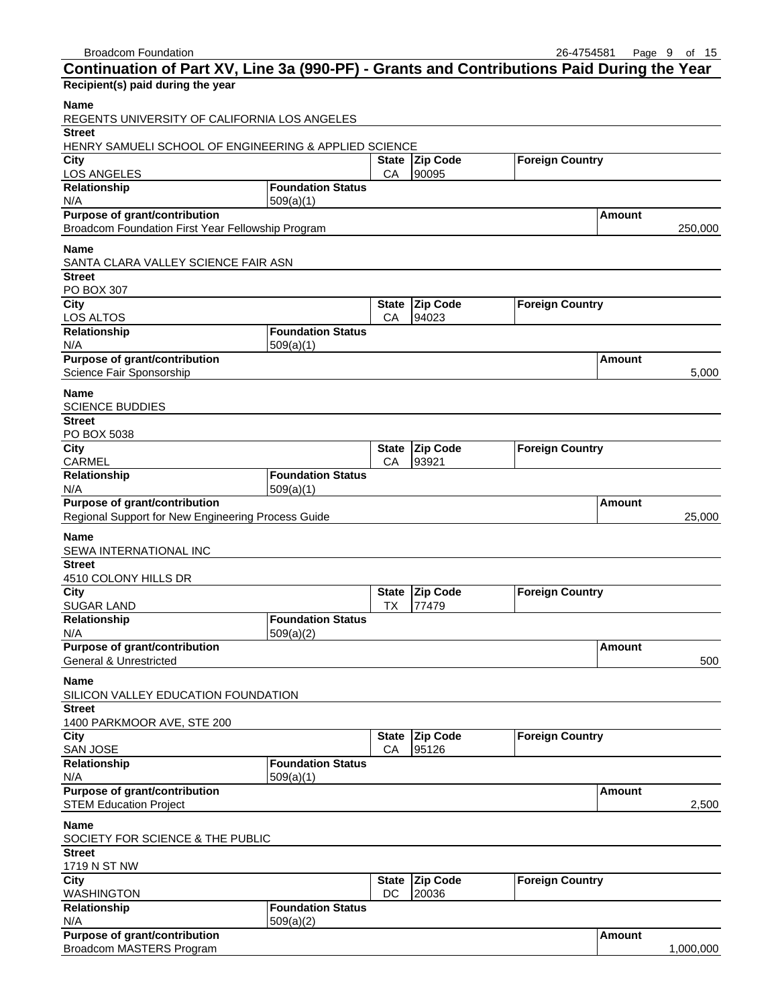| Continuation of Part XV, Line 3a (990-PF) - Grants and Contributions Paid During the Year |                          |                    |                          |                        |                   |
|-------------------------------------------------------------------------------------------|--------------------------|--------------------|--------------------------|------------------------|-------------------|
| Recipient(s) paid during the year                                                         |                          |                    |                          |                        |                   |
| <b>Name</b><br>REGENTS UNIVERSITY OF CALIFORNIA LOS ANGELES                               |                          |                    |                          |                        |                   |
| <b>Street</b>                                                                             |                          |                    |                          |                        |                   |
| HENRY SAMUELI SCHOOL OF ENGINEERING & APPLIED SCIENCE<br>City                             |                          |                    | State Zip Code           | <b>Foreign Country</b> |                   |
| LOS ANGELES                                                                               |                          | CA                 | 90095                    |                        |                   |
| Relationship                                                                              | <b>Foundation Status</b> |                    |                          |                        |                   |
| N/A                                                                                       | 509(a)(1)                |                    |                          |                        |                   |
| Purpose of grant/contribution<br>Broadcom Foundation First Year Fellowship Program        |                          |                    |                          |                        | Amount<br>250,000 |
| <b>Name</b>                                                                               |                          |                    |                          |                        |                   |
| SANTA CLARA VALLEY SCIENCE FAIR ASN                                                       |                          |                    |                          |                        |                   |
| <b>Street</b><br>PO BOX 307                                                               |                          |                    |                          |                        |                   |
| City                                                                                      |                          | <b>State</b>       | <b>Zip Code</b>          | <b>Foreign Country</b> |                   |
| LOS ALTOS                                                                                 |                          | CA                 | 94023                    |                        |                   |
| Relationship                                                                              | <b>Foundation Status</b> |                    |                          |                        |                   |
| N/A<br>Purpose of grant/contribution                                                      | 509(a)(1)                |                    |                          |                        | Amount            |
| Science Fair Sponsorship                                                                  |                          |                    |                          |                        | 5,000             |
| <b>Name</b>                                                                               |                          |                    |                          |                        |                   |
| <b>SCIENCE BUDDIES</b>                                                                    |                          |                    |                          |                        |                   |
| <b>Street</b>                                                                             |                          |                    |                          |                        |                   |
| PO BOX 5038                                                                               |                          |                    |                          |                        |                   |
| City<br>CARMEL                                                                            |                          | <b>State</b><br>CA | <b>Zip Code</b><br>93921 | <b>Foreign Country</b> |                   |
| Relationship                                                                              | <b>Foundation Status</b> |                    |                          |                        |                   |
| N/A                                                                                       | 509(a)(1)                |                    |                          |                        |                   |
| Purpose of grant/contribution                                                             |                          |                    |                          |                        | <b>Amount</b>     |
| Regional Support for New Engineering Process Guide                                        |                          |                    |                          |                        | 25,000            |
| <b>Name</b><br>SEWA INTERNATIONAL INC                                                     |                          |                    |                          |                        |                   |
| <b>Street</b>                                                                             |                          |                    |                          |                        |                   |
| 4510 COLONY HILLS DR                                                                      |                          |                    |                          |                        |                   |
| City                                                                                      |                          | <b>State</b>       | <b>Zip Code</b>          | <b>Foreign Country</b> |                   |
| <b>SUGAR LAND</b><br>Relationship                                                         | <b>Foundation Status</b> | TX                 | 77479                    |                        |                   |
| N/A                                                                                       | 509(a)(2)                |                    |                          |                        |                   |
| Purpose of grant/contribution                                                             |                          |                    |                          |                        | <b>Amount</b>     |
| <b>General &amp; Unrestricted</b>                                                         |                          |                    |                          |                        | 500               |
| <b>Name</b>                                                                               |                          |                    |                          |                        |                   |
| SILICON VALLEY EDUCATION FOUNDATION                                                       |                          |                    |                          |                        |                   |
| <b>Street</b><br>1400 PARKMOOR AVE, STE 200                                               |                          |                    |                          |                        |                   |
| City                                                                                      |                          | <b>State</b>       | <b>Zip Code</b>          | <b>Foreign Country</b> |                   |
| <b>SAN JOSE</b>                                                                           |                          | CA                 | 95126                    |                        |                   |
| Relationship                                                                              | <b>Foundation Status</b> |                    |                          |                        |                   |
| N/A<br>Purpose of grant/contribution                                                      | 509(a)(1)                |                    |                          |                        | <b>Amount</b>     |
| <b>STEM Education Project</b>                                                             |                          |                    |                          |                        | 2,500             |
| <b>Name</b>                                                                               |                          |                    |                          |                        |                   |
| SOCIETY FOR SCIENCE & THE PUBLIC                                                          |                          |                    |                          |                        |                   |
| <b>Street</b>                                                                             |                          |                    |                          |                        |                   |
| 1719 N ST NW                                                                              |                          |                    |                          |                        |                   |
| City<br><b>WASHINGTON</b>                                                                 |                          | <b>State</b><br>DC | <b>Zip Code</b><br>20036 | <b>Foreign Country</b> |                   |
| Relationship                                                                              | <b>Foundation Status</b> |                    |                          |                        |                   |
| N/A                                                                                       | 509(a)(2)                |                    |                          |                        |                   |
| Purpose of grant/contribution                                                             |                          |                    |                          |                        | <b>Amount</b>     |
| Broadcom MASTERS Program                                                                  |                          |                    |                          |                        | 1,000,000         |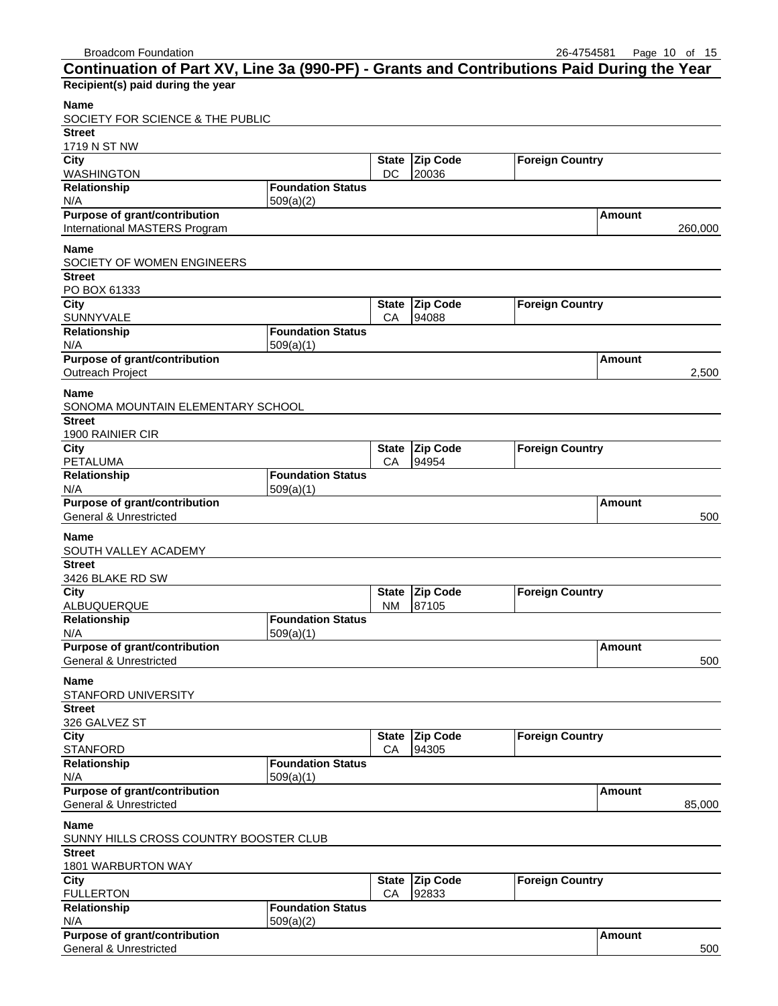| <b>Broadcom Foundation</b><br>Continuation of Part XV, Line 3a (990-PF) - Grants and Contributions Paid During the Year |                          |                    |                          | 26-4754581             |               | Page $10$ of $15$ |
|-------------------------------------------------------------------------------------------------------------------------|--------------------------|--------------------|--------------------------|------------------------|---------------|-------------------|
| Recipient(s) paid during the year                                                                                       |                          |                    |                          |                        |               |                   |
| Name                                                                                                                    |                          |                    |                          |                        |               |                   |
| SOCIETY FOR SCIENCE & THE PUBLIC                                                                                        |                          |                    |                          |                        |               |                   |
| <b>Street</b>                                                                                                           |                          |                    |                          |                        |               |                   |
| 1719 N ST NW                                                                                                            |                          |                    | Zip Code                 | <b>Foreign Country</b> |               |                   |
| City<br><b>WASHINGTON</b>                                                                                               |                          | <b>State</b><br>DC | 20036                    |                        |               |                   |
| Relationship                                                                                                            | <b>Foundation Status</b> |                    |                          |                        |               |                   |
| N/A                                                                                                                     | 509(a)(2)                |                    |                          |                        |               |                   |
| <b>Purpose of grant/contribution</b><br>International MASTERS Program                                                   |                          |                    |                          |                        | Amount        | 260,000           |
| <b>Name</b>                                                                                                             |                          |                    |                          |                        |               |                   |
| SOCIETY OF WOMEN ENGINEERS                                                                                              |                          |                    |                          |                        |               |                   |
| <b>Street</b>                                                                                                           |                          |                    |                          |                        |               |                   |
| PO BOX 61333                                                                                                            |                          |                    |                          |                        |               |                   |
| City<br><b>SUNNYVALE</b>                                                                                                |                          | <b>State</b><br>СA | <b>Zip Code</b><br>94088 | <b>Foreign Country</b> |               |                   |
| Relationship                                                                                                            | <b>Foundation Status</b> |                    |                          |                        |               |                   |
| N/A                                                                                                                     | 509(a)(1)                |                    |                          |                        |               |                   |
| Purpose of grant/contribution<br>Outreach Project                                                                       |                          |                    |                          |                        | Amount        | 2,500             |
|                                                                                                                         |                          |                    |                          |                        |               |                   |
| Name<br>SONOMA MOUNTAIN ELEMENTARY SCHOOL                                                                               |                          |                    |                          |                        |               |                   |
| <b>Street</b>                                                                                                           |                          |                    |                          |                        |               |                   |
| 1900 RAINIER CIR                                                                                                        |                          |                    |                          |                        |               |                   |
| City<br>PETALUMA                                                                                                        |                          | <b>State</b><br>СA | <b>Zip Code</b><br>94954 | <b>Foreign Country</b> |               |                   |
| Relationship                                                                                                            | <b>Foundation Status</b> |                    |                          |                        |               |                   |
| N/A                                                                                                                     | 509(a)(1)                |                    |                          |                        |               |                   |
| <b>Purpose of grant/contribution</b><br><b>General &amp; Unrestricted</b>                                               |                          |                    |                          |                        | <b>Amount</b> |                   |
|                                                                                                                         |                          |                    |                          |                        |               | 500               |
| <b>Name</b><br>SOUTH VALLEY ACADEMY                                                                                     |                          |                    |                          |                        |               |                   |
| <b>Street</b>                                                                                                           |                          |                    |                          |                        |               |                   |
| 3426 BLAKE RD SW                                                                                                        |                          |                    |                          |                        |               |                   |
| <b>City</b>                                                                                                             |                          |                    | State Zip Code           | <b>Foreign Country</b> |               |                   |
| ALBUQUERQUE<br>Relationship                                                                                             | <b>Foundation Status</b> | <b>NM</b>          | 87105                    |                        |               |                   |
| N/A                                                                                                                     | 509(a)(1)                |                    |                          |                        |               |                   |
| <b>Purpose of grant/contribution</b>                                                                                    |                          |                    |                          |                        | <b>Amount</b> |                   |
| <b>General &amp; Unrestricted</b>                                                                                       |                          |                    |                          |                        |               | 500               |
| <b>Name</b><br><b>STANFORD UNIVERSITY</b>                                                                               |                          |                    |                          |                        |               |                   |
| <b>Street</b>                                                                                                           |                          |                    |                          |                        |               |                   |
| 326 GALVEZ ST                                                                                                           |                          |                    |                          |                        |               |                   |
| City                                                                                                                    |                          | <b>State</b>       | Zip Code                 | <b>Foreign Country</b> |               |                   |
| <b>STANFORD</b><br>Relationship                                                                                         | <b>Foundation Status</b> | CA                 | 94305                    |                        |               |                   |
| N/A                                                                                                                     | 509(a)(1)                |                    |                          |                        |               |                   |
| <b>Purpose of grant/contribution</b>                                                                                    |                          |                    |                          |                        | <b>Amount</b> |                   |
| <b>General &amp; Unrestricted</b>                                                                                       |                          |                    |                          |                        |               | 85,000            |
| <b>Name</b><br>SUNNY HILLS CROSS COUNTRY BOOSTER CLUB                                                                   |                          |                    |                          |                        |               |                   |
| <b>Street</b>                                                                                                           |                          |                    |                          |                        |               |                   |
| 1801 WARBURTON WAY                                                                                                      |                          |                    |                          |                        |               |                   |

| City                                 |                          |    | State Zip Code | <b>Foreign Country</b> |               |     |
|--------------------------------------|--------------------------|----|----------------|------------------------|---------------|-----|
| <b>FULLERTON</b>                     |                          | CА | 92833          |                        |               |     |
| <b>Relationship</b>                  | <b>Foundation Status</b> |    |                |                        |               |     |
| N/A                                  | 509(a)(2)                |    |                |                        |               |     |
| <b>Purpose of grant/contribution</b> |                          |    |                |                        | <b>Amount</b> |     |
| General & Unrestricted               |                          |    |                |                        |               | 500 |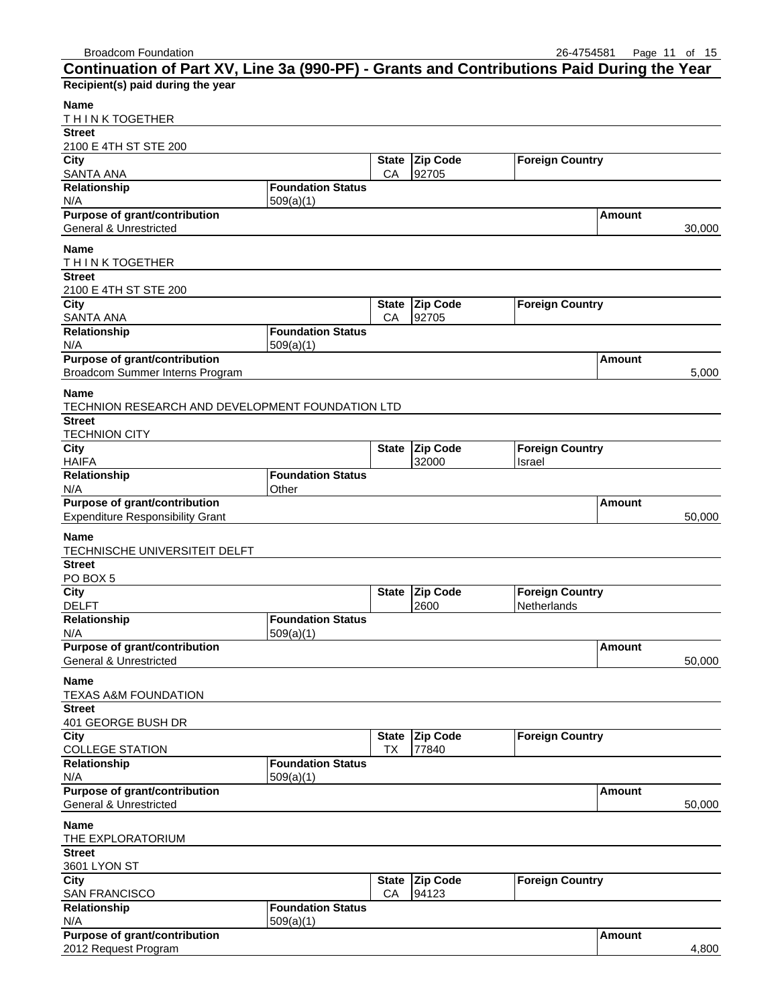| Continuation of Part XV, Line 3a (990-PF) - Grants and Contributions Paid During the Year |                                   |                    |                          |                        |               |        |
|-------------------------------------------------------------------------------------------|-----------------------------------|--------------------|--------------------------|------------------------|---------------|--------|
| Recipient(s) paid during the year                                                         |                                   |                    |                          |                        |               |        |
| Name                                                                                      |                                   |                    |                          |                        |               |        |
| THINK TOGETHER                                                                            |                                   |                    |                          |                        |               |        |
| <b>Street</b>                                                                             |                                   |                    |                          |                        |               |        |
| 2100 E 4TH ST STE 200<br>City                                                             |                                   | <b>State</b>       | <b>Zip Code</b>          | <b>Foreign Country</b> |               |        |
| SANTA ANA                                                                                 |                                   | CA                 | 92705                    |                        |               |        |
| Relationship                                                                              | <b>Foundation Status</b>          |                    |                          |                        |               |        |
| N/A                                                                                       | 509(a)(1)                         |                    |                          |                        |               |        |
| <b>Purpose of grant/contribution</b>                                                      |                                   |                    |                          |                        | Amount        |        |
| General & Unrestricted                                                                    |                                   |                    |                          |                        |               | 30,000 |
| <b>Name</b>                                                                               |                                   |                    |                          |                        |               |        |
| THINK TOGETHER<br><b>Street</b>                                                           |                                   |                    |                          |                        |               |        |
| 2100 E 4TH ST STE 200                                                                     |                                   |                    |                          |                        |               |        |
| <b>City</b>                                                                               |                                   | <b>State</b>       | Zip Code                 | <b>Foreign Country</b> |               |        |
| SANTA ANA                                                                                 |                                   | CA                 | 92705                    |                        |               |        |
| Relationship                                                                              | <b>Foundation Status</b>          |                    |                          |                        |               |        |
| N/A<br><b>Purpose of grant/contribution</b>                                               | 509(a)(1)                         |                    |                          |                        | Amount        |        |
| Broadcom Summer Interns Program                                                           |                                   |                    |                          |                        |               | 5,000  |
|                                                                                           |                                   |                    |                          |                        |               |        |
| <b>Name</b><br>TECHNION RESEARCH AND DEVELOPMENT FOUNDATION LTD                           |                                   |                    |                          |                        |               |        |
| <b>Street</b>                                                                             |                                   |                    |                          |                        |               |        |
| <b>TECHNION CITY</b>                                                                      |                                   |                    |                          |                        |               |        |
| City                                                                                      |                                   | <b>State</b>       | <b>Zip Code</b>          | <b>Foreign Country</b> |               |        |
| <b>HAIFA</b>                                                                              |                                   |                    | 32000                    | Israel                 |               |        |
| Relationship<br>N/A                                                                       | <b>Foundation Status</b><br>Other |                    |                          |                        |               |        |
| Purpose of grant/contribution                                                             |                                   |                    |                          |                        | Amount        |        |
| <b>Expenditure Responsibility Grant</b>                                                   |                                   |                    |                          |                        |               | 50,000 |
| <b>Name</b>                                                                               |                                   |                    |                          |                        |               |        |
| TECHNISCHE UNIVERSITEIT DELFT                                                             |                                   |                    |                          |                        |               |        |
| <b>Street</b>                                                                             |                                   |                    |                          |                        |               |        |
| PO BOX 5                                                                                  |                                   |                    |                          |                        |               |        |
| <b>City</b>                                                                               |                                   | <b>State</b>       | <b>Zip Code</b>          | <b>Foreign Country</b> |               |        |
| <b>DELFT</b><br>Relationship                                                              | <b>Foundation Status</b>          |                    | 2600                     | Netherlands            |               |        |
| N/A                                                                                       | 509(a)(1)                         |                    |                          |                        |               |        |
| Purpose of grant/contribution                                                             |                                   |                    |                          |                        | <b>Amount</b> |        |
| General & Unrestricted                                                                    |                                   |                    |                          |                        |               | 50,000 |
| <b>Name</b>                                                                               |                                   |                    |                          |                        |               |        |
| <b>TEXAS A&amp;M FOUNDATION</b>                                                           |                                   |                    |                          |                        |               |        |
| <b>Street</b>                                                                             |                                   |                    |                          |                        |               |        |
| 401 GEORGE BUSH DR                                                                        |                                   |                    |                          |                        |               |        |
| City<br><b>COLLEGE STATION</b>                                                            |                                   | <b>State</b><br>TX | <b>Zip Code</b><br>77840 | <b>Foreign Country</b> |               |        |
| Relationship                                                                              | <b>Foundation Status</b>          |                    |                          |                        |               |        |
| N/A                                                                                       | 509(a)(1)                         |                    |                          |                        |               |        |
| Purpose of grant/contribution                                                             |                                   |                    |                          |                        | <b>Amount</b> |        |
| <b>General &amp; Unrestricted</b>                                                         |                                   |                    |                          |                        |               | 50,000 |
| <b>Name</b>                                                                               |                                   |                    |                          |                        |               |        |
| THE EXPLORATORIUM                                                                         |                                   |                    |                          |                        |               |        |
| <b>Street</b>                                                                             |                                   |                    |                          |                        |               |        |
| 3601 LYON ST<br>City                                                                      |                                   | <b>State</b>       | <b>Zip Code</b>          | <b>Foreign Country</b> |               |        |
| <b>SAN FRANCISCO</b>                                                                      |                                   | CA                 | 94123                    |                        |               |        |
| Relationship                                                                              | <b>Foundation Status</b>          |                    |                          |                        |               |        |
| N/A                                                                                       | 509(a)(1)                         |                    |                          |                        |               |        |
| Purpose of grant/contribution                                                             |                                   |                    |                          |                        | <b>Amount</b> |        |
| 2012 Request Program                                                                      |                                   |                    |                          |                        |               | 4,800  |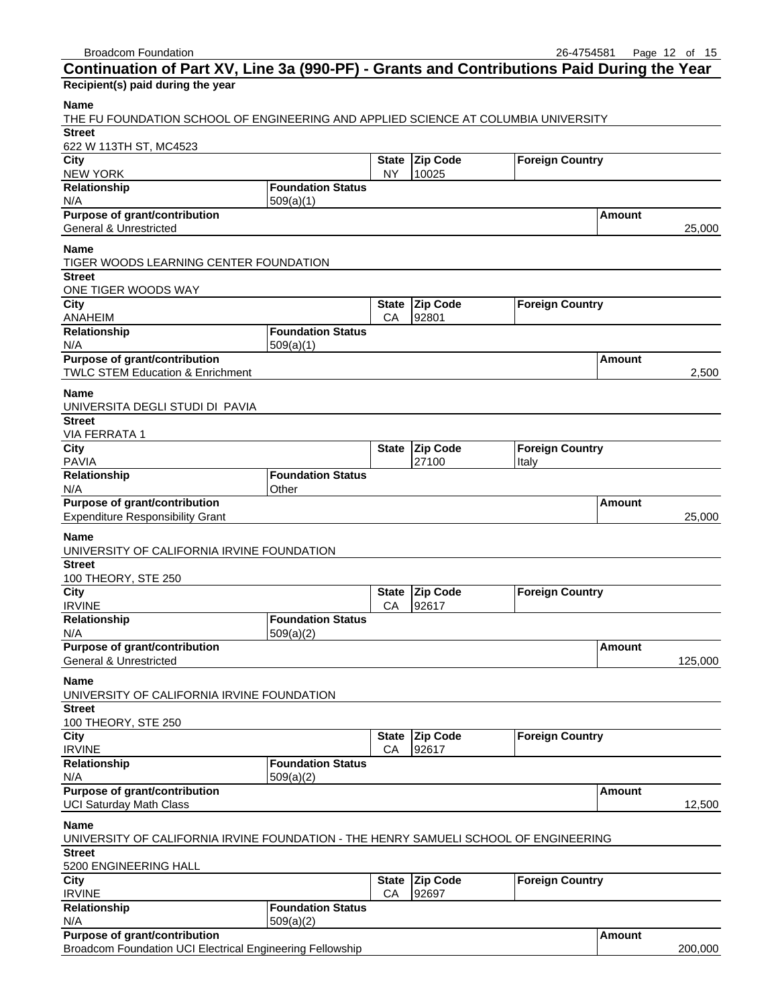| <b>DIVAUCUIT FUUITUATION</b>                                                              |                                   |                    |                          | 20-4734301             |        | Page is of to |
|-------------------------------------------------------------------------------------------|-----------------------------------|--------------------|--------------------------|------------------------|--------|---------------|
| Continuation of Part XV, Line 3a (990-PF) - Grants and Contributions Paid During the Year |                                   |                    |                          |                        |        |               |
| Recipient(s) paid during the year                                                         |                                   |                    |                          |                        |        |               |
| <b>Name</b>                                                                               |                                   |                    |                          |                        |        |               |
| THE FU FOUNDATION SCHOOL OF ENGINEERING AND APPLIED SCIENCE AT COLUMBIA UNIVERSITY        |                                   |                    |                          |                        |        |               |
| <b>Street</b>                                                                             |                                   |                    |                          |                        |        |               |
| 622 W 113TH ST, MC4523                                                                    |                                   |                    |                          |                        |        |               |
| City                                                                                      |                                   |                    | State Zip Code           | <b>Foreign Country</b> |        |               |
| <b>NEW YORK</b>                                                                           |                                   | <b>NY</b>          | 10025                    |                        |        |               |
| Relationship                                                                              | <b>Foundation Status</b>          |                    |                          |                        |        |               |
| N/A                                                                                       | 509(a)(1)                         |                    |                          |                        |        |               |
| <b>Purpose of grant/contribution</b>                                                      |                                   |                    |                          |                        | Amount |               |
| <b>General &amp; Unrestricted</b>                                                         |                                   |                    |                          |                        |        | 25,000        |
| Name                                                                                      |                                   |                    |                          |                        |        |               |
| TIGER WOODS LEARNING CENTER FOUNDATION                                                    |                                   |                    |                          |                        |        |               |
| <b>Street</b>                                                                             |                                   |                    |                          |                        |        |               |
| ONE TIGER WOODS WAY                                                                       |                                   |                    |                          |                        |        |               |
| City                                                                                      |                                   |                    | State Zip Code           | <b>Foreign Country</b> |        |               |
| ANAHEIM                                                                                   |                                   | CA                 | 92801                    |                        |        |               |
| Relationship                                                                              | <b>Foundation Status</b>          |                    |                          |                        |        |               |
| N/A<br>Purpose of grant/contribution                                                      | 509(a)(1)                         |                    |                          |                        |        |               |
| <b>TWLC STEM Education &amp; Enrichment</b>                                               |                                   |                    |                          |                        | Amount | 2,500         |
|                                                                                           |                                   |                    |                          |                        |        |               |
| <b>Name</b>                                                                               |                                   |                    |                          |                        |        |               |
| UNIVERSITA DEGLI STUDI DI PAVIA                                                           |                                   |                    |                          |                        |        |               |
| <b>Street</b>                                                                             |                                   |                    |                          |                        |        |               |
| <b>VIA FERRATA 1</b>                                                                      |                                   |                    |                          |                        |        |               |
| City                                                                                      |                                   | <b>State</b>       | <b>Zip Code</b>          | <b>Foreign Country</b> |        |               |
| <b>PAVIA</b>                                                                              |                                   |                    | 27100                    | Italy                  |        |               |
| Relationship<br>N/A                                                                       | <b>Foundation Status</b><br>Other |                    |                          |                        |        |               |
| <b>Purpose of grant/contribution</b>                                                      |                                   |                    |                          |                        | Amount |               |
| <b>Expenditure Responsibility Grant</b>                                                   |                                   |                    |                          |                        |        | 25,000        |
|                                                                                           |                                   |                    |                          |                        |        |               |
| <b>Name</b>                                                                               |                                   |                    |                          |                        |        |               |
| UNIVERSITY OF CALIFORNIA IRVINE FOUNDATION                                                |                                   |                    |                          |                        |        |               |
| <b>Street</b>                                                                             |                                   |                    |                          |                        |        |               |
| 100 THEORY, STE 250                                                                       |                                   |                    |                          |                        |        |               |
| City<br><b>IRVINE</b>                                                                     |                                   | <b>State</b><br>CA | <b>Zip Code</b><br>92617 | <b>Foreign Country</b> |        |               |
| Relationship                                                                              | <b>Foundation Status</b>          |                    |                          |                        |        |               |
| N/A                                                                                       | 509(a)(2)                         |                    |                          |                        |        |               |
| <b>Purpose of grant/contribution</b>                                                      |                                   |                    |                          |                        | Amount |               |
| General & Unrestricted                                                                    |                                   |                    |                          |                        |        | 125,000       |
|                                                                                           |                                   |                    |                          |                        |        |               |
| Name                                                                                      |                                   |                    |                          |                        |        |               |
| UNIVERSITY OF CALIFORNIA IRVINE FOUNDATION                                                |                                   |                    |                          |                        |        |               |
| <b>Street</b><br>100 THEORY, STE 250                                                      |                                   |                    |                          |                        |        |               |
|                                                                                           |                                   | <b>State</b>       |                          |                        |        |               |
| City<br><b>IRVINE</b>                                                                     |                                   | CA                 | <b>Zip Code</b><br>92617 | <b>Foreign Country</b> |        |               |
| Relationship                                                                              | <b>Foundation Status</b>          |                    |                          |                        |        |               |
| N/A                                                                                       | 509(a)(2)                         |                    |                          |                        |        |               |
| Purpose of grant/contribution                                                             |                                   |                    |                          |                        | Amount |               |
| <b>UCI Saturday Math Class</b>                                                            |                                   |                    |                          |                        |        | 12,500        |
|                                                                                           |                                   |                    |                          |                        |        |               |
| <b>Name</b>                                                                               |                                   |                    |                          |                        |        |               |
| UNIVERSITY OF CALIFORNIA IRVINE FOUNDATION - THE HENRY SAMUELI SCHOOL OF ENGINEERING      |                                   |                    |                          |                        |        |               |
| <b>Street</b>                                                                             |                                   |                    |                          |                        |        |               |
| 5200 ENGINEERING HALL                                                                     |                                   |                    |                          |                        |        |               |
| City<br><b>IRVINE</b>                                                                     |                                   | <b>State</b><br>CA | <b>Zip Code</b><br>92697 | <b>Foreign Country</b> |        |               |
| Relationship                                                                              | <b>Foundation Status</b>          |                    |                          |                        |        |               |
| N/A                                                                                       | 509(a)(2)                         |                    |                          |                        |        |               |
|                                                                                           |                                   |                    |                          |                        |        |               |

| <b>Purpose of grant/contribution</b> | l Amount |
|--------------------------------------|----------|
|--------------------------------------|----------|

Broadcom Foundation UCI Electrical Engineering Fellowship 200,000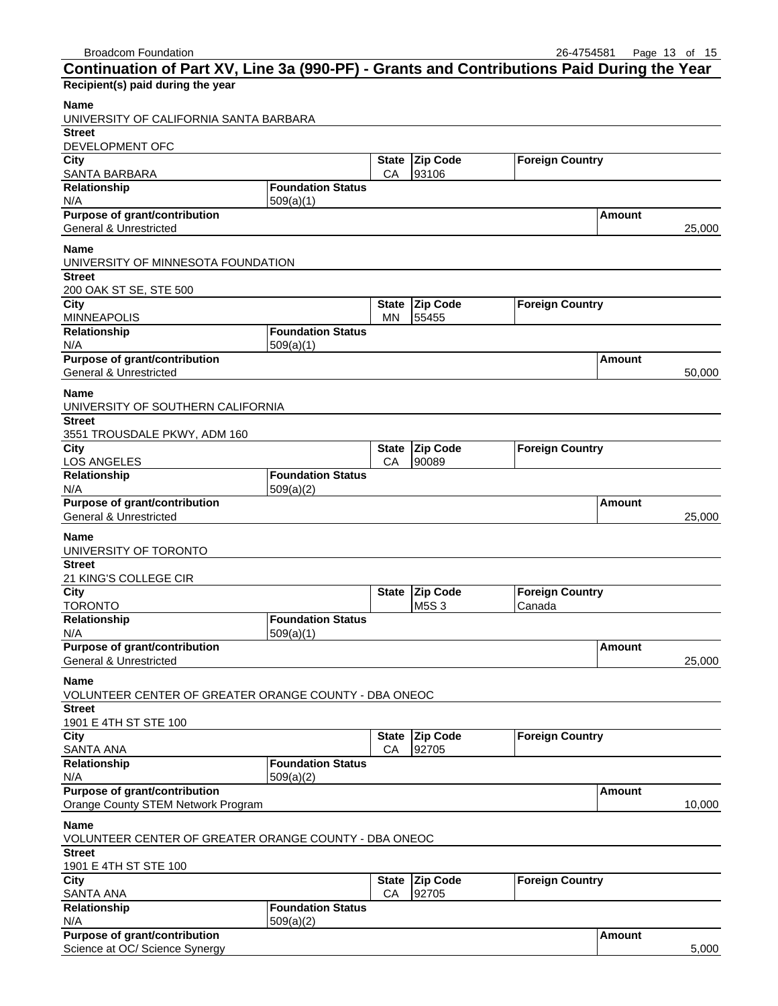| Continuation of Part XV, Line 3a (990-PF) - Grants and Contributions Paid During the Year |                                       |                    |                          |                        |               |        |
|-------------------------------------------------------------------------------------------|---------------------------------------|--------------------|--------------------------|------------------------|---------------|--------|
| Recipient(s) paid during the year                                                         |                                       |                    |                          |                        |               |        |
| Name<br>UNIVERSITY OF CALIFORNIA SANTA BARBARA                                            |                                       |                    |                          |                        |               |        |
| <b>Street</b>                                                                             |                                       |                    |                          |                        |               |        |
| DEVELOPMENT OFC                                                                           |                                       |                    |                          |                        |               |        |
| City                                                                                      |                                       | <b>State</b>       | <b>Zip Code</b>          | <b>Foreign Country</b> |               |        |
| SANTA BARBARA<br>Relationship                                                             | <b>Foundation Status</b>              | CA                 | 93106                    |                        |               |        |
| N/A                                                                                       | 509(a)(1)                             |                    |                          |                        |               |        |
| <b>Purpose of grant/contribution</b><br>General & Unrestricted                            |                                       |                    |                          |                        | Amount        | 25,000 |
| <b>Name</b><br>UNIVERSITY OF MINNESOTA FOUNDATION                                         |                                       |                    |                          |                        |               |        |
| <b>Street</b>                                                                             |                                       |                    |                          |                        |               |        |
| 200 OAK ST SE, STE 500                                                                    |                                       |                    |                          |                        |               |        |
| City<br><b>MINNEAPOLIS</b>                                                                |                                       | <b>State</b><br>MN | <b>Zip Code</b><br>55455 | <b>Foreign Country</b> |               |        |
| Relationship<br>N/A                                                                       | <b>Foundation Status</b><br>509(a)(1) |                    |                          |                        |               |        |
| Purpose of grant/contribution                                                             |                                       |                    |                          |                        | Amount        |        |
| <b>General &amp; Unrestricted</b>                                                         |                                       |                    |                          |                        |               | 50,000 |
| <b>Name</b>                                                                               |                                       |                    |                          |                        |               |        |
| UNIVERSITY OF SOUTHERN CALIFORNIA<br><b>Street</b>                                        |                                       |                    |                          |                        |               |        |
| 3551 TROUSDALE PKWY, ADM 160                                                              |                                       |                    |                          |                        |               |        |
| City                                                                                      |                                       | <b>State</b>       | <b>Zip Code</b>          | <b>Foreign Country</b> |               |        |
| LOS ANGELES                                                                               |                                       | СA                 | 90089                    |                        |               |        |
| Relationship                                                                              | <b>Foundation Status</b>              |                    |                          |                        |               |        |
| N/A                                                                                       | 509(a)(2)                             |                    |                          |                        |               |        |
| Purpose of grant/contribution<br><b>General &amp; Unrestricted</b>                        |                                       |                    |                          |                        | Amount        |        |
|                                                                                           |                                       |                    |                          |                        |               | 25,000 |
| <b>Name</b><br>UNIVERSITY OF TORONTO                                                      |                                       |                    |                          |                        |               |        |
| <b>Street</b><br>21 KING'S COLLEGE CIR                                                    |                                       |                    |                          |                        |               |        |
| City                                                                                      |                                       | <b>State</b>       | <b>Zip Code</b>          | <b>Foreign Country</b> |               |        |
| <b>TORONTO</b>                                                                            |                                       |                    | M5S3                     | Canada                 |               |        |
| Relationship                                                                              | <b>Foundation Status</b>              |                    |                          |                        |               |        |
| N/A                                                                                       | 509(a)(1)                             |                    |                          |                        |               |        |
| Purpose of grant/contribution<br><b>General &amp; Unrestricted</b>                        |                                       |                    |                          |                        | <b>Amount</b> |        |
|                                                                                           |                                       |                    |                          |                        |               | 25,000 |
| <b>Name</b><br>VOLUNTEER CENTER OF GREATER ORANGE COUNTY - DBA ONEOC                      |                                       |                    |                          |                        |               |        |
| <b>Street</b>                                                                             |                                       |                    |                          |                        |               |        |
| 1901 E 4TH ST STE 100<br>City                                                             |                                       | <b>State</b>       | <b>Zip Code</b>          | <b>Foreign Country</b> |               |        |
| <b>SANTA ANA</b>                                                                          |                                       | CA                 | 92705                    |                        |               |        |
| Relationship                                                                              | <b>Foundation Status</b>              |                    |                          |                        |               |        |
| N/A                                                                                       | 509(a)(2)                             |                    |                          |                        |               |        |
| Purpose of grant/contribution                                                             |                                       |                    |                          |                        | <b>Amount</b> |        |
| Orange County STEM Network Program                                                        |                                       |                    |                          |                        |               | 10,000 |
| <b>Name</b>                                                                               |                                       |                    |                          |                        |               |        |
| VOLUNTEER CENTER OF GREATER ORANGE COUNTY - DBA ONEOC                                     |                                       |                    |                          |                        |               |        |
| <b>Street</b>                                                                             |                                       |                    |                          |                        |               |        |
| 1901 E 4TH ST STE 100<br>City                                                             |                                       | <b>State</b>       | <b>Zip Code</b>          | <b>Foreign Country</b> |               |        |
| SANTA ANA                                                                                 |                                       | CA                 | 92705                    |                        |               |        |
| Relationship                                                                              | <b>Foundation Status</b>              |                    |                          |                        |               |        |
| N/A                                                                                       | 509(a)(2)                             |                    |                          |                        |               |        |
| Purpose of grant/contribution                                                             |                                       |                    |                          |                        | <b>Amount</b> |        |
| Science at OC/ Science Synergy                                                            |                                       |                    |                          |                        |               | 5,000  |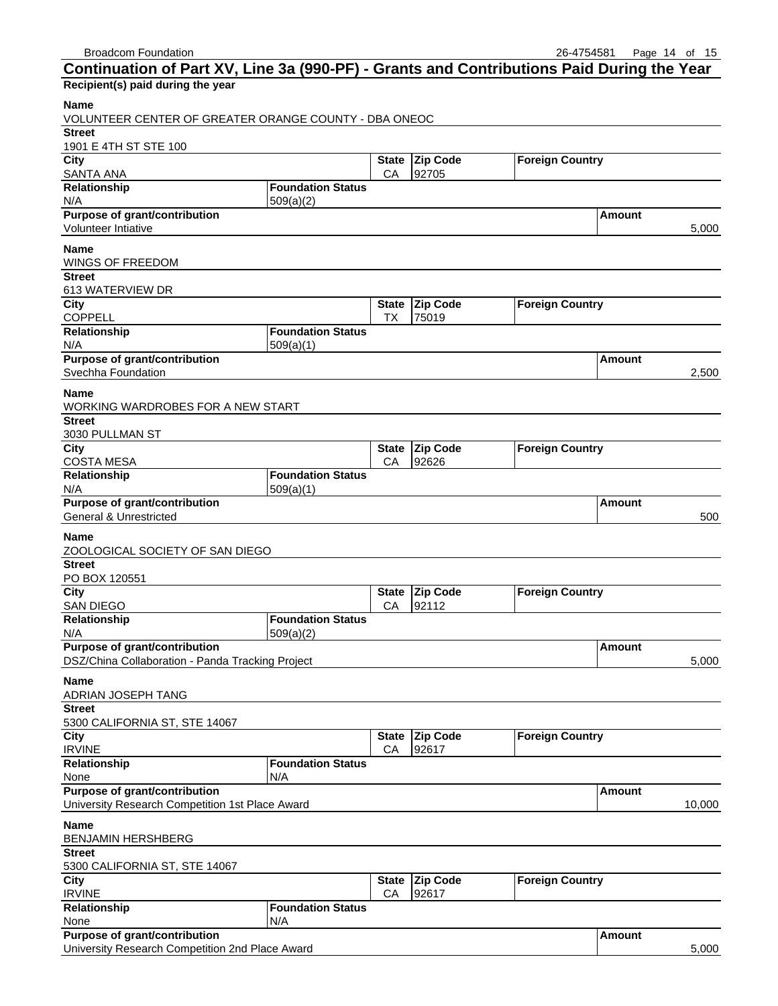| Continuation of Part XV, Line 3a (990-PF) - Grants and Contributions Paid During the Year |                                       |              |                          |                        |               |        |
|-------------------------------------------------------------------------------------------|---------------------------------------|--------------|--------------------------|------------------------|---------------|--------|
| Recipient(s) paid during the year                                                         |                                       |              |                          |                        |               |        |
| <b>Name</b>                                                                               |                                       |              |                          |                        |               |        |
| VOLUNTEER CENTER OF GREATER ORANGE COUNTY - DBA ONEOC                                     |                                       |              |                          |                        |               |        |
| <b>Street</b>                                                                             |                                       |              |                          |                        |               |        |
| 1901 E 4TH ST STE 100                                                                     |                                       |              |                          |                        |               |        |
| City                                                                                      |                                       | <b>State</b> | <b>Zip Code</b>          | <b>Foreign Country</b> |               |        |
| SANTA ANA                                                                                 |                                       | CA           | 92705                    |                        |               |        |
| Relationship                                                                              | <b>Foundation Status</b>              |              |                          |                        |               |        |
| N/A<br>Purpose of grant/contribution                                                      | 509(a)(2)                             |              |                          |                        | Amount        |        |
| Volunteer Intiative                                                                       |                                       |              |                          |                        |               | 5,000  |
|                                                                                           |                                       |              |                          |                        |               |        |
| <b>Name</b>                                                                               |                                       |              |                          |                        |               |        |
| WINGS OF FREEDOM                                                                          |                                       |              |                          |                        |               |        |
| <b>Street</b>                                                                             |                                       |              |                          |                        |               |        |
| 613 WATERVIEW DR                                                                          |                                       |              |                          |                        |               |        |
| City<br><b>COPPELL</b>                                                                    |                                       | <b>State</b> | <b>Zip Code</b><br>75019 | <b>Foreign Country</b> |               |        |
| Relationship                                                                              | <b>Foundation Status</b>              | TХ           |                          |                        |               |        |
| N/A                                                                                       | 509(a)(1)                             |              |                          |                        |               |        |
| Purpose of grant/contribution                                                             |                                       |              |                          |                        | Amount        |        |
| Svechha Foundation                                                                        |                                       |              |                          |                        |               | 2,500  |
|                                                                                           |                                       |              |                          |                        |               |        |
| <b>Name</b>                                                                               |                                       |              |                          |                        |               |        |
| WORKING WARDROBES FOR A NEW START                                                         |                                       |              |                          |                        |               |        |
| <b>Street</b>                                                                             |                                       |              |                          |                        |               |        |
| 3030 PULLMAN ST                                                                           |                                       |              |                          |                        |               |        |
| City                                                                                      |                                       | <b>State</b> | <b>Zip Code</b>          | <b>Foreign Country</b> |               |        |
| <b>COSTA MESA</b>                                                                         |                                       | CA           | 92626                    |                        |               |        |
| Relationship<br>N/A                                                                       | <b>Foundation Status</b><br>509(a)(1) |              |                          |                        |               |        |
| Purpose of grant/contribution                                                             |                                       |              |                          |                        | Amount        |        |
| <b>General &amp; Unrestricted</b>                                                         |                                       |              |                          |                        |               | 500    |
|                                                                                           |                                       |              |                          |                        |               |        |
| Name                                                                                      |                                       |              |                          |                        |               |        |
| ZOOLOGICAL SOCIETY OF SAN DIEGO                                                           |                                       |              |                          |                        |               |        |
| <b>Street</b>                                                                             |                                       |              |                          |                        |               |        |
| PO BOX 120551                                                                             |                                       |              |                          |                        |               |        |
| City                                                                                      |                                       | <b>State</b> | <b>Zip Code</b>          | <b>Foreign Country</b> |               |        |
| <b>SAN DIEGO</b>                                                                          |                                       | CA           | 92112                    |                        |               |        |
| Relationship                                                                              | <b>Foundation Status</b>              |              |                          |                        |               |        |
| N/A<br>Purpose of grant/contribution                                                      | 509(a)(2)                             |              |                          |                        |               |        |
| DSZ/China Collaboration - Panda Tracking Project                                          |                                       |              |                          |                        | Amount        |        |
|                                                                                           |                                       |              |                          |                        |               | 5,000  |
| Name                                                                                      |                                       |              |                          |                        |               |        |
| ADRIAN JOSEPH TANG                                                                        |                                       |              |                          |                        |               |        |
| <b>Street</b>                                                                             |                                       |              |                          |                        |               |        |
| 5300 CALIFORNIA ST, STE 14067                                                             |                                       |              |                          |                        |               |        |
| City                                                                                      |                                       | <b>State</b> | <b>Zip Code</b>          | <b>Foreign Country</b> |               |        |
| <b>IRVINE</b>                                                                             |                                       | CA           | 92617                    |                        |               |        |
| Relationship                                                                              | <b>Foundation Status</b>              |              |                          |                        |               |        |
| None                                                                                      | N/A                                   |              |                          |                        |               |        |
| Purpose of grant/contribution                                                             |                                       |              |                          |                        | <b>Amount</b> |        |
| University Research Competition 1st Place Award                                           |                                       |              |                          |                        |               | 10,000 |
| Name                                                                                      |                                       |              |                          |                        |               |        |
| <b>BENJAMIN HERSHBERG</b>                                                                 |                                       |              |                          |                        |               |        |
| <b>Street</b>                                                                             |                                       |              |                          |                        |               |        |
| 5300 CALIFORNIA ST, STE 14067                                                             |                                       |              |                          |                        |               |        |
| City                                                                                      |                                       | <b>State</b> | <b>Zip Code</b>          | <b>Foreign Country</b> |               |        |
| <b>IRVINE</b>                                                                             |                                       | CA           | 92617                    |                        |               |        |
| Relationship                                                                              | <b>Foundation Status</b>              |              |                          |                        |               |        |
| None                                                                                      | N/A                                   |              |                          |                        |               |        |

| <b>Purpose of grant/contribution</b>            | l Amount |       |
|-------------------------------------------------|----------|-------|
| University Research Competition 2nd Place Award |          | 5.000 |